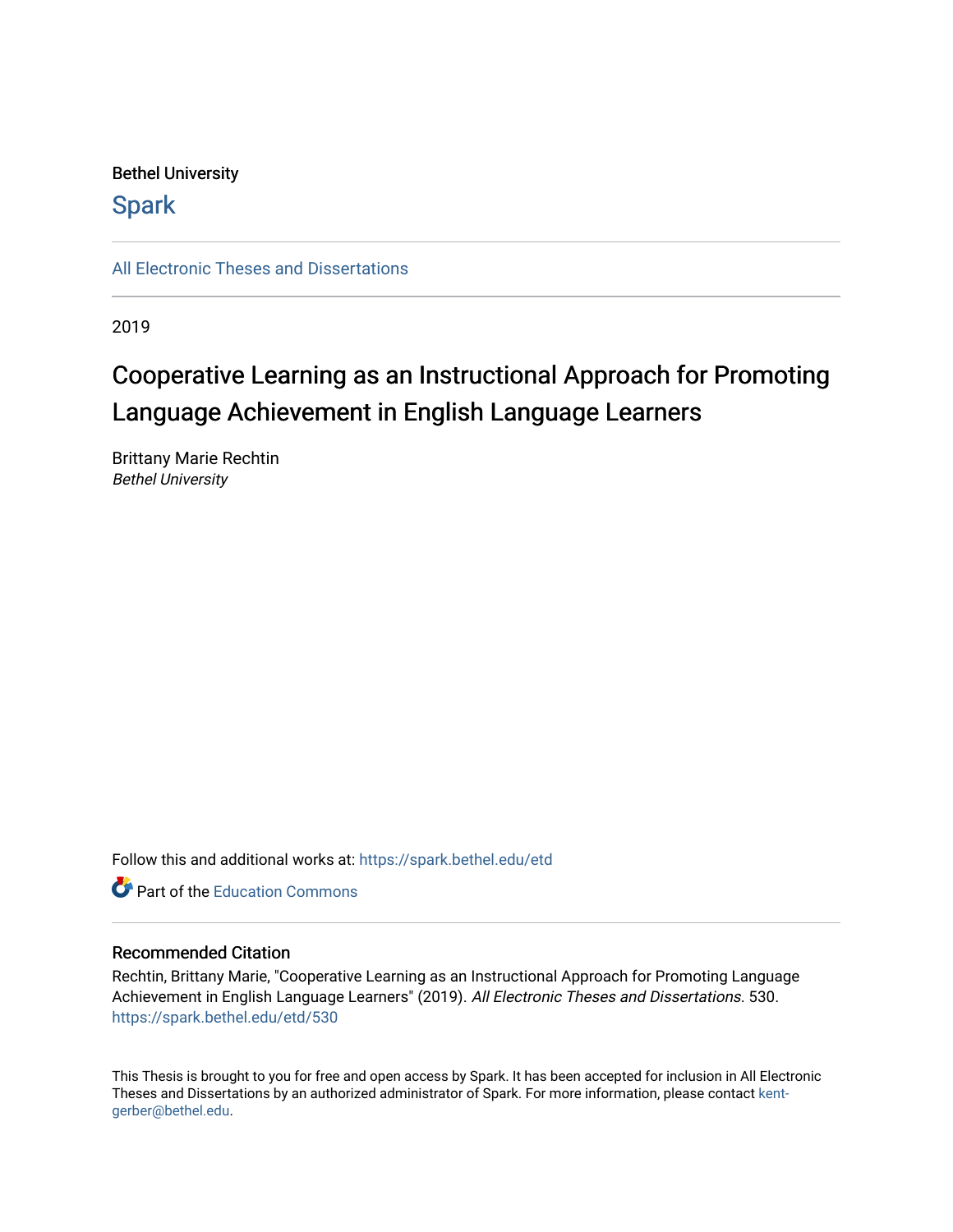# Bethel University

# **Spark**

[All Electronic Theses and Dissertations](https://spark.bethel.edu/etd) 

2019

# Cooperative Learning as an Instructional Approach for Promoting Language Achievement in English Language Learners

Brittany Marie Rechtin Bethel University

Follow this and additional works at: [https://spark.bethel.edu/etd](https://spark.bethel.edu/etd?utm_source=spark.bethel.edu%2Fetd%2F530&utm_medium=PDF&utm_campaign=PDFCoverPages)



## Recommended Citation

Rechtin, Brittany Marie, "Cooperative Learning as an Instructional Approach for Promoting Language Achievement in English Language Learners" (2019). All Electronic Theses and Dissertations. 530. [https://spark.bethel.edu/etd/530](https://spark.bethel.edu/etd/530?utm_source=spark.bethel.edu%2Fetd%2F530&utm_medium=PDF&utm_campaign=PDFCoverPages)

This Thesis is brought to you for free and open access by Spark. It has been accepted for inclusion in All Electronic Theses and Dissertations by an authorized administrator of Spark. For more information, please contact [kent](mailto:kent-gerber@bethel.edu)[gerber@bethel.edu.](mailto:kent-gerber@bethel.edu)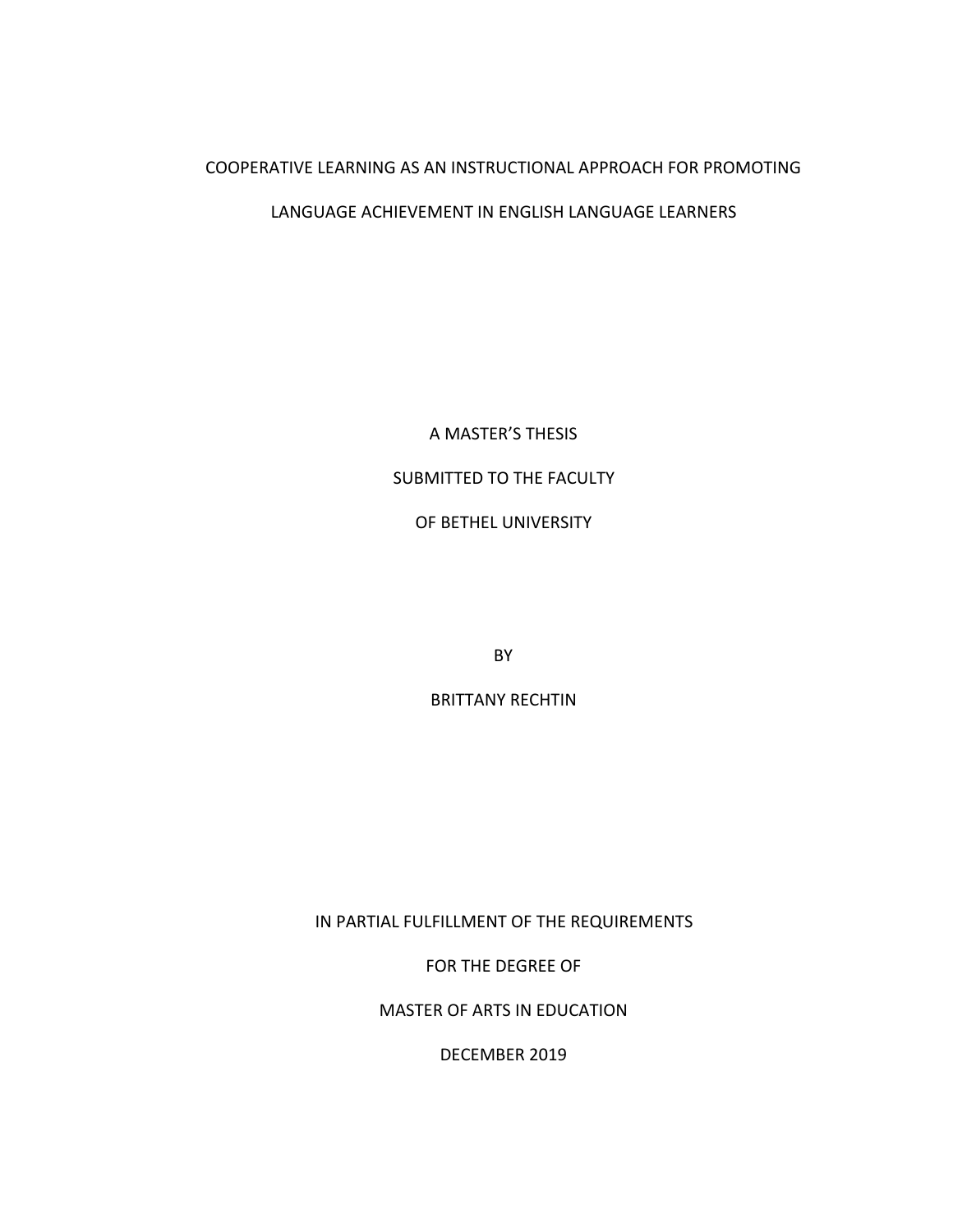## COOPERATIVE LEARNING AS AN INSTRUCTIONAL APPROACH FOR PROMOTING

## LANGUAGE ACHIEVEMENT IN ENGLISH LANGUAGE LEARNERS

A MASTER'S THESIS SUBMITTED TO THE FACULTY OF BETHEL UNIVERSITY

BY

BRITTANY RECHTIN

IN PARTIAL FULFILLMENT OF THE REQUIREMENTS

FOR THE DEGREE OF

MASTER OF ARTS IN EDUCATION

DECEMBER 2019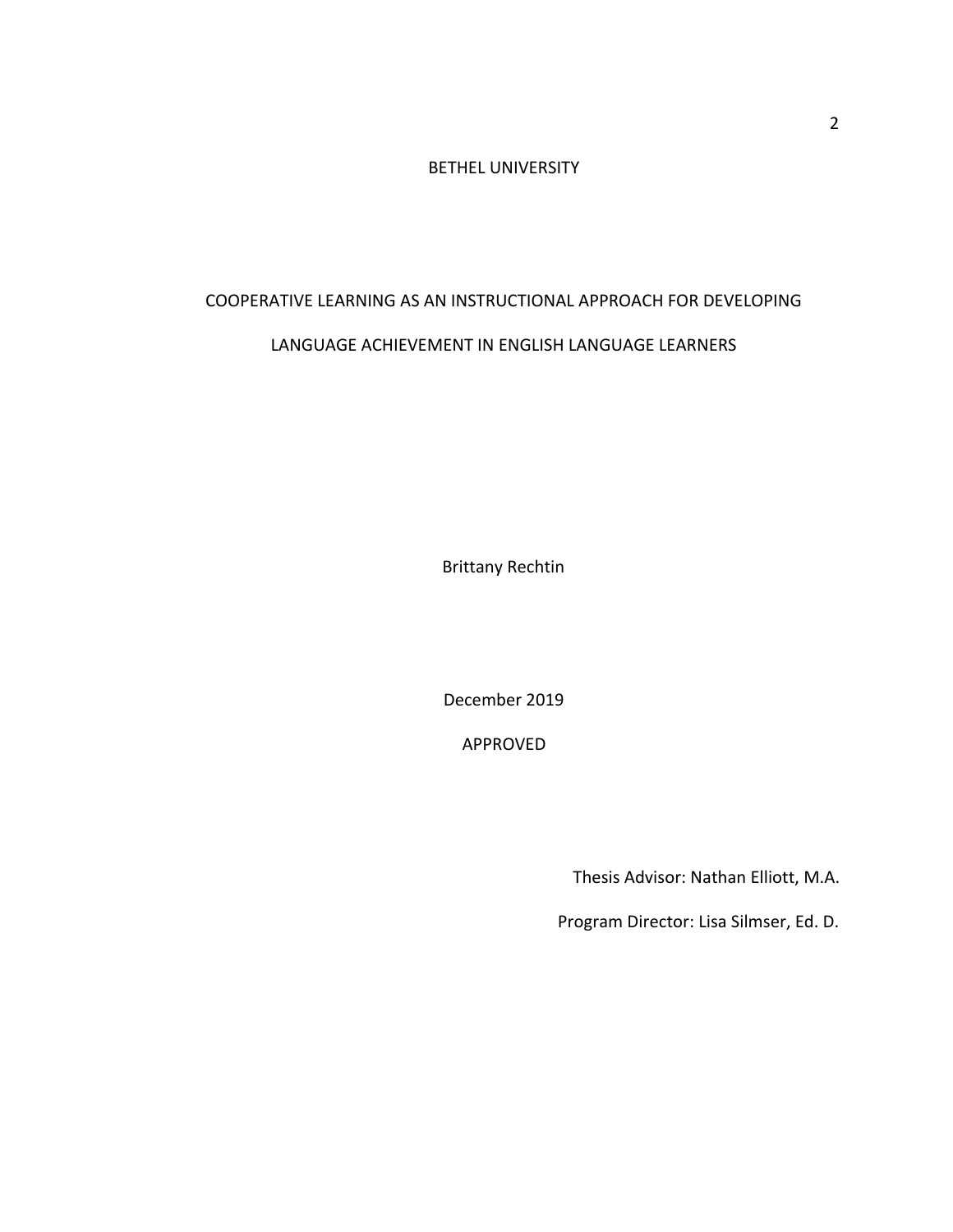BETHEL UNIVERSITY

# COOPERATIVE LEARNING AS AN INSTRUCTIONAL APPROACH FOR DEVELOPING

# LANGUAGE ACHIEVEMENT IN ENGLISH LANGUAGE LEARNERS

Brittany Rechtin

December 2019

APPROVED

Thesis Advisor: Nathan Elliott, M.A.

Program Director: Lisa Silmser, Ed. D.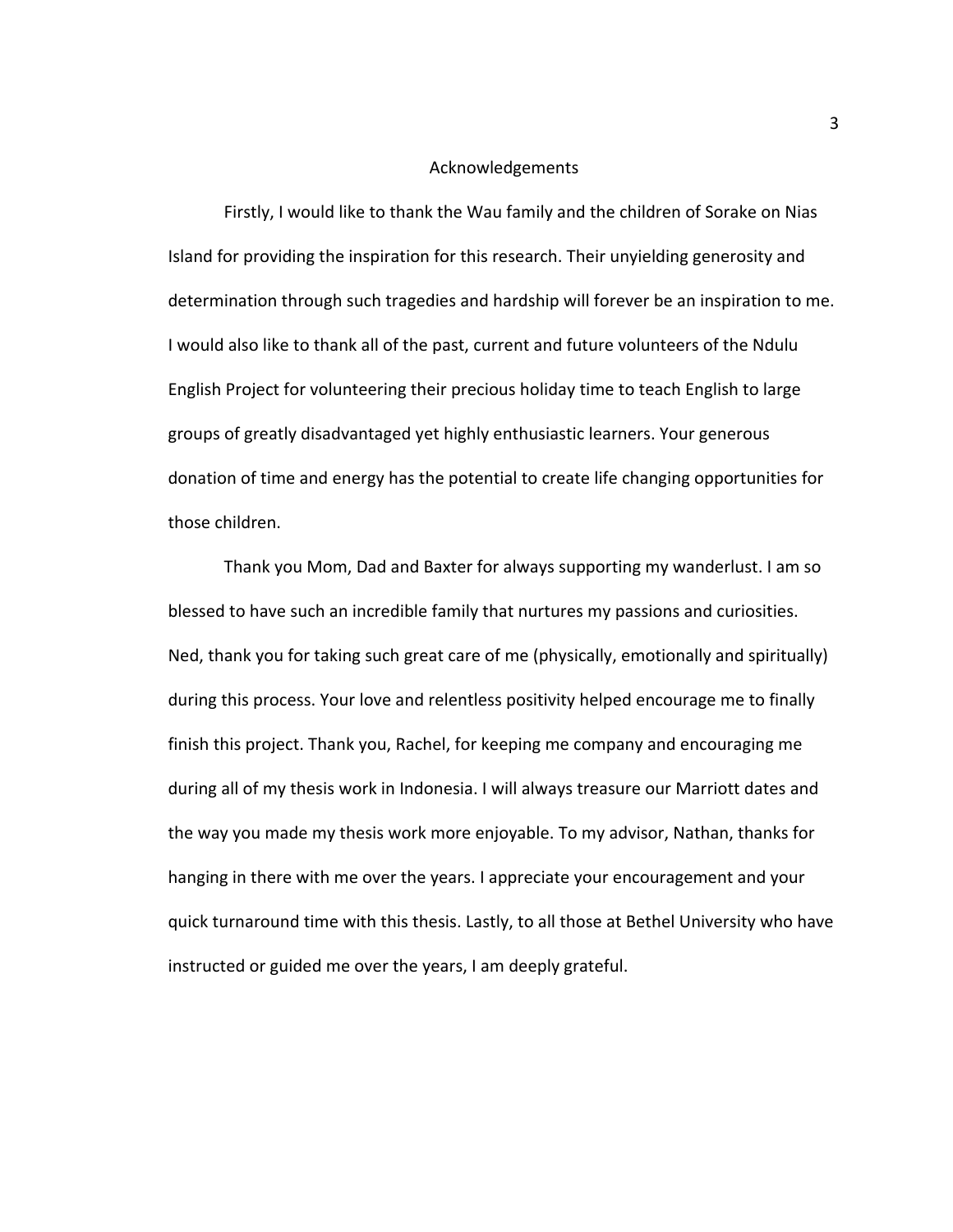#### Acknowledgements

Firstly, I would like to thank the Wau family and the children of Sorake on Nias Island for providing the inspiration for this research. Their unyielding generosity and determination through such tragedies and hardship will forever be an inspiration to me. I would also like to thank all of the past, current and future volunteers of the Ndulu English Project for volunteering their precious holiday time to teach English to large groups of greatly disadvantaged yet highly enthusiastic learners. Your generous donation of time and energy has the potential to create life changing opportunities for those children.

Thank you Mom, Dad and Baxter for always supporting my wanderlust. I am so blessed to have such an incredible family that nurtures my passions and curiosities. Ned, thank you for taking such great care of me (physically, emotionally and spiritually) during this process. Your love and relentless positivity helped encourage me to finally finish this project. Thank you, Rachel, for keeping me company and encouraging me during all of my thesis work in Indonesia. I will always treasure our Marriott dates and the way you made my thesis work more enjoyable. To my advisor, Nathan, thanks for hanging in there with me over the years. I appreciate your encouragement and your quick turnaround time with this thesis. Lastly, to all those at Bethel University who have instructed or guided me over the years, I am deeply grateful.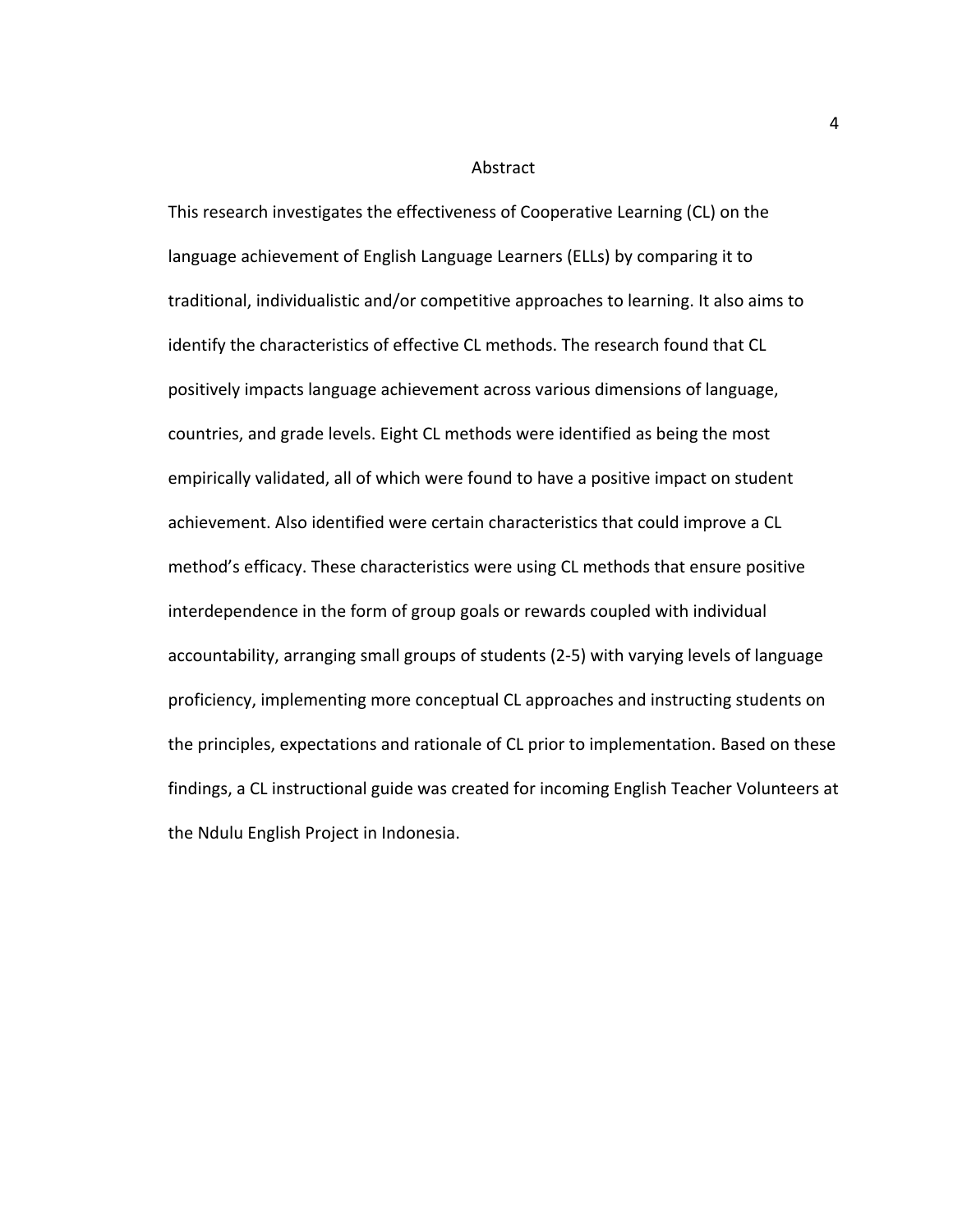#### Abstract

This research investigates the effectiveness of Cooperative Learning (CL) on the language achievement of English Language Learners (ELLs) by comparing it to traditional, individualistic and/or competitive approaches to learning. It also aims to identify the characteristics of effective CL methods. The research found that CL positively impacts language achievement across various dimensions of language, countries, and grade levels. Eight CL methods were identified as being the most empirically validated, all of which were found to have a positive impact on student achievement. Also identified were certain characteristics that could improve a CL method's efficacy. These characteristics were using CL methods that ensure positive interdependence in the form of group goals or rewards coupled with individual accountability, arranging small groups of students (2-5) with varying levels of language proficiency, implementing more conceptual CL approaches and instructing students on the principles, expectations and rationale of CL prior to implementation. Based on these findings, a CL instructional guide was created for incoming English Teacher Volunteers at the Ndulu English Project in Indonesia.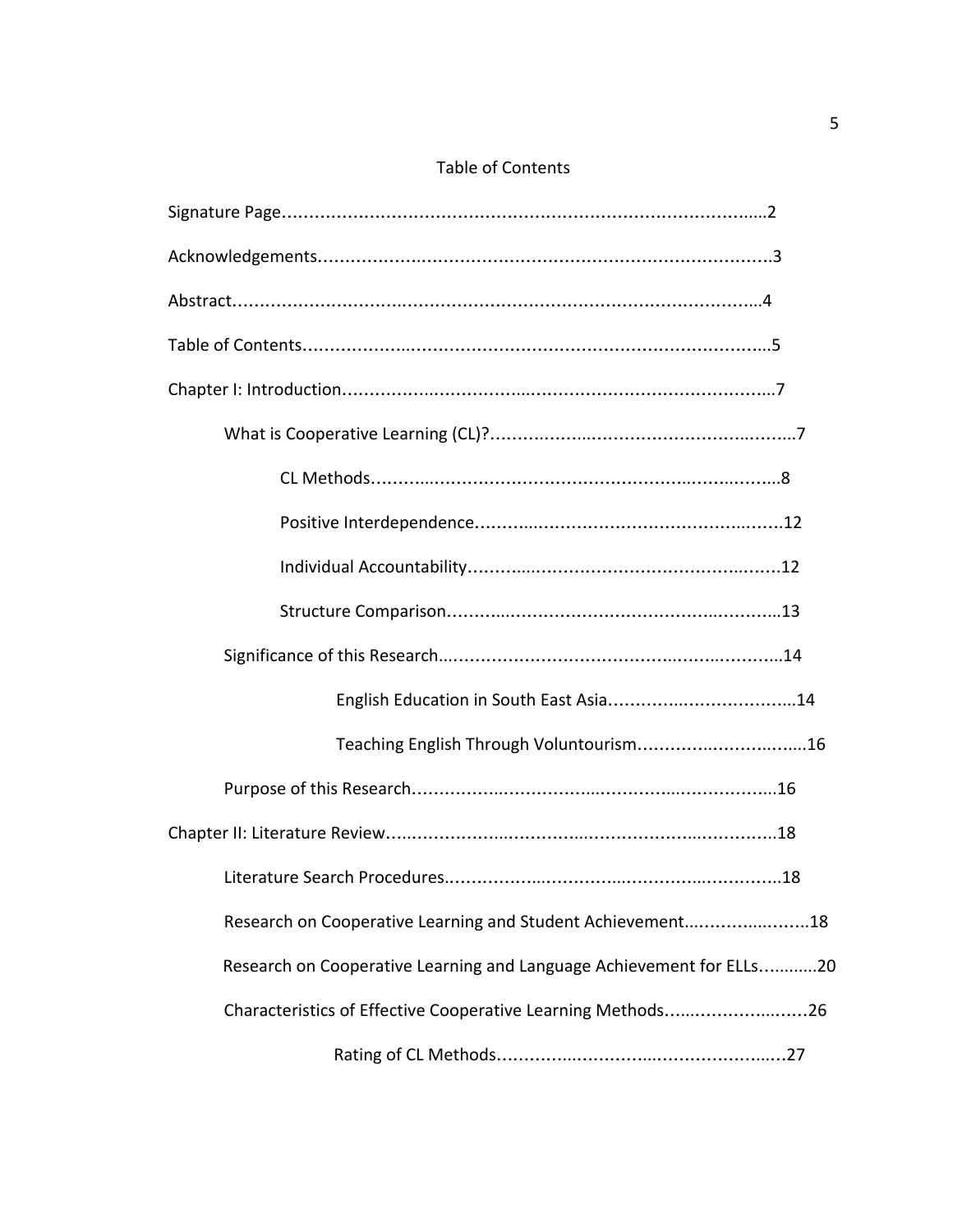# Table of Contents

| Research on Cooperative Learning and Student Achievement18           |
|----------------------------------------------------------------------|
| Research on Cooperative Learning and Language Achievement for ELLs20 |
| Characteristics of Effective Cooperative Learning Methods26          |
|                                                                      |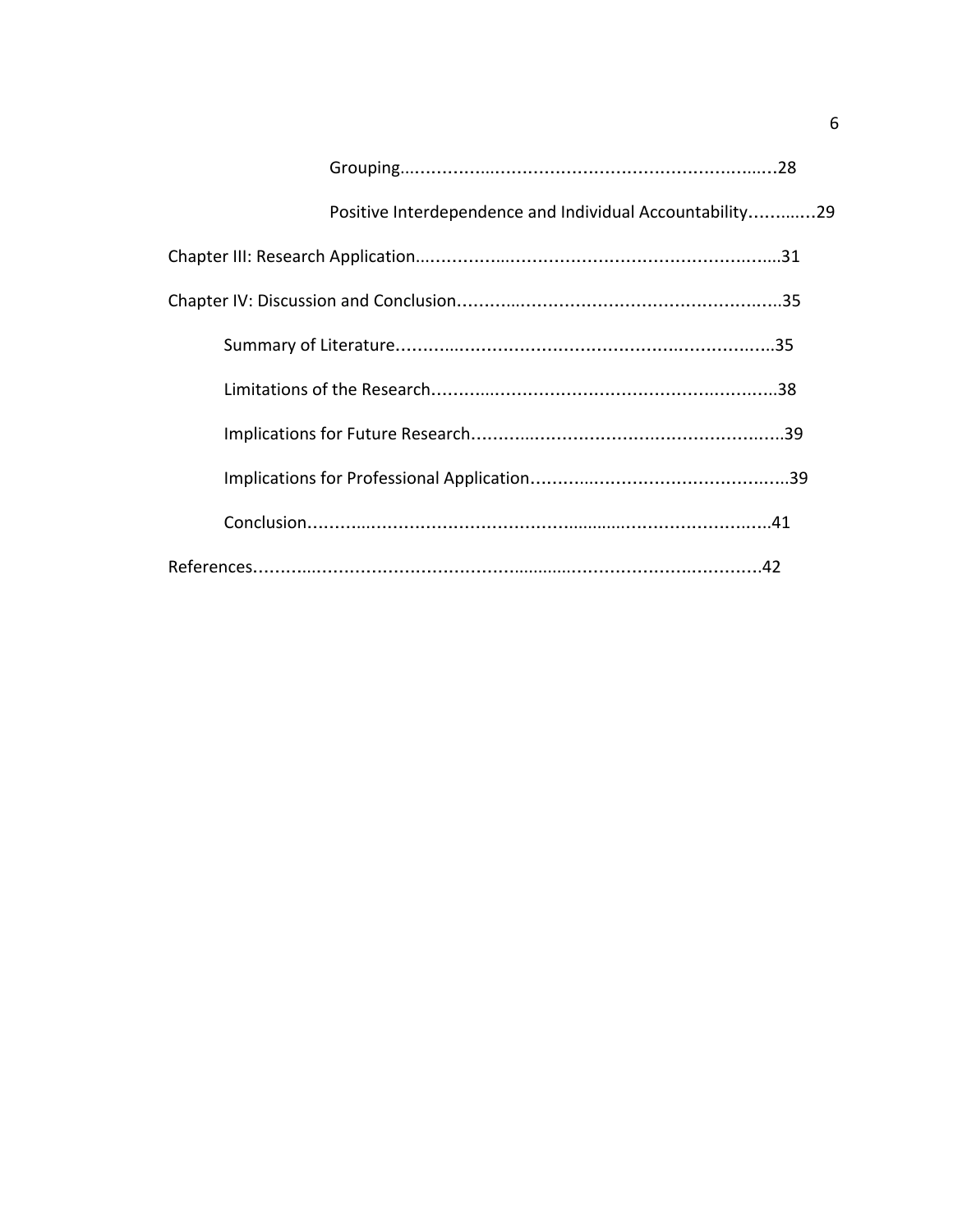| Positive Interdependence and Individual Accountability29 |  |
|----------------------------------------------------------|--|
|                                                          |  |
|                                                          |  |
|                                                          |  |
|                                                          |  |
|                                                          |  |
|                                                          |  |
|                                                          |  |
|                                                          |  |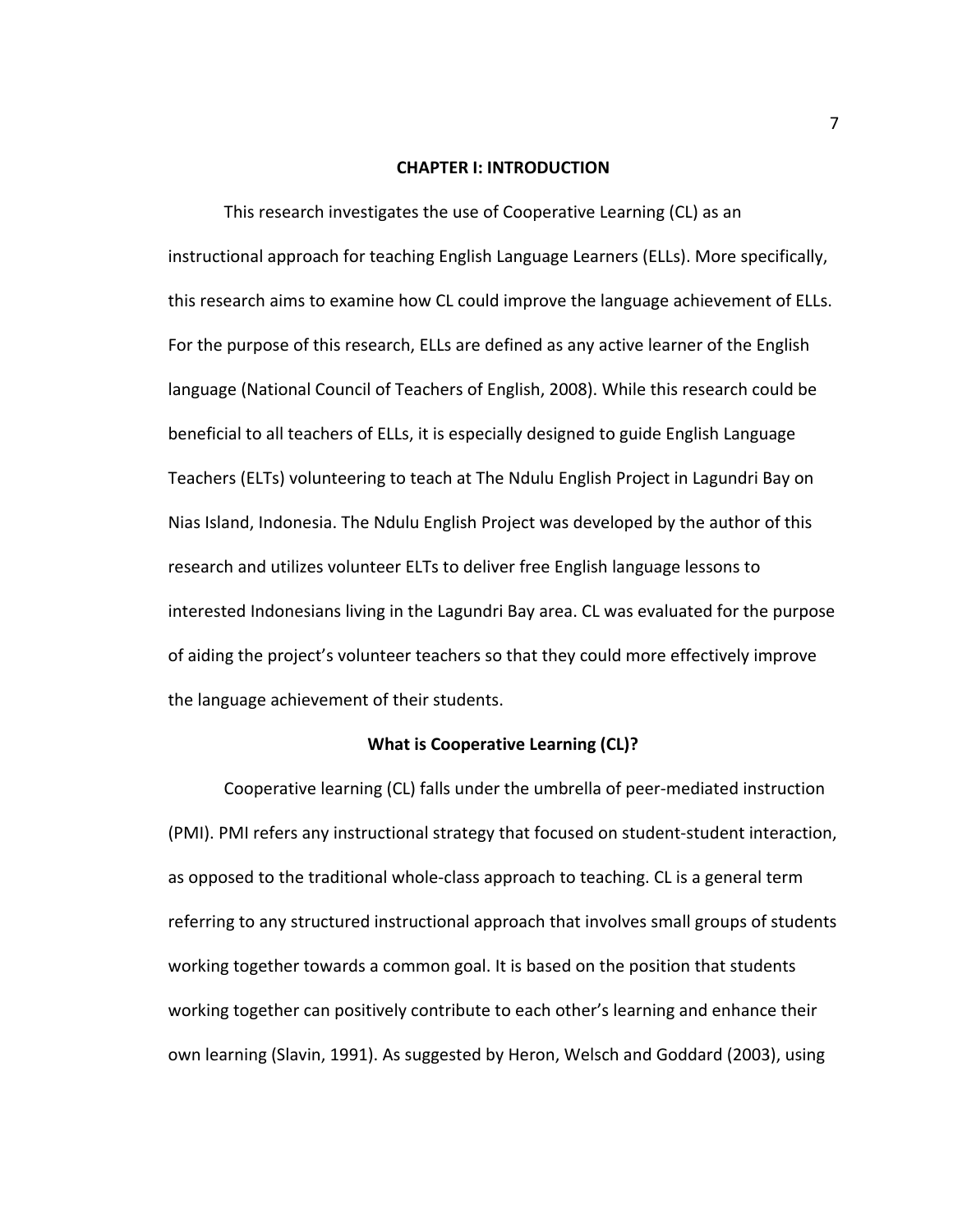#### **CHAPTER I: INTRODUCTION**

This research investigates the use of Cooperative Learning (CL) as an instructional approach for teaching English Language Learners (ELLs). More specifically, this research aims to examine how CL could improve the language achievement of ELLs. For the purpose of this research, ELLs are defined as any active learner of the English language (National Council of Teachers of English, 2008). While this research could be beneficial to all teachers of ELLs, it is especially designed to guide English Language Teachers (ELTs) volunteering to teach at The Ndulu English Project in Lagundri Bay on Nias Island, Indonesia. The Ndulu English Project was developed by the author of this research and utilizes volunteer ELTs to deliver free English language lessons to interested Indonesians living in the Lagundri Bay area. CL was evaluated for the purpose of aiding the project's volunteer teachers so that they could more effectively improve the language achievement of their students.

## **What is Cooperative Learning (CL)?**

Cooperative learning (CL) falls under the umbrella of peer-mediated instruction (PMI). PMI refers any instructional strategy that focused on student-student interaction, as opposed to the traditional whole-class approach to teaching. CL is a general term referring to any structured instructional approach that involves small groups of students working together towards a common goal. It is based on the position that students working together can positively contribute to each other's learning and enhance their own learning (Slavin, 1991). As suggested by Heron, Welsch and Goddard (2003), using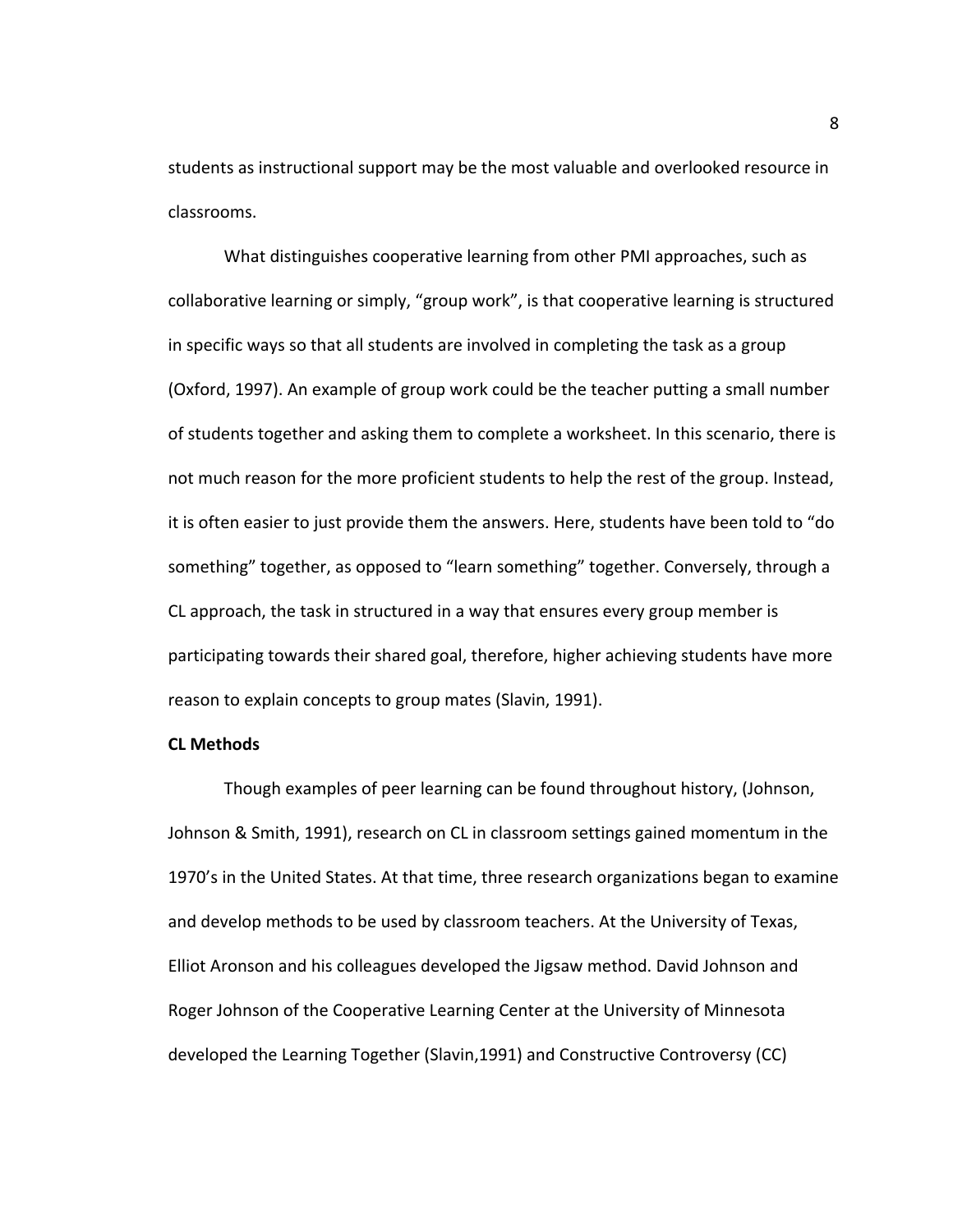students as instructional support may be the most valuable and overlooked resource in classrooms.

What distinguishes cooperative learning from other PMI approaches, such as collaborative learning or simply, "group work", is that cooperative learning is structured in specific ways so that all students are involved in completing the task as a group (Oxford, 1997). An example of group work could be the teacher putting a small number of students together and asking them to complete a worksheet. In this scenario, there is not much reason for the more proficient students to help the rest of the group. Instead, it is often easier to just provide them the answers. Here, students have been told to "do something" together, as opposed to "learn something" together. Conversely, through a CL approach, the task in structured in a way that ensures every group member is participating towards their shared goal, therefore, higher achieving students have more reason to explain concepts to group mates (Slavin, 1991).

## **CL Methods**

Though examples of peer learning can be found throughout history, (Johnson, Johnson & Smith, 1991), research on CL in classroom settings gained momentum in the 1970's in the United States. At that time, three research organizations began to examine and develop methods to be used by classroom teachers. At the University of Texas, Elliot Aronson and his colleagues developed the Jigsaw method. David Johnson and Roger Johnson of the Cooperative Learning Center at the University of Minnesota developed the Learning Together (Slavin,1991) and Constructive Controversy (CC)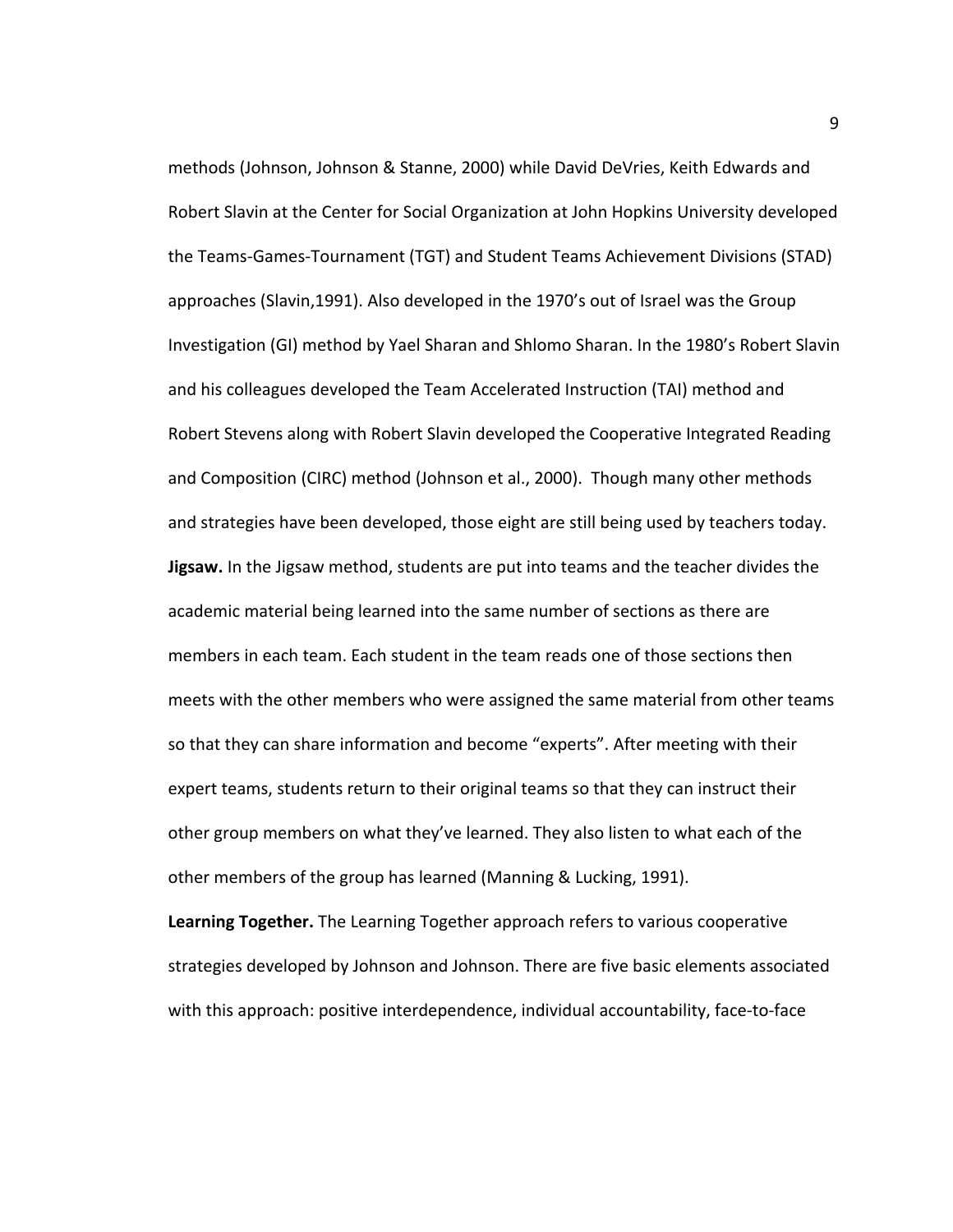methods (Johnson, Johnson & Stanne, 2000) while David DeVries, Keith Edwards and Robert Slavin at the Center for Social Organization at John Hopkins University developed the Teams-Games-Tournament (TGT) and Student Teams Achievement Divisions (STAD) approaches (Slavin,1991). Also developed in the 1970's out of Israel was the Group Investigation (GI) method by Yael Sharan and Shlomo Sharan. In the 1980's Robert Slavin and his colleagues developed the Team Accelerated Instruction (TAI) method and Robert Stevens along with Robert Slavin developed the Cooperative Integrated Reading and Composition (CIRC) method (Johnson et al., 2000). Though many other methods and strategies have been developed, those eight are still being used by teachers today. **Jigsaw.** In the Jigsaw method, students are put into teams and the teacher divides the academic material being learned into the same number of sections as there are members in each team. Each student in the team reads one of those sections then meets with the other members who were assigned the same material from other teams so that they can share information and become "experts". After meeting with their expert teams, students return to their original teams so that they can instruct their other group members on what they've learned. They also listen to what each of the other members of the group has learned (Manning & Lucking, 1991).

**Learning Together.** The Learning Together approach refers to various cooperative strategies developed by Johnson and Johnson. There are five basic elements associated with this approach: positive interdependence, individual accountability, face-to-face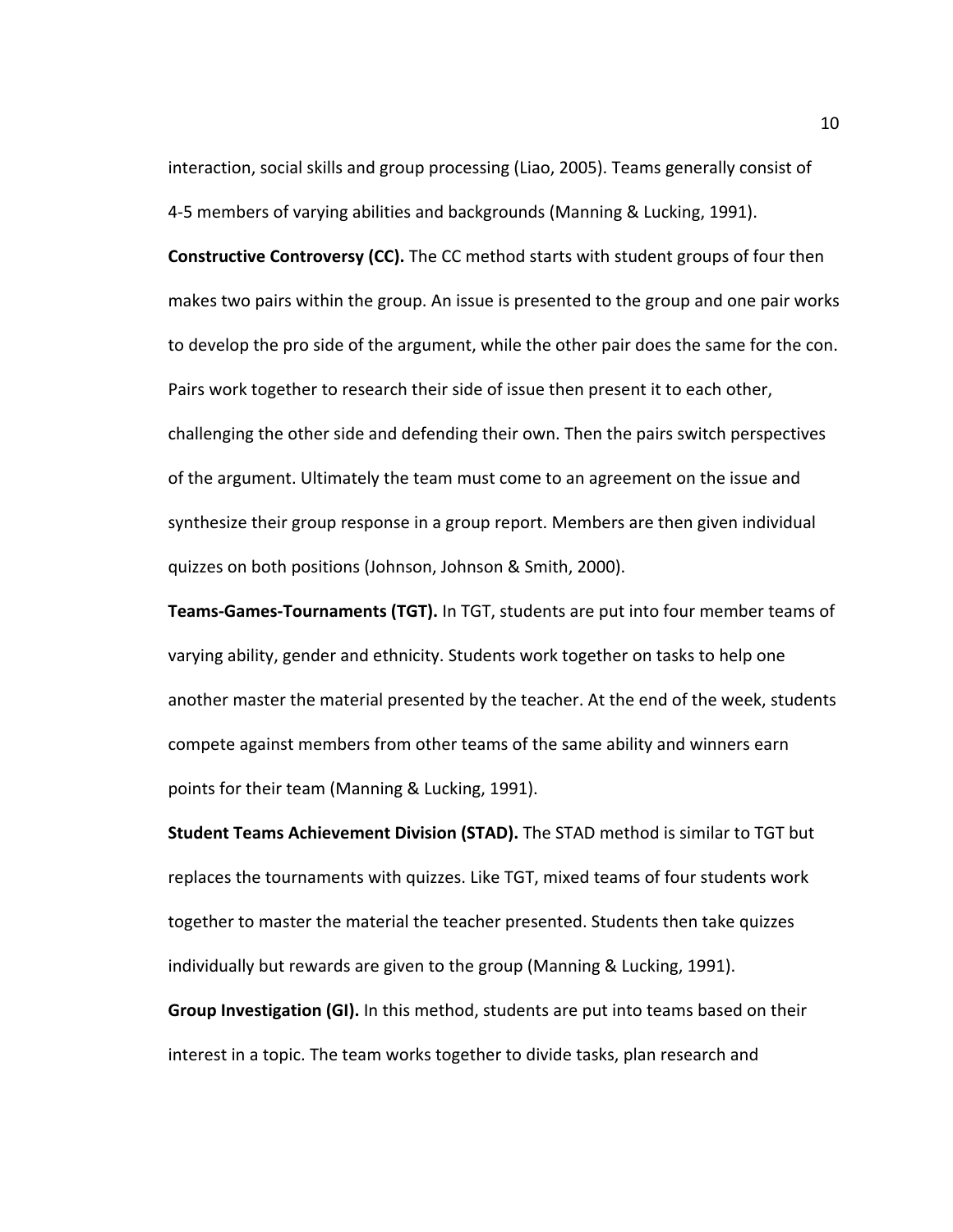interaction, social skills and group processing (Liao, 2005). Teams generally consist of 4-5 members of varying abilities and backgrounds (Manning & Lucking, 1991).

**Constructive Controversy (CC).** The CC method starts with student groups of four then makes two pairs within the group. An issue is presented to the group and one pair works to develop the pro side of the argument, while the other pair does the same for the con. Pairs work together to research their side of issue then present it to each other, challenging the other side and defending their own. Then the pairs switch perspectives of the argument. Ultimately the team must come to an agreement on the issue and synthesize their group response in a group report. Members are then given individual quizzes on both positions (Johnson, Johnson & Smith, 2000).

**Teams-Games-Tournaments (TGT).** In TGT, students are put into four member teams of varying ability, gender and ethnicity. Students work together on tasks to help one another master the material presented by the teacher. At the end of the week, students compete against members from other teams of the same ability and winners earn points for their team (Manning & Lucking, 1991).

**Student Teams Achievement Division (STAD).** The STAD method is similar to TGT but replaces the tournaments with quizzes. Like TGT, mixed teams of four students work together to master the material the teacher presented. Students then take quizzes individually but rewards are given to the group (Manning & Lucking, 1991). **Group Investigation (GI).** In this method, students are put into teams based on their interest in a topic. The team works together to divide tasks, plan research and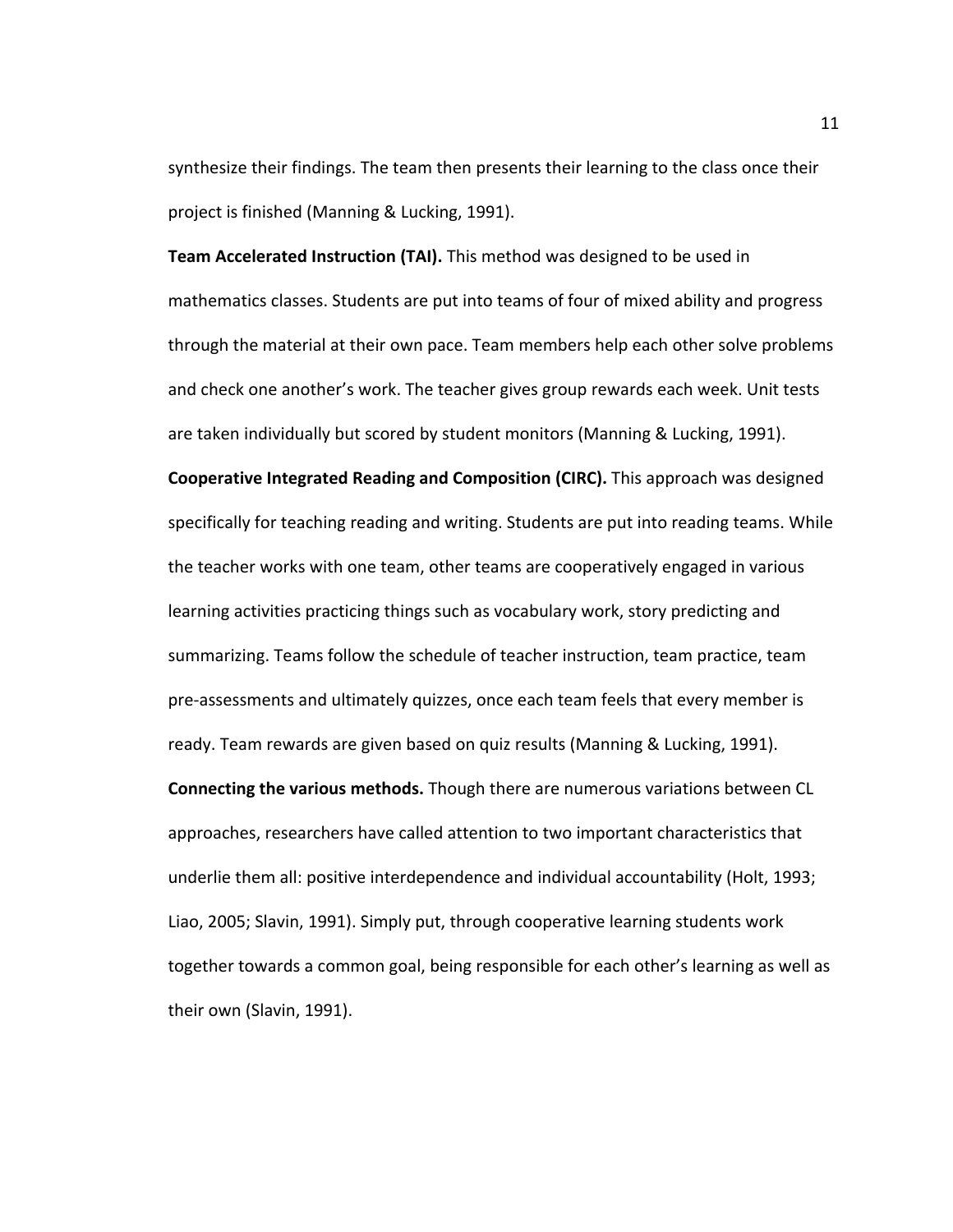synthesize their findings. The team then presents their learning to the class once their project is finished (Manning & Lucking, 1991).

**Team Accelerated Instruction (TAI).** This method was designed to be used in mathematics classes. Students are put into teams of four of mixed ability and progress through the material at their own pace. Team members help each other solve problems and check one another's work. The teacher gives group rewards each week. Unit tests are taken individually but scored by student monitors (Manning & Lucking, 1991).

**Cooperative Integrated Reading and Composition (CIRC).** This approach was designed specifically for teaching reading and writing. Students are put into reading teams. While the teacher works with one team, other teams are cooperatively engaged in various learning activities practicing things such as vocabulary work, story predicting and summarizing. Teams follow the schedule of teacher instruction, team practice, team pre-assessments and ultimately quizzes, once each team feels that every member is ready. Team rewards are given based on quiz results (Manning & Lucking, 1991).

**Connecting the various methods.** Though there are numerous variations between CL approaches, researchers have called attention to two important characteristics that underlie them all: positive interdependence and individual accountability (Holt, 1993; Liao, 2005; Slavin, 1991). Simply put, through cooperative learning students work together towards a common goal, being responsible for each other's learning as well as their own (Slavin, 1991).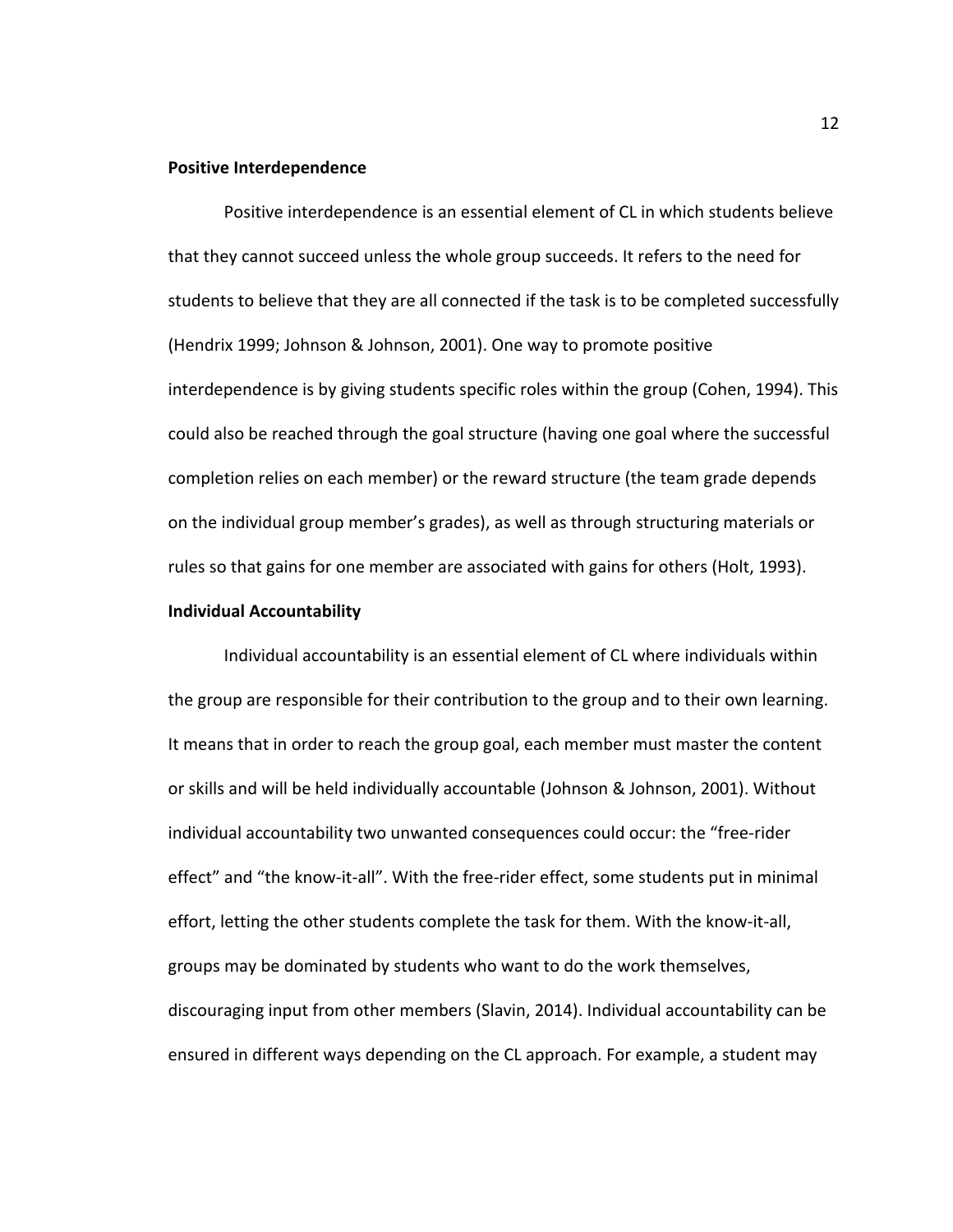#### **Positive Interdependence**

Positive interdependence is an essential element of CL in which students believe that they cannot succeed unless the whole group succeeds. It refers to the need for students to believe that they are all connected if the task is to be completed successfully (Hendrix 1999; Johnson & Johnson, 2001). One way to promote positive interdependence is by giving students specific roles within the group (Cohen, 1994). This could also be reached through the goal structure (having one goal where the successful completion relies on each member) or the reward structure (the team grade depends on the individual group member's grades), as well as through structuring materials or rules so that gains for one member are associated with gains for others (Holt, 1993).

## **Individual Accountability**

Individual accountability is an essential element of CL where individuals within the group are responsible for their contribution to the group and to their own learning. It means that in order to reach the group goal, each member must master the content or skills and will be held individually accountable (Johnson & Johnson, 2001). Without individual accountability two unwanted consequences could occur: the "free-rider effect" and "the know-it-all". With the free-rider effect, some students put in minimal effort, letting the other students complete the task for them. With the know-it-all, groups may be dominated by students who want to do the work themselves, discouraging input from other members (Slavin, 2014). Individual accountability can be ensured in different ways depending on the CL approach. For example, a student may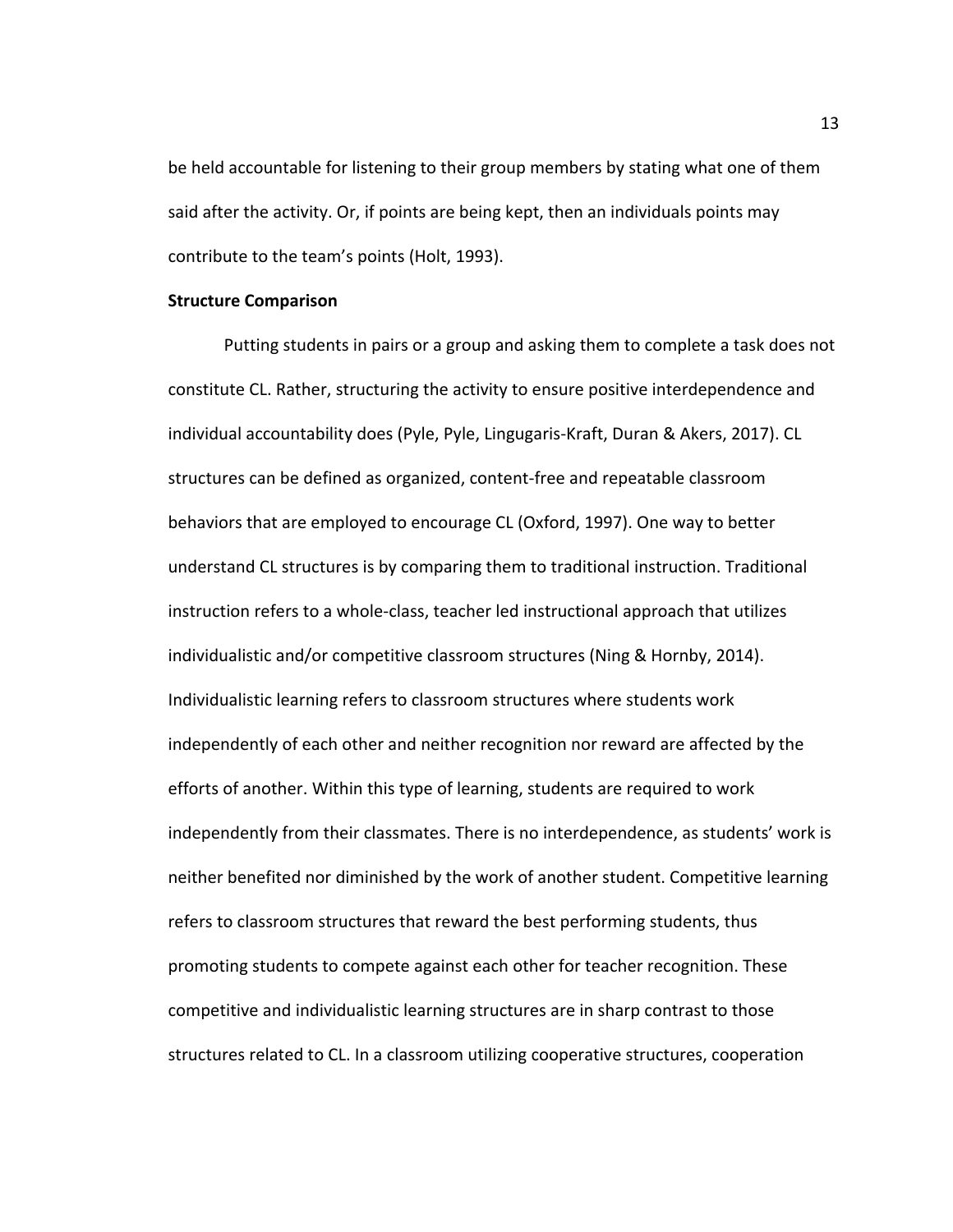be held accountable for listening to their group members by stating what one of them said after the activity. Or, if points are being kept, then an individuals points may contribute to the team's points (Holt, 1993).

## **Structure Comparison**

Putting students in pairs or a group and asking them to complete a task does not constitute CL. Rather, structuring the activity to ensure positive interdependence and individual accountability does (Pyle, Pyle, Lingugaris-Kraft, Duran & Akers, 2017). CL structures can be defined as organized, content-free and repeatable classroom behaviors that are employed to encourage CL (Oxford, 1997). One way to better understand CL structures is by comparing them to traditional instruction. Traditional instruction refers to a whole-class, teacher led instructional approach that utilizes individualistic and/or competitive classroom structures (Ning & Hornby, 2014). Individualistic learning refers to classroom structures where students work independently of each other and neither recognition nor reward are affected by the efforts of another. Within this type of learning, students are required to work independently from their classmates. There is no interdependence, as students' work is neither benefited nor diminished by the work of another student. Competitive learning refers to classroom structures that reward the best performing students, thus promoting students to compete against each other for teacher recognition. These competitive and individualistic learning structures are in sharp contrast to those structures related to CL. In a classroom utilizing cooperative structures, cooperation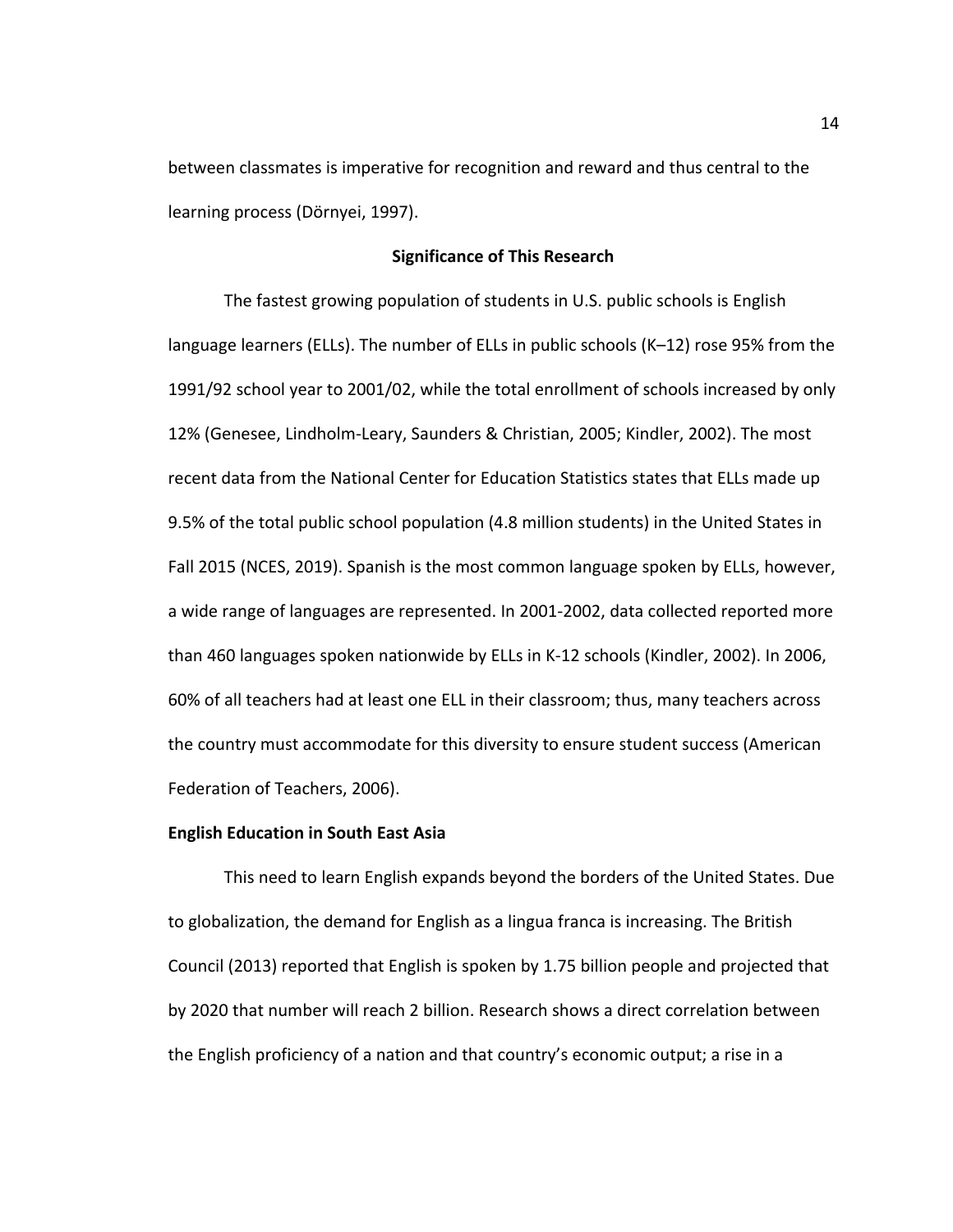between classmates is imperative for recognition and reward and thus central to the learning process (Dörnyei, 1997).

## **Significance of This Research**

The fastest growing population of students in U.S. public schools is English language learners (ELLs). The number of ELLs in public schools (K–12) rose 95% from the 1991/92 school year to 2001/02, while the total enrollment of schools increased by only 12% (Genesee, Lindholm-Leary, Saunders & Christian, 2005; Kindler, 2002). The most recent data from the National Center for Education Statistics states that ELLs made up 9.5% of the total public school population (4.8 million students) in the United States in Fall 2015 (NCES, 2019). Spanish is the most common language spoken by ELLs, however, a wide range of languages are represented. In 2001-2002, data collected reported more than 460 languages spoken nationwide by ELLs in K-12 schools (Kindler, 2002). In 2006, 60% of all teachers had at least one ELL in their classroom; thus, many teachers across the country must accommodate for this diversity to ensure student success (American Federation of Teachers, 2006).

#### **English Education in South East Asia**

This need to learn English expands beyond the borders of the United States. Due to globalization, the demand for English as a lingua franca is increasing. The British Council (2013) reported that English is spoken by 1.75 billion people and projected that by 2020 that number will reach 2 billion. Research shows a direct correlation between the English proficiency of a nation and that country's economic output; a rise in a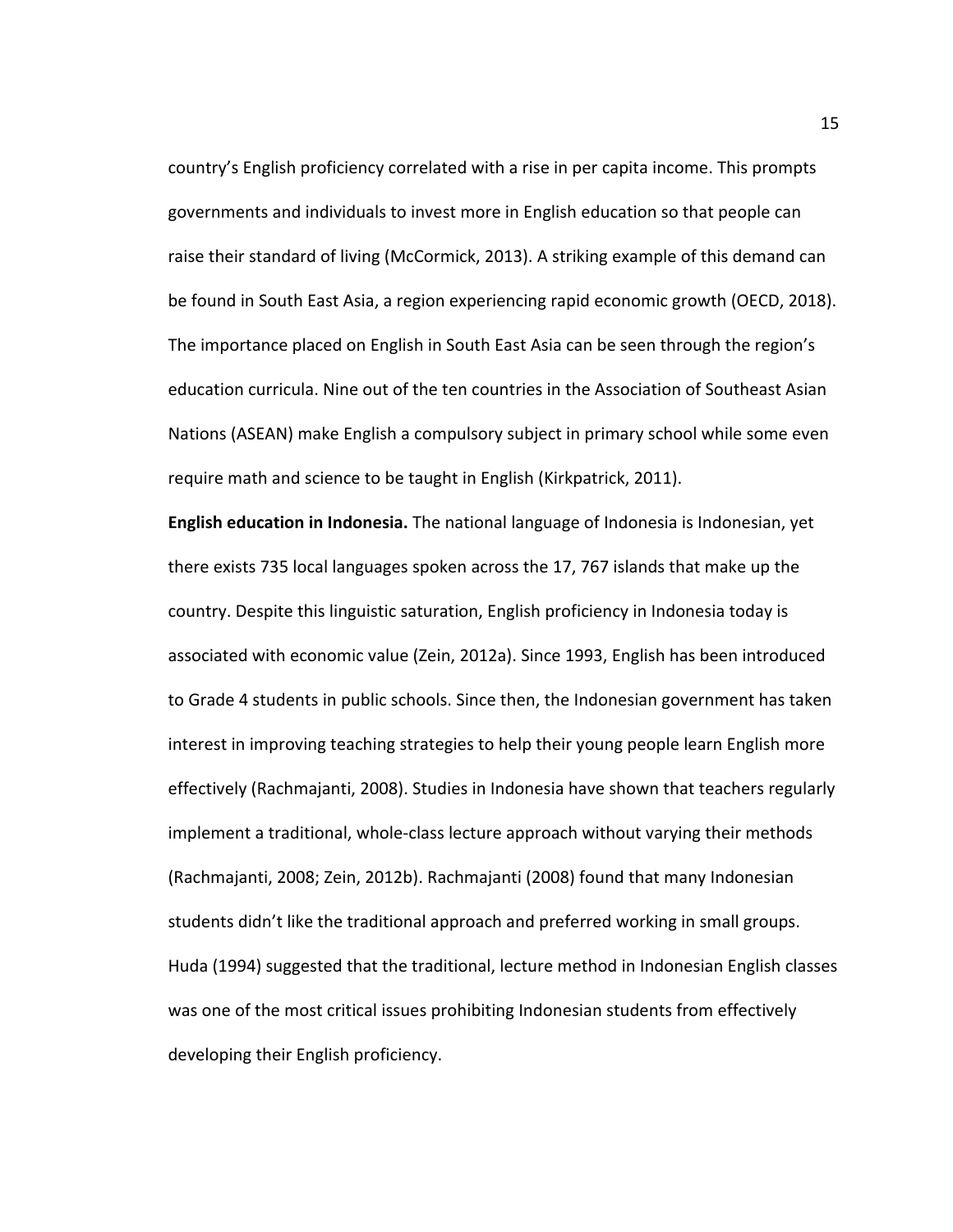country's English proficiency correlated with a rise in per capita income. This prompts governments and individuals to invest more in English education so that people can raise their standard of living (McCormick, 2013). A striking example of this demand can be found in South East Asia, a region experiencing rapid economic growth (OECD, 2018). The importance placed on English in South East Asia can be seen through the region's education curricula. Nine out of the ten countries in the Association of Southeast Asian Nations (ASEAN) make English a compulsory subject in primary school while some even require math and science to be taught in English (Kirkpatrick, 2011).

**English education in Indonesia.** The national language of Indonesia is Indonesian, yet there exists 735 local languages spoken across the 17, 767 islands that make up the country. Despite this linguistic saturation, English proficiency in Indonesia today is associated with economic value (Zein, 2012a). Since 1993, English has been introduced to Grade 4 students in public schools. Since then, the Indonesian government has taken interest in improving teaching strategies to help their young people learn English more effectively (Rachmajanti, 2008). Studies in Indonesia have shown that teachers regularly implement a traditional, whole-class lecture approach without varying their methods (Rachmajanti, 2008; Zein, 2012b). Rachmajanti (2008) found that many Indonesian students didn't like the traditional approach and preferred working in small groups. Huda (1994) suggested that the traditional, lecture method in Indonesian English classes was one of the most critical issues prohibiting Indonesian students from effectively developing their English proficiency.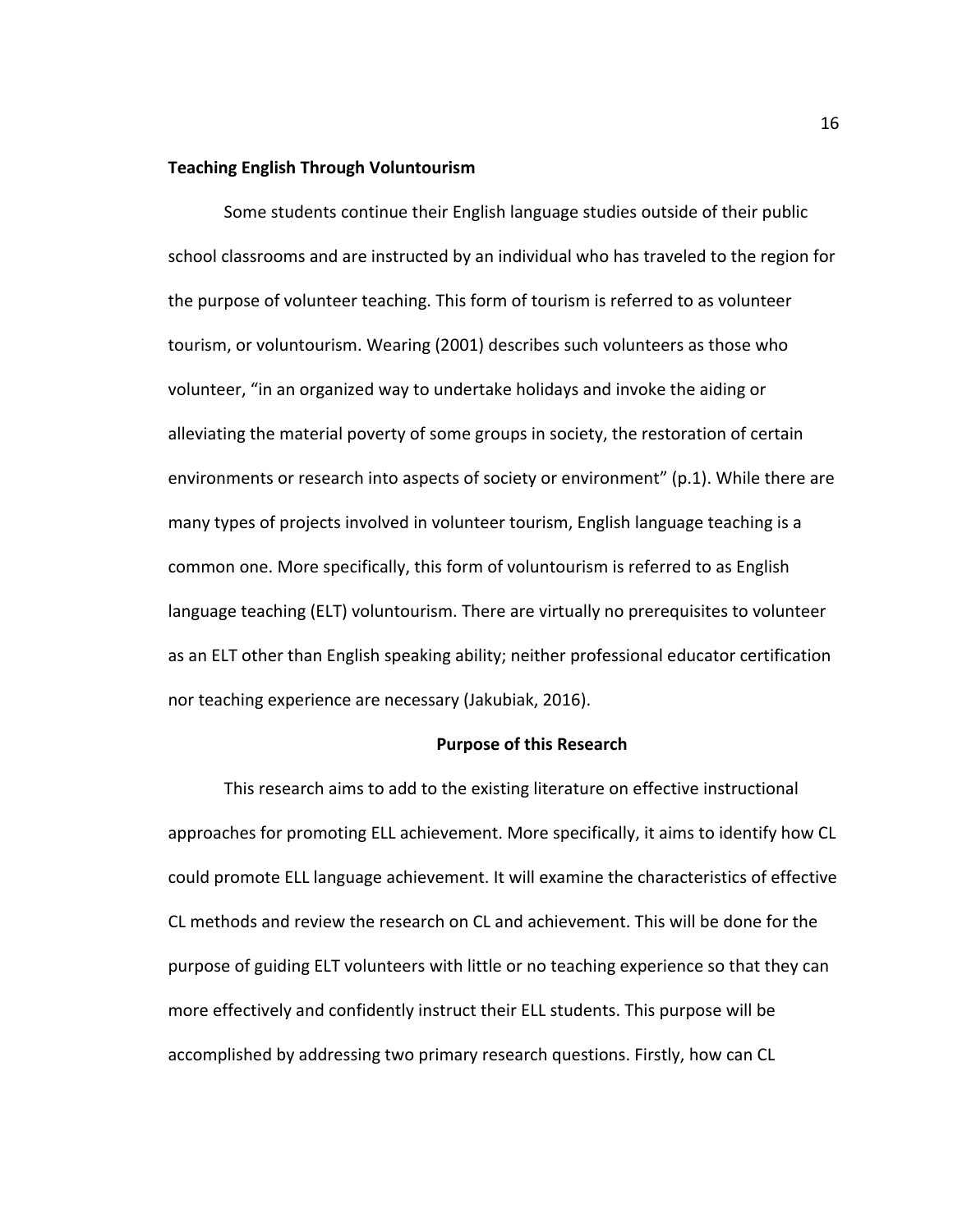## **Teaching English Through Voluntourism**

Some students continue their English language studies outside of their public school classrooms and are instructed by an individual who has traveled to the region for the purpose of volunteer teaching. This form of tourism is referred to as volunteer tourism, or voluntourism. Wearing (2001) describes such volunteers as those who volunteer, "in an organized way to undertake holidays and invoke the aiding or alleviating the material poverty of some groups in society, the restoration of certain environments or research into aspects of society or environment" (p.1). While there are many types of projects involved in volunteer tourism, English language teaching is a common one. More specifically, this form of voluntourism is referred to as English language teaching (ELT) voluntourism. There are virtually no prerequisites to volunteer as an ELT other than English speaking ability; neither professional educator certification nor teaching experience are necessary (Jakubiak, 2016).

## **Purpose of this Research**

This research aims to add to the existing literature on effective instructional approaches for promoting ELL achievement. More specifically, it aims to identify how CL could promote ELL language achievement. It will examine the characteristics of effective CL methods and review the research on CL and achievement. This will be done for the purpose of guiding ELT volunteers with little or no teaching experience so that they can more effectively and confidently instruct their ELL students. This purpose will be accomplished by addressing two primary research questions. Firstly, how can CL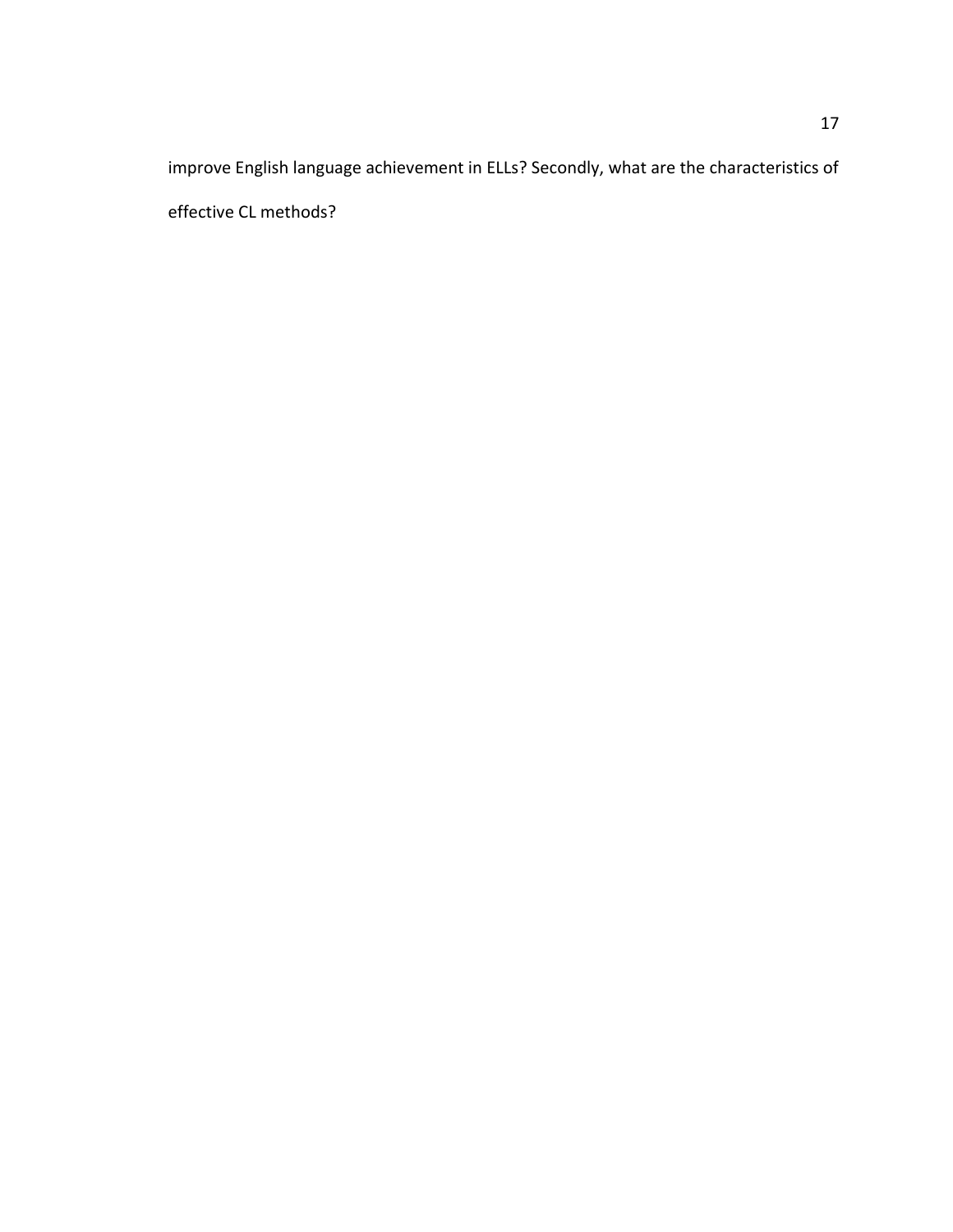improve English language achievement in ELLs? Secondly, what are the characteristics of effective CL methods?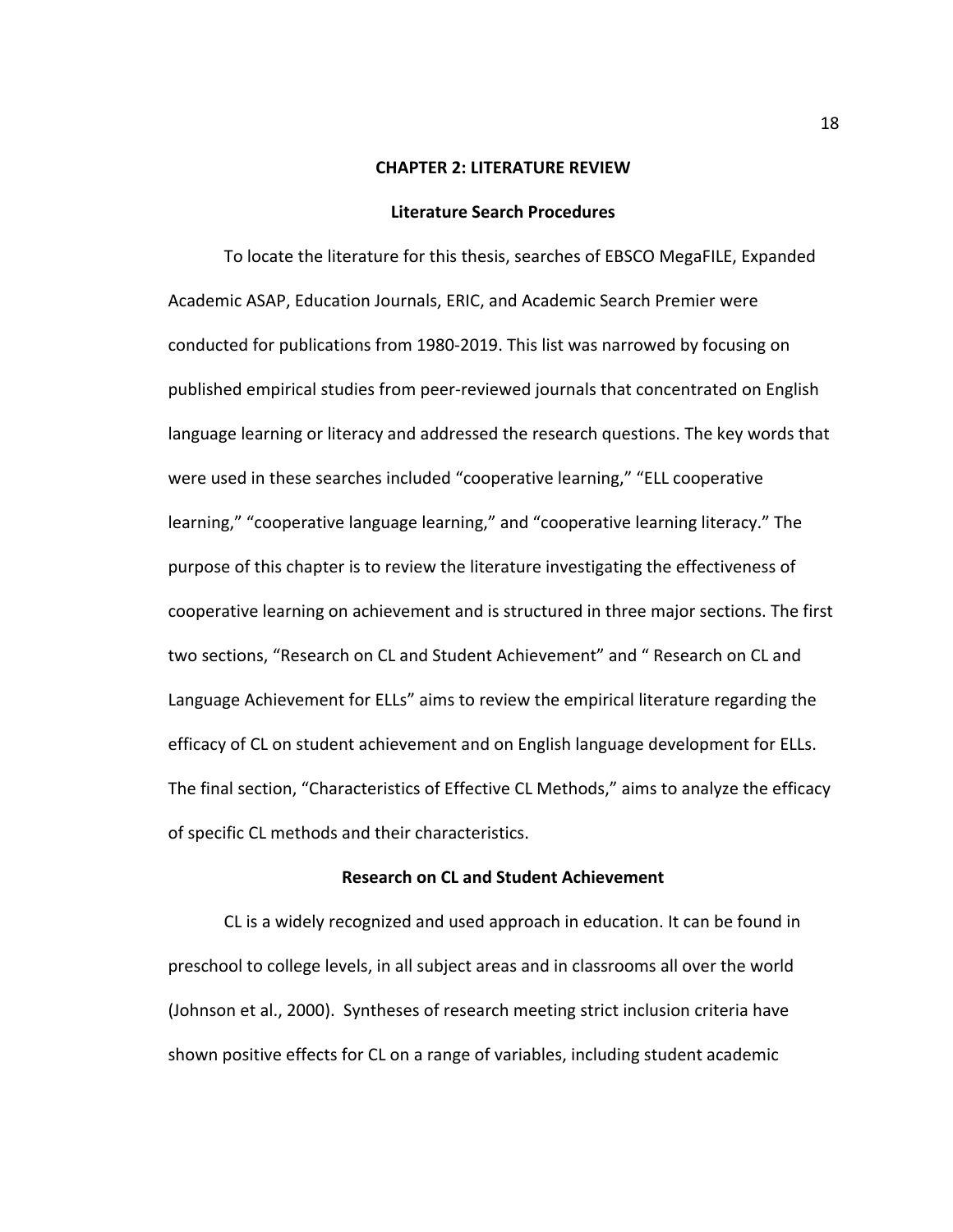#### **CHAPTER 2: LITERATURE REVIEW**

#### **Literature Search Procedures**

To locate the literature for this thesis, searches of EBSCO MegaFILE, Expanded Academic ASAP, Education Journals, ERIC, and Academic Search Premier were conducted for publications from 1980-2019. This list was narrowed by focusing on published empirical studies from peer-reviewed journals that concentrated on English language learning or literacy and addressed the research questions. The key words that were used in these searches included "cooperative learning," "ELL cooperative learning," "cooperative language learning," and "cooperative learning literacy." The purpose of this chapter is to review the literature investigating the effectiveness of cooperative learning on achievement and is structured in three major sections. The first two sections, "Research on CL and Student Achievement" and " Research on CL and Language Achievement for ELLs" aims to review the empirical literature regarding the efficacy of CL on student achievement and on English language development for ELLs. The final section, "Characteristics of Effective CL Methods," aims to analyze the efficacy of specific CL methods and their characteristics.

## **Research on CL and Student Achievement**

CL is a widely recognized and used approach in education. It can be found in preschool to college levels, in all subject areas and in classrooms all over the world (Johnson et al., 2000). Syntheses of research meeting strict inclusion criteria have shown positive effects for CL on a range of variables, including student academic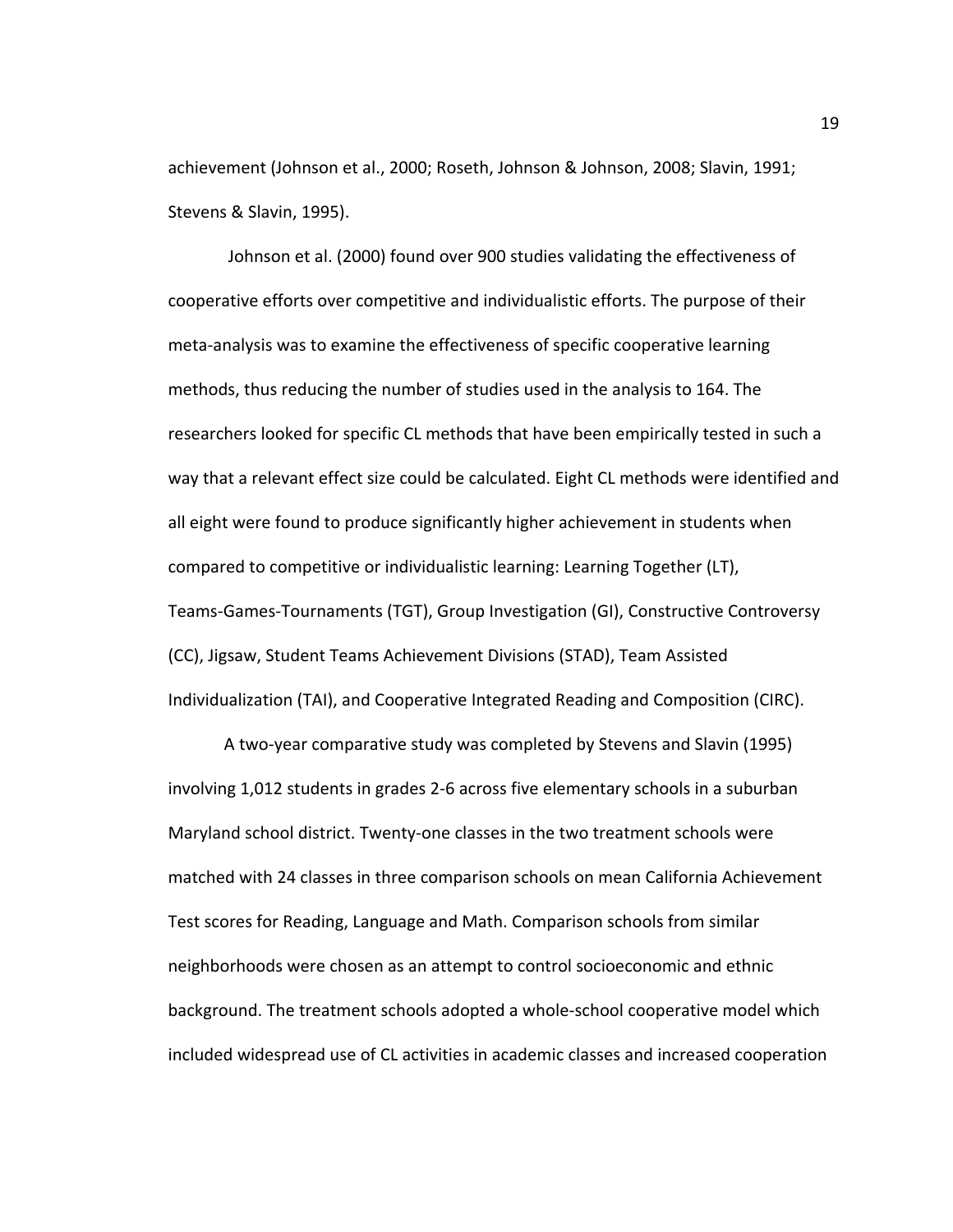achievement (Johnson et al., 2000; Roseth, Johnson & Johnson, 2008; Slavin, 1991; Stevens & Slavin, 1995).

Johnson et al. (2000) found over 900 studies validating the effectiveness of cooperative efforts over competitive and individualistic efforts. The purpose of their meta-analysis was to examine the effectiveness of specific cooperative learning methods, thus reducing the number of studies used in the analysis to 164. The researchers looked for specific CL methods that have been empirically tested in such a way that a relevant effect size could be calculated. Eight CL methods were identified and all eight were found to produce significantly higher achievement in students when compared to competitive or individualistic learning: Learning Together (LT), Teams-Games-Tournaments (TGT), Group Investigation (GI), Constructive Controversy (CC), Jigsaw, Student Teams Achievement Divisions (STAD), Team Assisted Individualization (TAI), and Cooperative Integrated Reading and Composition (CIRC).

A two-year comparative study was completed by Stevens and Slavin (1995) involving 1,012 students in grades 2-6 across five elementary schools in a suburban Maryland school district. Twenty-one classes in the two treatment schools were matched with 24 classes in three comparison schools on mean California Achievement Test scores for Reading, Language and Math. Comparison schools from similar neighborhoods were chosen as an attempt to control socioeconomic and ethnic background. The treatment schools adopted a whole-school cooperative model which included widespread use of CL activities in academic classes and increased cooperation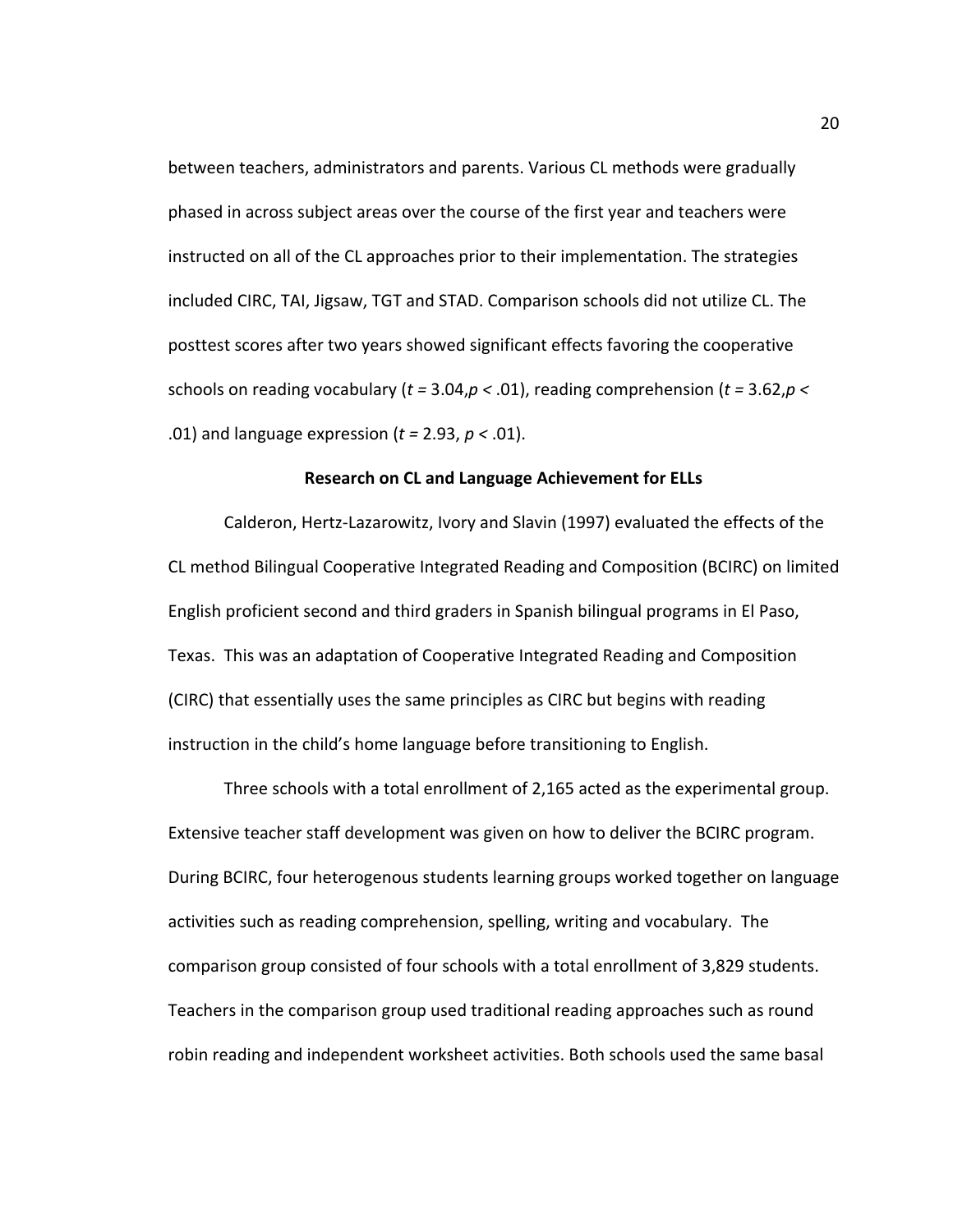between teachers, administrators and parents. Various CL methods were gradually phased in across subject areas over the course of the first year and teachers were instructed on all of the CL approaches prior to their implementation. The strategies included CIRC, TAI, Jigsaw, TGT and STAD. Comparison schools did not utilize CL. The posttest scores after two years showed significant effects favoring the cooperative schools on reading vocabulary (*t =* 3.04,*p <* .01), reading comprehension (*t =* 3.62,*p <* .01) and language expression (*t =* 2.93, *p <* .01).

## **Research on CL and Language Achievement for ELLs**

Calderon, Hertz-Lazarowitz, Ivory and Slavin (1997) evaluated the effects of the CL method Bilingual Cooperative Integrated Reading and Composition (BCIRC) on limited English proficient second and third graders in Spanish bilingual programs in El Paso, Texas. This was an adaptation of Cooperative Integrated Reading and Composition (CIRC) that essentially uses the same principles as CIRC but begins with reading instruction in the child's home language before transitioning to English.

Three schools with a total enrollment of 2,165 acted as the experimental group. Extensive teacher staff development was given on how to deliver the BCIRC program. During BCIRC, four heterogenous students learning groups worked together on language activities such as reading comprehension, spelling, writing and vocabulary. The comparison group consisted of four schools with a total enrollment of 3,829 students. Teachers in the comparison group used traditional reading approaches such as round robin reading and independent worksheet activities. Both schools used the same basal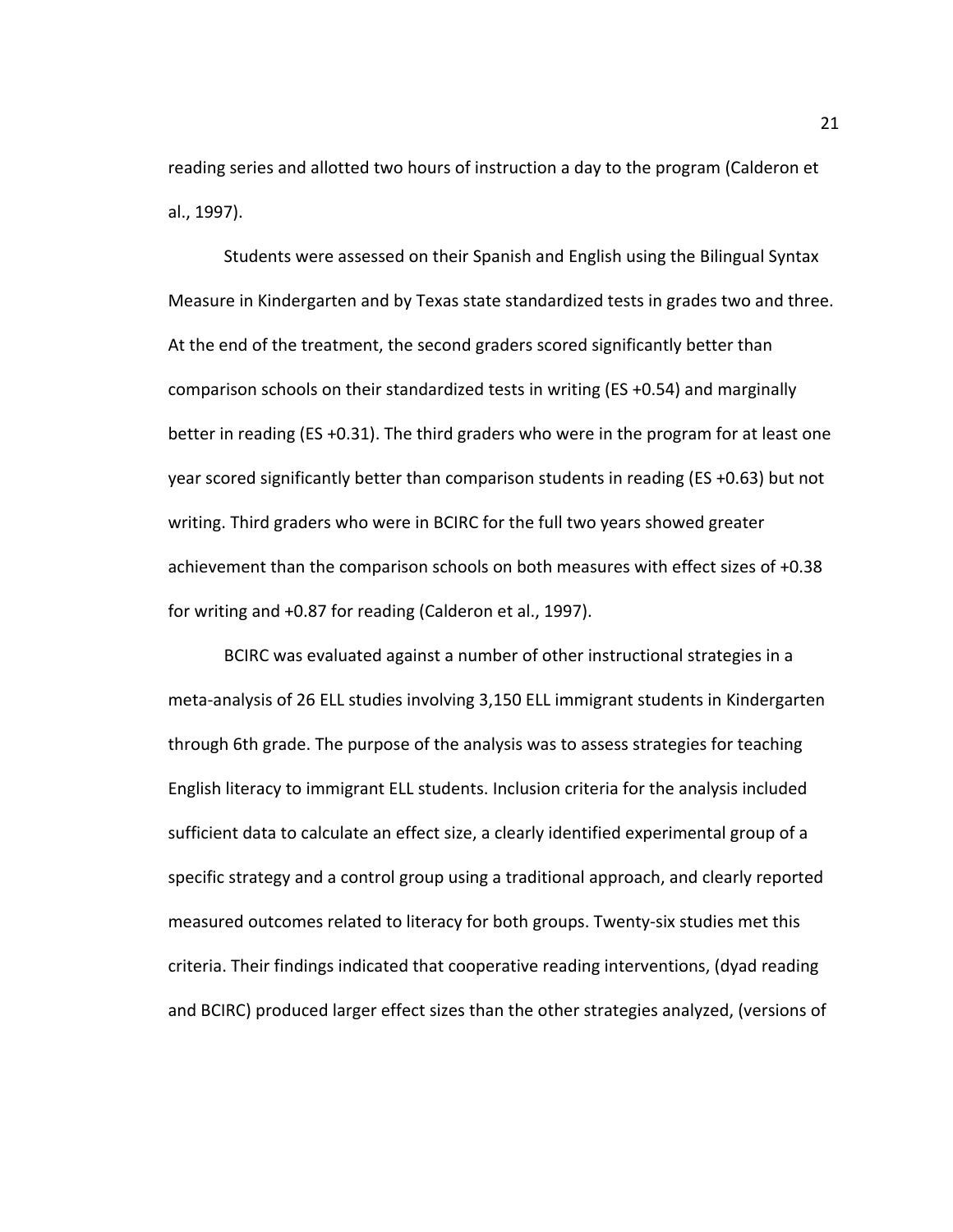reading series and allotted two hours of instruction a day to the program (Calderon et al., 1997).

Students were assessed on their Spanish and English using the Bilingual Syntax Measure in Kindergarten and by Texas state standardized tests in grades two and three. At the end of the treatment, the second graders scored significantly better than comparison schools on their standardized tests in writing (ES +0.54) and marginally better in reading (ES +0.31). The third graders who were in the program for at least one year scored significantly better than comparison students in reading (ES +0.63) but not writing. Third graders who were in BCIRC for the full two years showed greater achievement than the comparison schools on both measures with effect sizes of +0.38 for writing and +0.87 for reading (Calderon et al., 1997).

BCIRC was evaluated against a number of other instructional strategies in a meta-analysis of 26 ELL studies involving 3,150 ELL immigrant students in Kindergarten through 6th grade. The purpose of the analysis was to assess strategies for teaching English literacy to immigrant ELL students. Inclusion criteria for the analysis included sufficient data to calculate an effect size, a clearly identified experimental group of a specific strategy and a control group using a traditional approach, and clearly reported measured outcomes related to literacy for both groups. Twenty-six studies met this criteria. Their findings indicated that cooperative reading interventions, (dyad reading and BCIRC) produced larger effect sizes than the other strategies analyzed, (versions of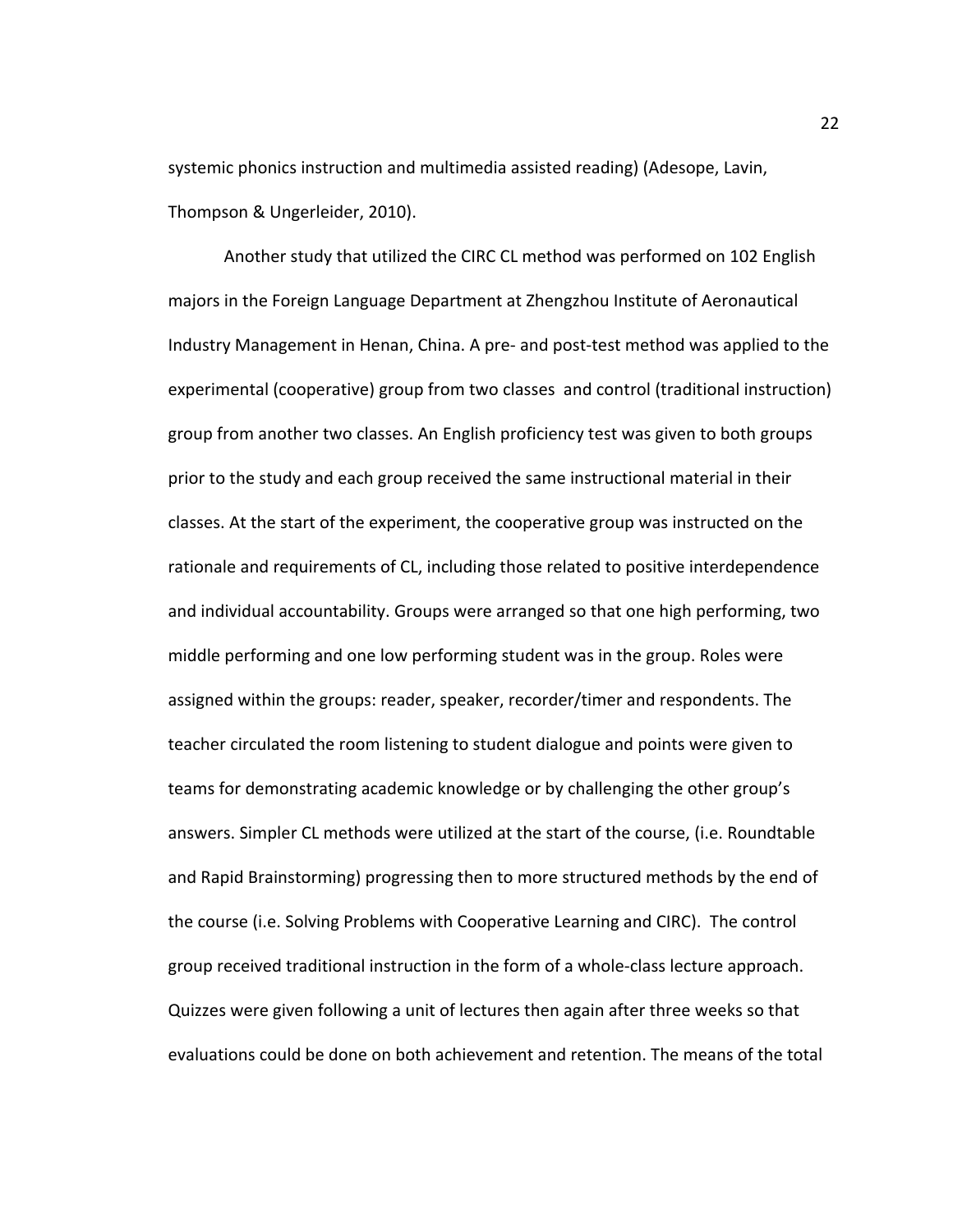systemic phonics instruction and multimedia assisted reading) (Adesope, Lavin, Thompson & Ungerleider, 2010).

Another study that utilized the CIRC CL method was performed on 102 English majors in the Foreign Language Department at Zhengzhou Institute of Aeronautical Industry Management in Henan, China. A pre- and post-test method was applied to the experimental (cooperative) group from two classes and control (traditional instruction) group from another two classes. An English proficiency test was given to both groups prior to the study and each group received the same instructional material in their classes. At the start of the experiment, the cooperative group was instructed on the rationale and requirements of CL, including those related to positive interdependence and individual accountability. Groups were arranged so that one high performing, two middle performing and one low performing student was in the group. Roles were assigned within the groups: reader, speaker, recorder/timer and respondents. The teacher circulated the room listening to student dialogue and points were given to teams for demonstrating academic knowledge or by challenging the other group's answers. Simpler CL methods were utilized at the start of the course, (i.e. Roundtable and Rapid Brainstorming) progressing then to more structured methods by the end of the course (i.e. Solving Problems with Cooperative Learning and CIRC). The control group received traditional instruction in the form of a whole-class lecture approach. Quizzes were given following a unit of lectures then again after three weeks so that evaluations could be done on both achievement and retention. The means of the total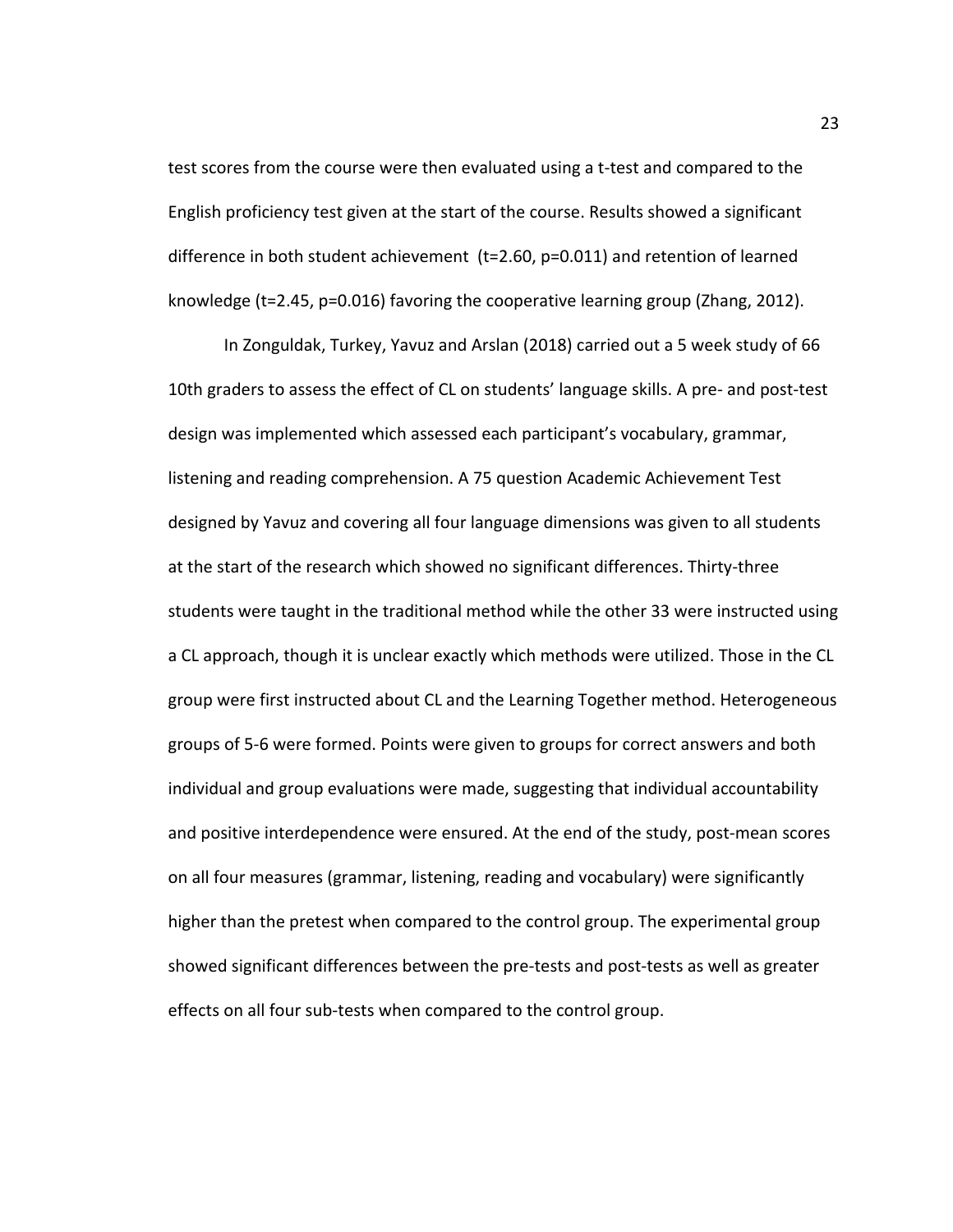test scores from the course were then evaluated using a t-test and compared to the English proficiency test given at the start of the course. Results showed a significant difference in both student achievement (t=2.60, p=0.011) and retention of learned knowledge (t=2.45, p=0.016) favoring the cooperative learning group (Zhang, 2012).

In Zonguldak, Turkey, Yavuz and Arslan (2018) carried out a 5 week study of 66 10th graders to assess the effect of CL on students' language skills. A pre- and post-test design was implemented which assessed each participant's vocabulary, grammar, listening and reading comprehension. A 75 question Academic Achievement Test designed by Yavuz and covering all four language dimensions was given to all students at the start of the research which showed no significant differences. Thirty-three students were taught in the traditional method while the other 33 were instructed using a CL approach, though it is unclear exactly which methods were utilized. Those in the CL group were first instructed about CL and the Learning Together method. Heterogeneous groups of 5-6 were formed. Points were given to groups for correct answers and both individual and group evaluations were made, suggesting that individual accountability and positive interdependence were ensured. At the end of the study, post-mean scores on all four measures (grammar, listening, reading and vocabulary) were significantly higher than the pretest when compared to the control group. The experimental group showed significant differences between the pre-tests and post-tests as well as greater effects on all four sub-tests when compared to the control group.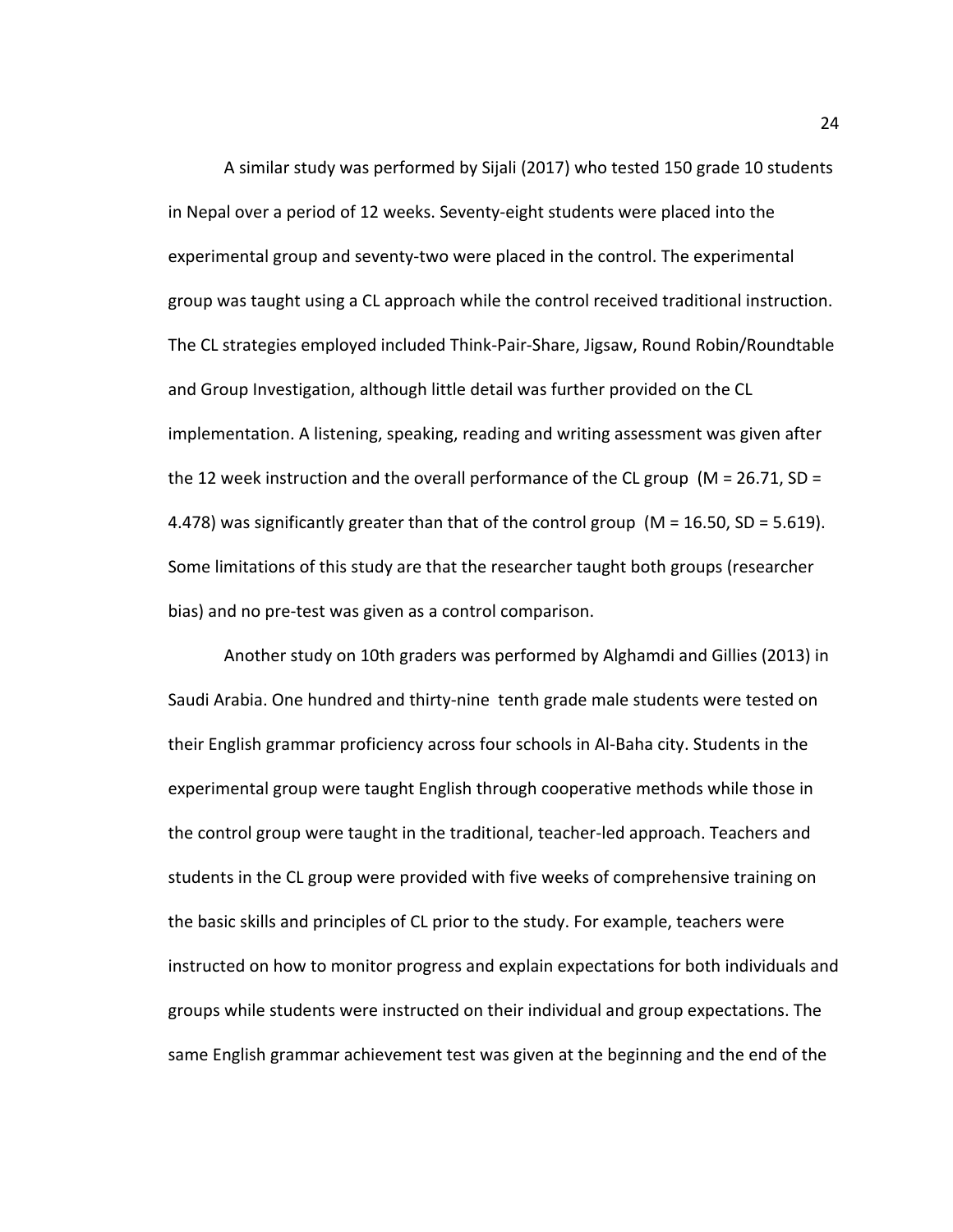A similar study was performed by Sijali (2017) who tested 150 grade 10 students in Nepal over a period of 12 weeks. Seventy-eight students were placed into the experimental group and seventy-two were placed in the control. The experimental group was taught using a CL approach while the control received traditional instruction. The CL strategies employed included Think-Pair-Share, Jigsaw, Round Robin/Roundtable and Group Investigation, although little detail was further provided on the CL implementation. A listening, speaking, reading and writing assessment was given after the 12 week instruction and the overall performance of the CL group ( $M = 26.71$ , SD = 4.478) was significantly greater than that of the control group ( $M = 16.50$ , SD = 5.619). Some limitations of this study are that the researcher taught both groups (researcher bias) and no pre-test was given as a control comparison.

Another study on 10th graders was performed by Alghamdi and Gillies (2013) in Saudi Arabia. One hundred and thirty-nine tenth grade male students were tested on their English grammar proficiency across four schools in Al-Baha city. Students in the experimental group were taught English through cooperative methods while those in the control group were taught in the traditional, teacher-led approach. Teachers and students in the CL group were provided with five weeks of comprehensive training on the basic skills and principles of CL prior to the study. For example, teachers were instructed on how to monitor progress and explain expectations for both individuals and groups while students were instructed on their individual and group expectations. The same English grammar achievement test was given at the beginning and the end of the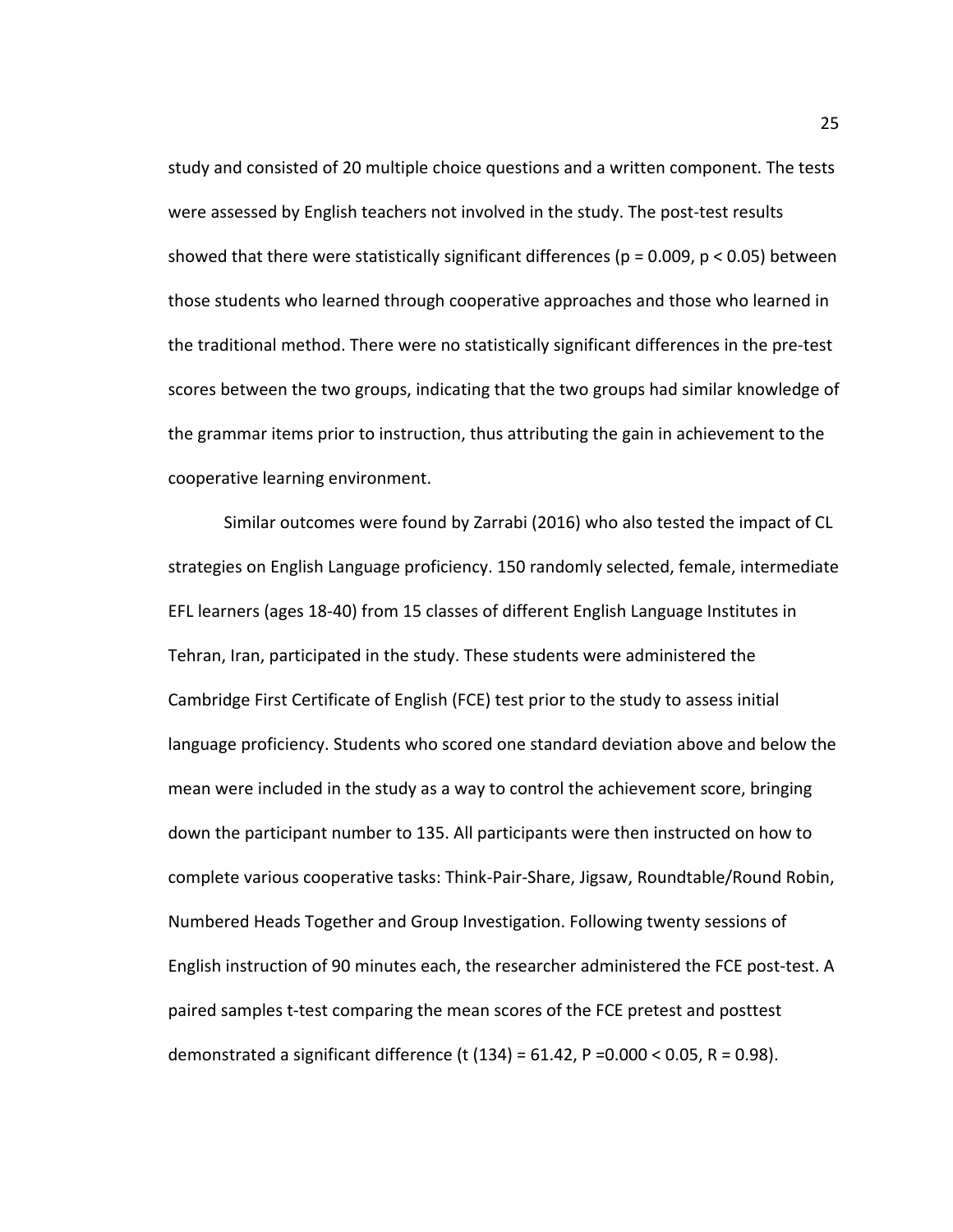study and consisted of 20 multiple choice questions and a written component. The tests were assessed by English teachers not involved in the study. The post-test results showed that there were statistically significant differences ( $p = 0.009$ ,  $p < 0.05$ ) between those students who learned through cooperative approaches and those who learned in the traditional method. There were no statistically significant differences in the pre-test scores between the two groups, indicating that the two groups had similar knowledge of the grammar items prior to instruction, thus attributing the gain in achievement to the cooperative learning environment.

Similar outcomes were found by Zarrabi (2016) who also tested the impact of CL strategies on English Language proficiency. 150 randomly selected, female, intermediate EFL learners (ages 18-40) from 15 classes of different English Language Institutes in Tehran, Iran, participated in the study. These students were administered the Cambridge First Certificate of English (FCE) test prior to the study to assess initial language proficiency. Students who scored one standard deviation above and below the mean were included in the study as a way to control the achievement score, bringing down the participant number to 135. All participants were then instructed on how to complete various cooperative tasks: Think-Pair-Share, Jigsaw, Roundtable/Round Robin, Numbered Heads Together and Group Investigation. Following twenty sessions of English instruction of 90 minutes each, the researcher administered the FCE post-test. A paired samples t-test comparing the mean scores of the FCE pretest and posttest demonstrated a significant difference (t  $(134) = 61.42$ , P = 0.000 < 0.05, R = 0.98).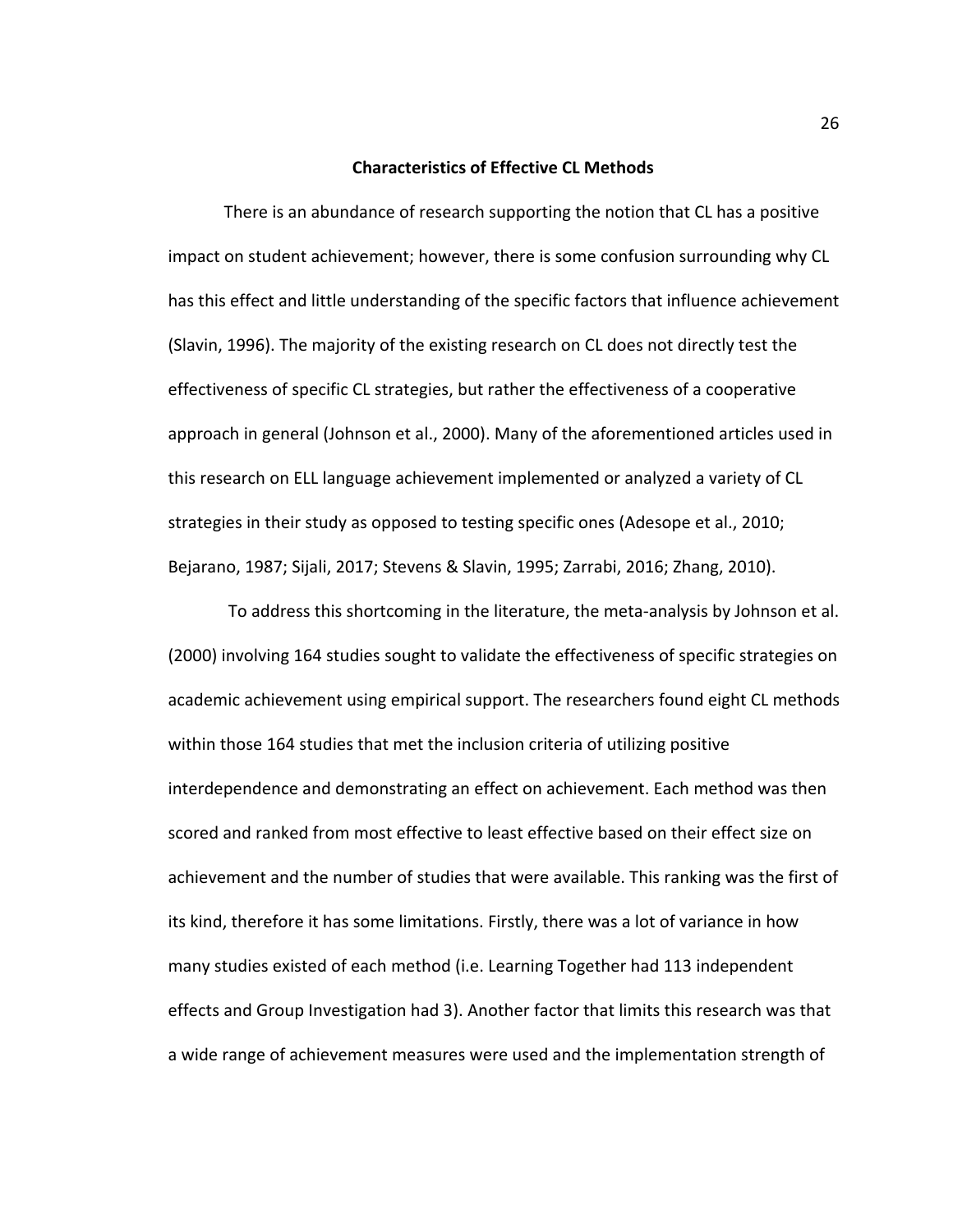## **Characteristics of Effective CL Methods**

There is an abundance of research supporting the notion that CL has a positive impact on student achievement; however, there is some confusion surrounding why CL has this effect and little understanding of the specific factors that influence achievement (Slavin, 1996). The majority of the existing research on CL does not directly test the effectiveness of specific CL strategies, but rather the effectiveness of a cooperative approach in general (Johnson et al., 2000). Many of the aforementioned articles used in this research on ELL language achievement implemented or analyzed a variety of CL strategies in their study as opposed to testing specific ones (Adesope et al., 2010; Bejarano, 1987; Sijali, 2017; Stevens & Slavin, 1995; Zarrabi, 2016; Zhang, 2010).

 To address this shortcoming in the literature, the meta-analysis by Johnson et al. (2000) involving 164 studies sought to validate the effectiveness of specific strategies on academic achievement using empirical support. The researchers found eight CL methods within those 164 studies that met the inclusion criteria of utilizing positive interdependence and demonstrating an effect on achievement. Each method was then scored and ranked from most effective to least effective based on their effect size on achievement and the number of studies that were available. This ranking was the first of its kind, therefore it has some limitations. Firstly, there was a lot of variance in how many studies existed of each method (i.e. Learning Together had 113 independent effects and Group Investigation had 3). Another factor that limits this research was that a wide range of achievement measures were used and the implementation strength of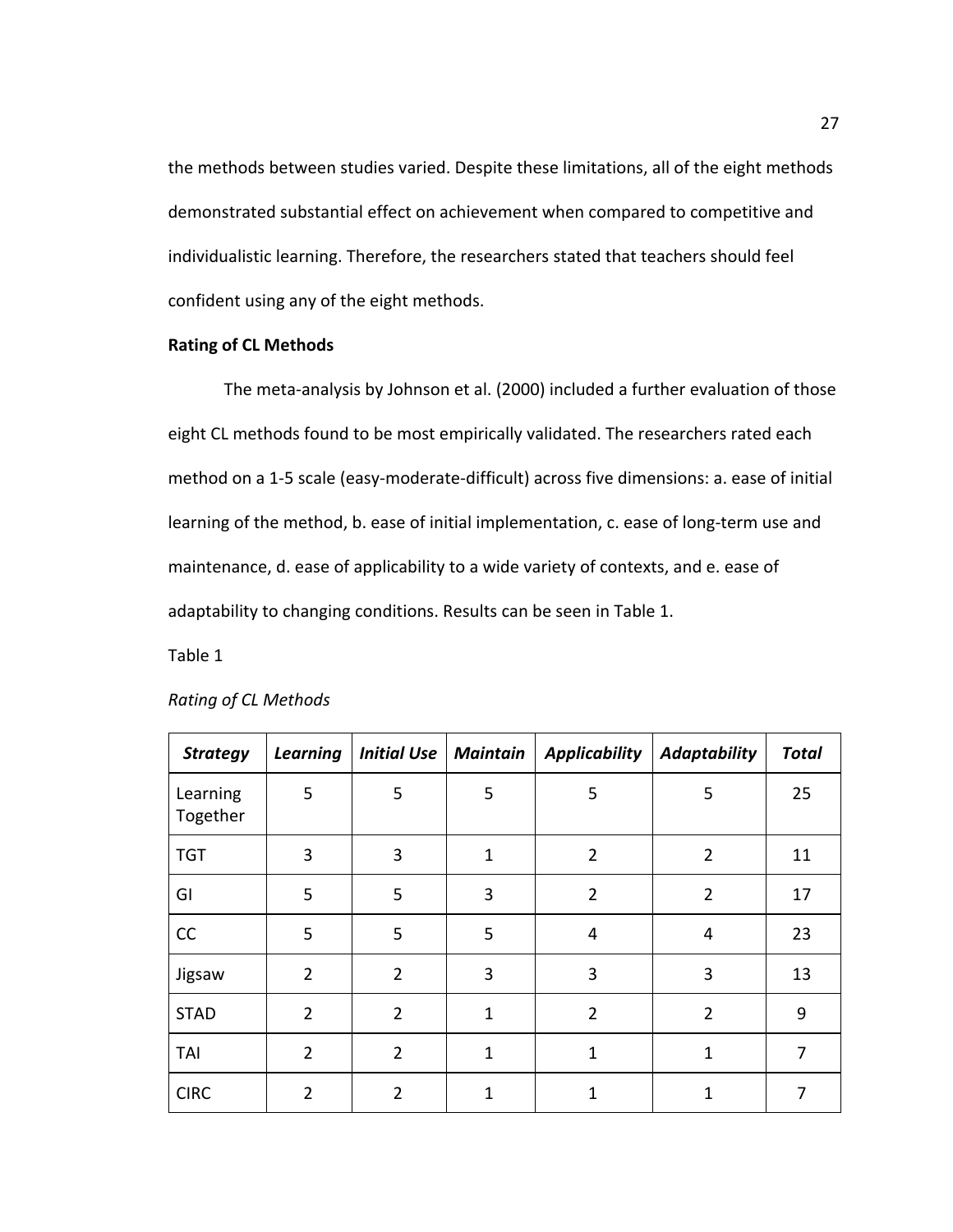the methods between studies varied. Despite these limitations, all of the eight methods demonstrated substantial effect on achievement when compared to competitive and individualistic learning. Therefore, the researchers stated that teachers should feel confident using any of the eight methods.

## **Rating of CL Methods**

The meta-analysis by Johnson et al. (2000) included a further evaluation of those eight CL methods found to be most empirically validated. The researchers rated each method on a 1-5 scale (easy-moderate-difficult) across five dimensions: a. ease of initial learning of the method, b. ease of initial implementation, c. ease of long-term use and maintenance, d. ease of applicability to a wide variety of contexts, and e. ease of adaptability to changing conditions. Results can be seen in Table 1.

Table 1

| <b>Strategy</b>      | <b>Learning</b> | Initial Use   Maintain |              | <b>Applicability</b> | <b>Adaptability</b> | <b>Total</b> |
|----------------------|-----------------|------------------------|--------------|----------------------|---------------------|--------------|
| Learning<br>Together | 5               | 5                      | 5            | 5                    | 5                   | 25           |
| <b>TGT</b>           | 3               | 3                      | $\mathbf{1}$ | $\overline{2}$       | $\overline{2}$      | 11           |
| GI                   | 5               | 5                      | 3            | $\overline{2}$       | $\overline{2}$      | 17           |
| CC                   | 5               | 5                      | 5            | $\overline{4}$       | 4                   | 23           |
| Jigsaw               | $\overline{2}$  | $\overline{2}$         | 3            | 3                    | 3                   | 13           |
| <b>STAD</b>          | $\overline{2}$  | $\overline{2}$         | $\mathbf{1}$ | $\overline{2}$       | $\overline{2}$      | 9            |
| TAI                  | $\overline{2}$  | $\overline{2}$         | $\mathbf{1}$ | $\mathbf 1$          | $\mathbf{1}$        | 7            |
| <b>CIRC</b>          | $\overline{2}$  | $\overline{2}$         | $\mathbf 1$  | $\mathbf{1}$         | $\mathbf{1}$        | 7            |

#### *Rating of CL Methods*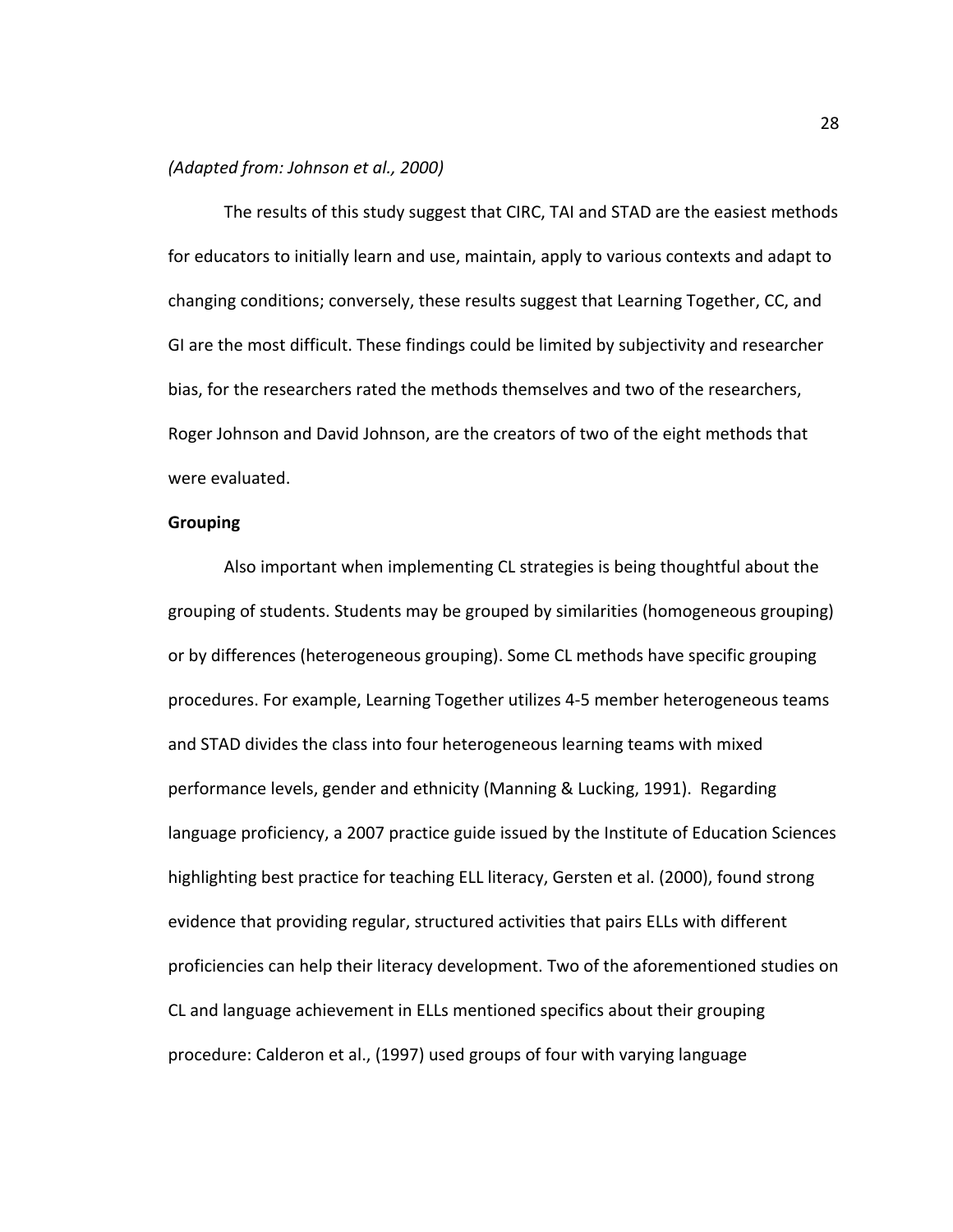## *(Adapted from: Johnson et al., 2000)*

The results of this study suggest that CIRC, TAI and STAD are the easiest methods for educators to initially learn and use, maintain, apply to various contexts and adapt to changing conditions; conversely, these results suggest that Learning Together, CC, and GI are the most difficult. These findings could be limited by subjectivity and researcher bias, for the researchers rated the methods themselves and two of the researchers, Roger Johnson and David Johnson, are the creators of two of the eight methods that were evaluated.

## **Grouping**

Also important when implementing CL strategies is being thoughtful about the grouping of students. Students may be grouped by similarities (homogeneous grouping) or by differences (heterogeneous grouping). Some CL methods have specific grouping procedures. For example, Learning Together utilizes 4-5 member heterogeneous teams and STAD divides the class into four heterogeneous learning teams with mixed performance levels, gender and ethnicity (Manning & Lucking, 1991). Regarding language proficiency, a 2007 practice guide issued by the Institute of Education Sciences highlighting best practice for teaching ELL literacy, Gersten et al. (2000), found strong evidence that providing regular, structured activities that pairs ELLs with different proficiencies can help their literacy development. Two of the aforementioned studies on CL and language achievement in ELLs mentioned specifics about their grouping procedure: Calderon et al., (1997) used groups of four with varying language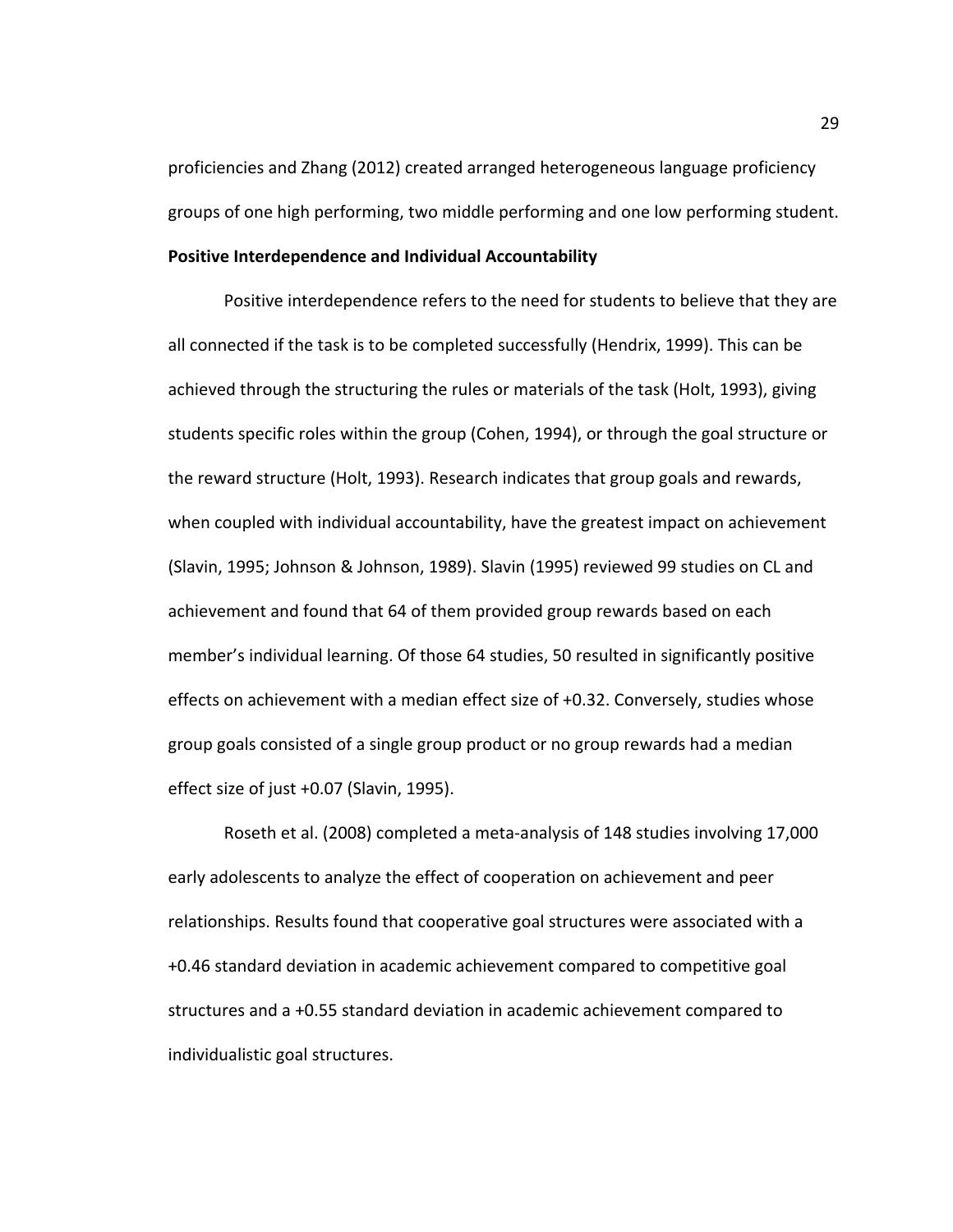proficiencies and Zhang (2012) created arranged heterogeneous language proficiency groups of one high performing, two middle performing and one low performing student. **Positive Interdependence and Individual Accountability**

Positive interdependence refers to the need for students to believe that they are all connected if the task is to be completed successfully (Hendrix, 1999). This can be achieved through the structuring the rules or materials of the task (Holt, 1993), giving students specific roles within the group (Cohen, 1994), or through the goal structure or the reward structure (Holt, 1993). Research indicates that group goals and rewards, when coupled with individual accountability, have the greatest impact on achievement (Slavin, 1995; Johnson & Johnson, 1989). Slavin (1995) reviewed 99 studies on CL and achievement and found that 64 of them provided group rewards based on each member's individual learning. Of those 64 studies, 50 resulted in significantly positive effects on achievement with a median effect size of +0.32. Conversely, studies whose group goals consisted of a single group product or no group rewards had a median effect size of just +0.07 (Slavin, 1995).

Roseth et al. (2008) completed a meta-analysis of 148 studies involving 17,000 early adolescents to analyze the effect of cooperation on achievement and peer relationships. Results found that cooperative goal structures were associated with a +0.46 standard deviation in academic achievement compared to competitive goal structures and a +0.55 standard deviation in academic achievement compared to individualistic goal structures.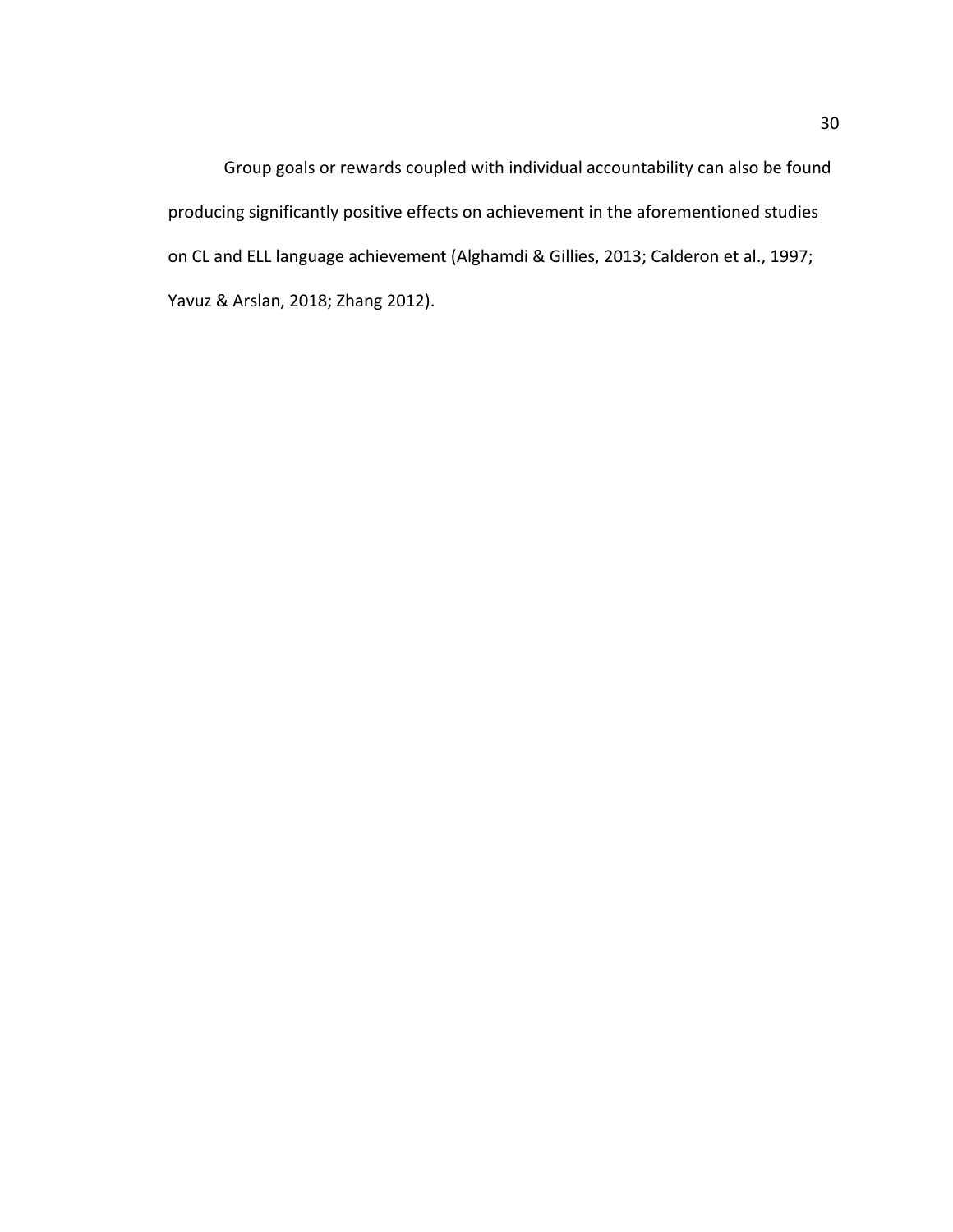Group goals or rewards coupled with individual accountability can also be found producing significantly positive effects on achievement in the aforementioned studies on CL and ELL language achievement (Alghamdi & Gillies, 2013; Calderon et al., 1997; Yavuz & Arslan, 2018; Zhang 2012).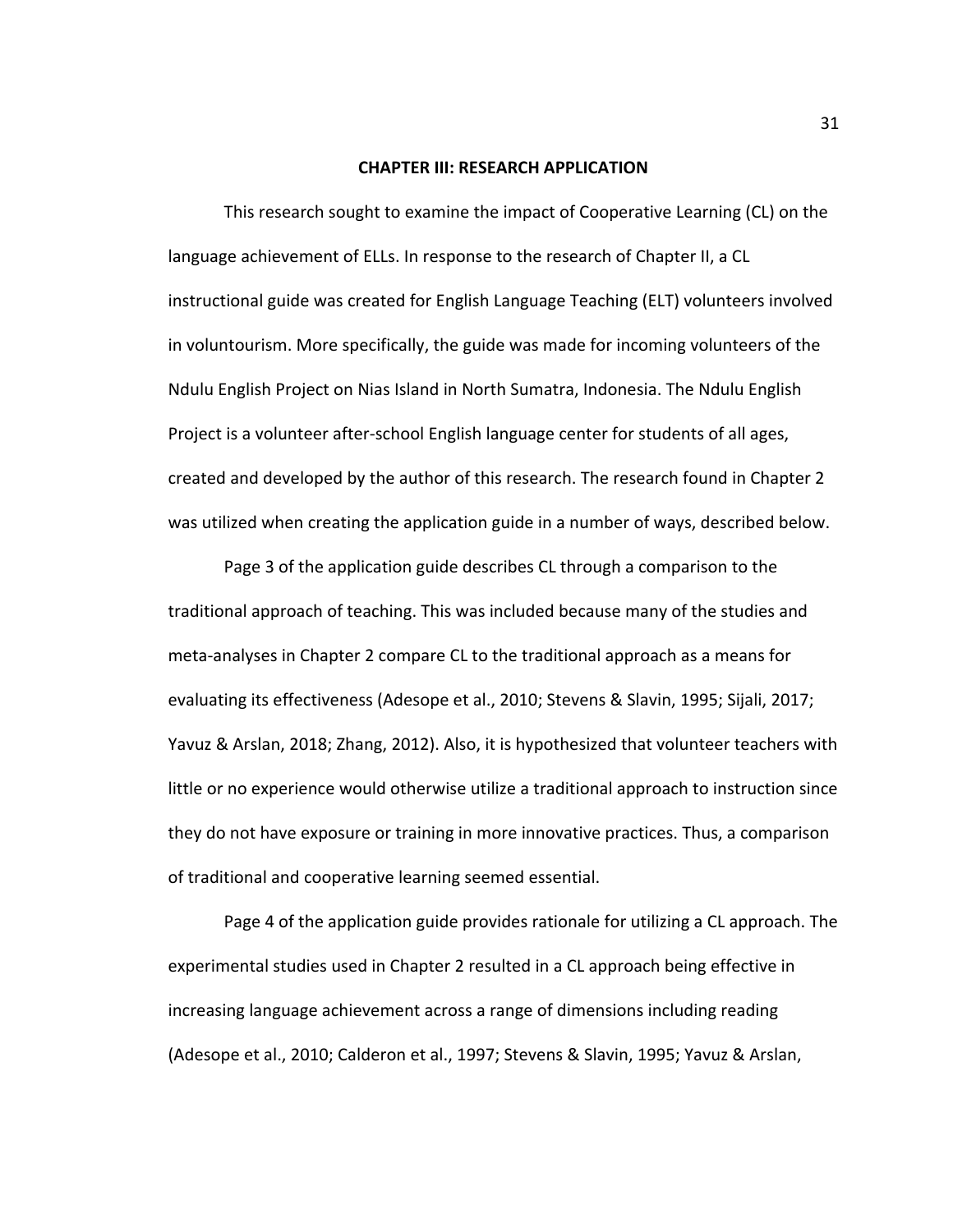#### **CHAPTER III: RESEARCH APPLICATION**

This research sought to examine the impact of Cooperative Learning (CL) on the language achievement of ELLs. In response to the research of Chapter II, a CL instructional guide was created for English Language Teaching (ELT) volunteers involved in voluntourism. More specifically, the guide was made for incoming volunteers of the Ndulu English Project on Nias Island in North Sumatra, Indonesia. The Ndulu English Project is a volunteer after-school English language center for students of all ages, created and developed by the author of this research. The research found in Chapter 2 was utilized when creating the application guide in a number of ways, described below.

Page 3 of the application guide describes CL through a comparison to the traditional approach of teaching. This was included because many of the studies and meta-analyses in Chapter 2 compare CL to the traditional approach as a means for evaluating its effectiveness (Adesope et al., 2010; Stevens & Slavin, 1995; Sijali, 2017; Yavuz & Arslan, 2018; Zhang, 2012). Also, it is hypothesized that volunteer teachers with little or no experience would otherwise utilize a traditional approach to instruction since they do not have exposure or training in more innovative practices. Thus, a comparison of traditional and cooperative learning seemed essential.

Page 4 of the application guide provides rationale for utilizing a CL approach. The experimental studies used in Chapter 2 resulted in a CL approach being effective in increasing language achievement across a range of dimensions including reading (Adesope et al., 2010; Calderon et al., 1997; Stevens & Slavin, 1995; Yavuz & Arslan,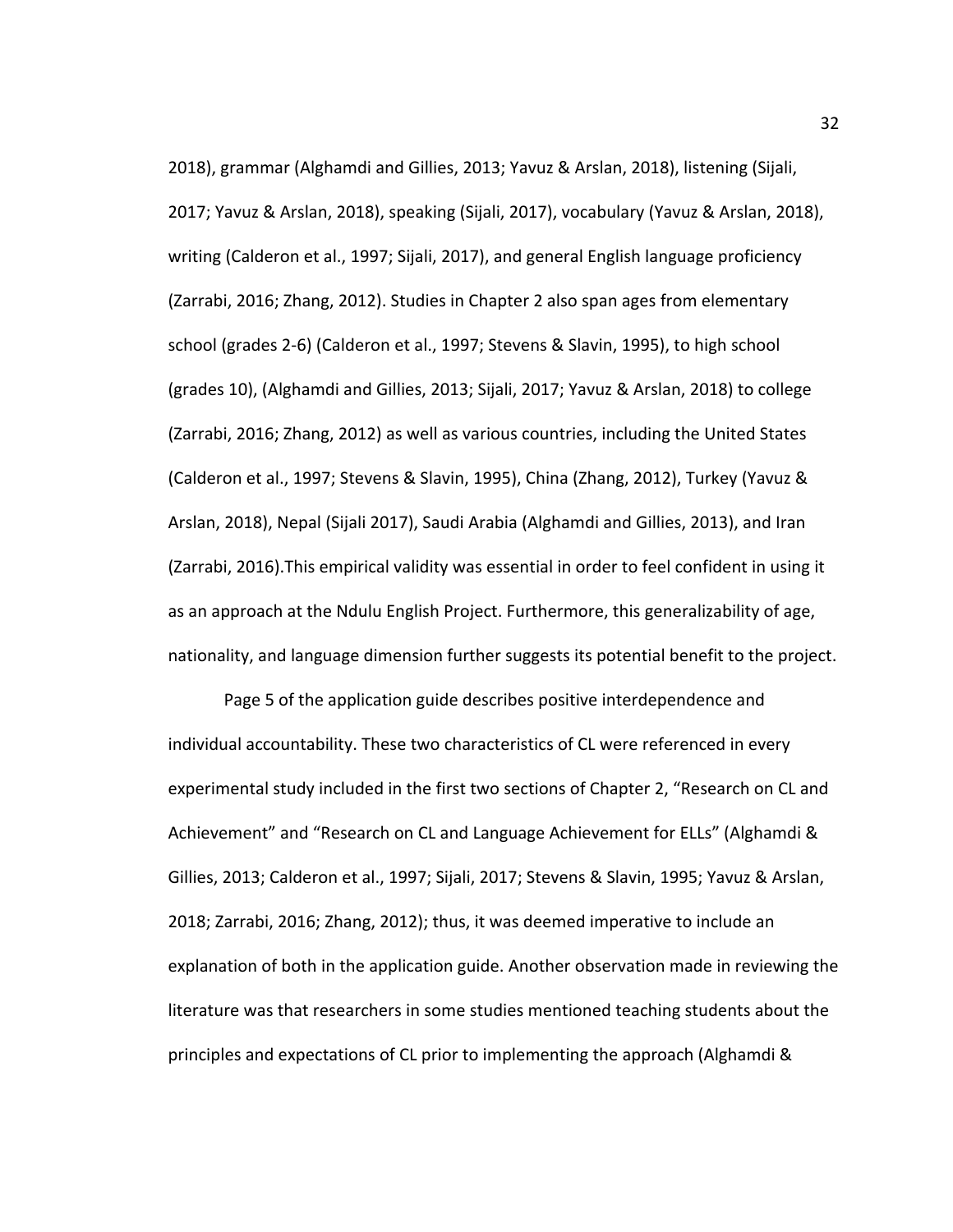2018), grammar (Alghamdi and Gillies, 2013; Yavuz & Arslan, 2018), listening (Sijali, 2017; Yavuz & Arslan, 2018), speaking (Sijali, 2017), vocabulary (Yavuz & Arslan, 2018), writing (Calderon et al., 1997; Sijali, 2017), and general English language proficiency (Zarrabi, 2016; Zhang, 2012). Studies in Chapter 2 also span ages from elementary school (grades 2-6) (Calderon et al., 1997; Stevens & Slavin, 1995), to high school (grades 10), (Alghamdi and Gillies, 2013; Sijali, 2017; Yavuz & Arslan, 2018) to college (Zarrabi, 2016; Zhang, 2012) as well as various countries, including the United States (Calderon et al., 1997; Stevens & Slavin, 1995), China (Zhang, 2012), Turkey (Yavuz & Arslan, 2018), Nepal (Sijali 2017), Saudi Arabia (Alghamdi and Gillies, 2013), and Iran (Zarrabi, 2016).This empirical validity was essential in order to feel confident in using it as an approach at the Ndulu English Project. Furthermore, this generalizability of age, nationality, and language dimension further suggests its potential benefit to the project.

Page 5 of the application guide describes positive interdependence and individual accountability. These two characteristics of CL were referenced in every experimental study included in the first two sections of Chapter 2, "Research on CL and Achievement" and "Research on CL and Language Achievement for ELLs" (Alghamdi & Gillies, 2013; Calderon et al., 1997; Sijali, 2017; Stevens & Slavin, 1995; Yavuz & Arslan, 2018; Zarrabi, 2016; Zhang, 2012); thus, it was deemed imperative to include an explanation of both in the application guide. Another observation made in reviewing the literature was that researchers in some studies mentioned teaching students about the principles and expectations of CL prior to implementing the approach (Alghamdi &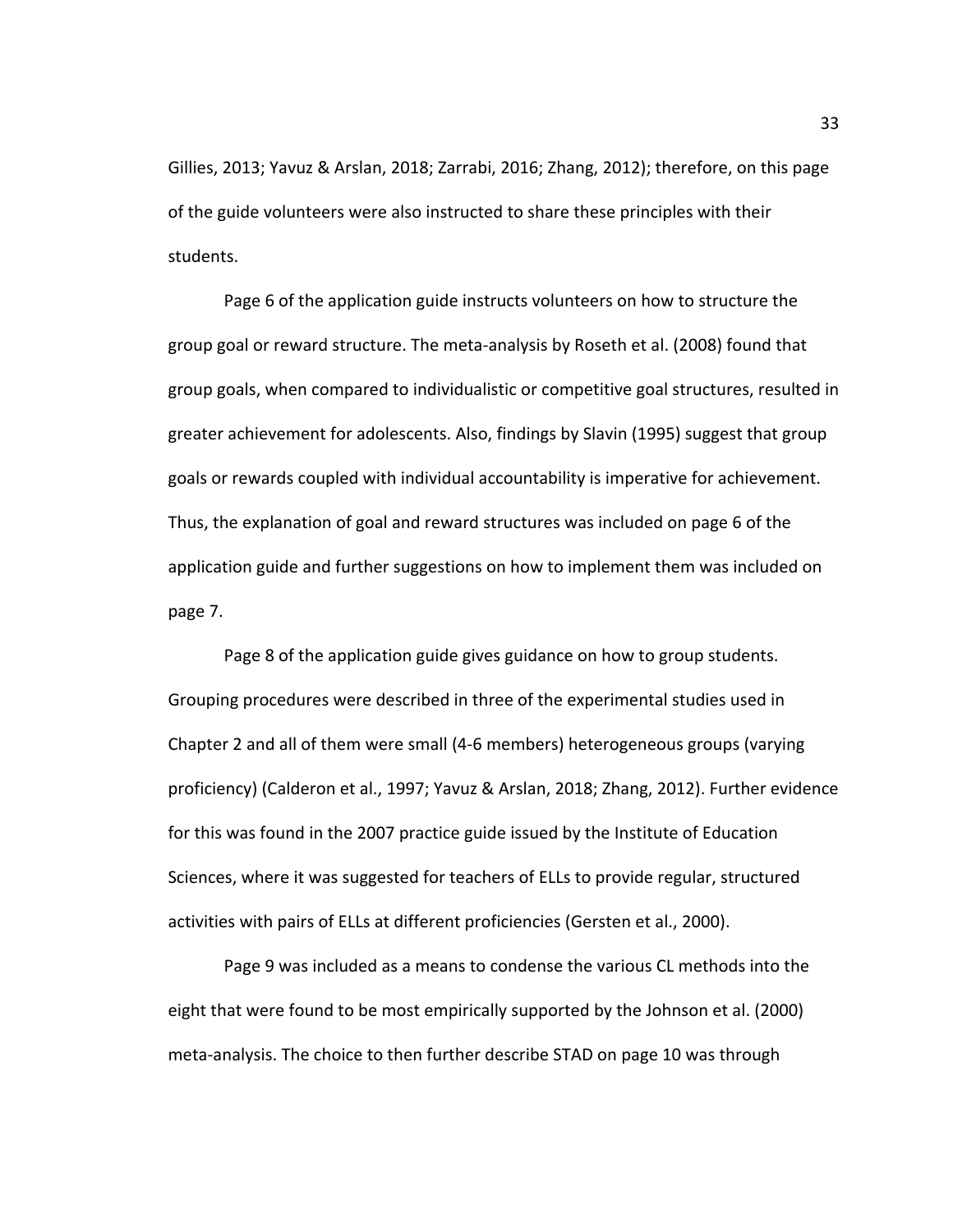Gillies, 2013; Yavuz & Arslan, 2018; Zarrabi, 2016; Zhang, 2012); therefore, on this page of the guide volunteers were also instructed to share these principles with their students.

Page 6 of the application guide instructs volunteers on how to structure the group goal or reward structure. The meta-analysis by Roseth et al. (2008) found that group goals, when compared to individualistic or competitive goal structures, resulted in greater achievement for adolescents. Also, findings by Slavin (1995) suggest that group goals or rewards coupled with individual accountability is imperative for achievement. Thus, the explanation of goal and reward structures was included on page 6 of the application guide and further suggestions on how to implement them was included on page 7.

Page 8 of the application guide gives guidance on how to group students. Grouping procedures were described in three of the experimental studies used in Chapter 2 and all of them were small (4-6 members) heterogeneous groups (varying proficiency) (Calderon et al., 1997; Yavuz & Arslan, 2018; Zhang, 2012). Further evidence for this was found in the 2007 practice guide issued by the Institute of Education Sciences, where it was suggested for teachers of ELLs to provide regular, structured activities with pairs of ELLs at different proficiencies (Gersten et al., 2000).

Page 9 was included as a means to condense the various CL methods into the eight that were found to be most empirically supported by the Johnson et al. (2000) meta-analysis. The choice to then further describe STAD on page 10 was through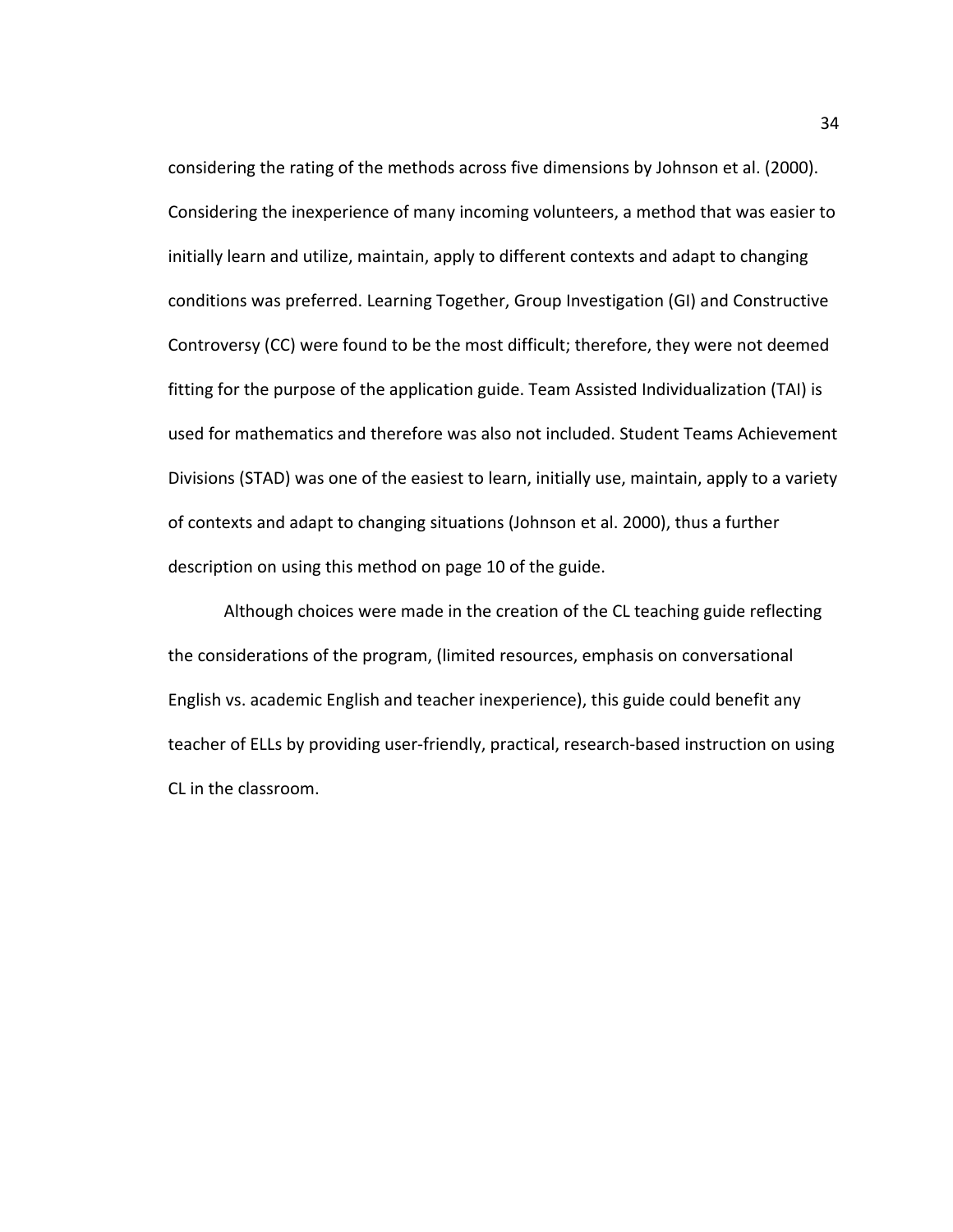considering the rating of the methods across five dimensions by Johnson et al. (2000). Considering the inexperience of many incoming volunteers, a method that was easier to initially learn and utilize, maintain, apply to different contexts and adapt to changing conditions was preferred. Learning Together, Group Investigation (GI) and Constructive Controversy (CC) were found to be the most difficult; therefore, they were not deemed fitting for the purpose of the application guide. Team Assisted Individualization (TAI) is used for mathematics and therefore was also not included. Student Teams Achievement Divisions (STAD) was one of the easiest to learn, initially use, maintain, apply to a variety of contexts and adapt to changing situations (Johnson et al. 2000), thus a further description on using this method on page 10 of the guide.

Although choices were made in the creation of the CL teaching guide reflecting the considerations of the program, (limited resources, emphasis on conversational English vs. academic English and teacher inexperience), this guide could benefit any teacher of ELLs by providing user-friendly, practical, research-based instruction on using CL in the classroom.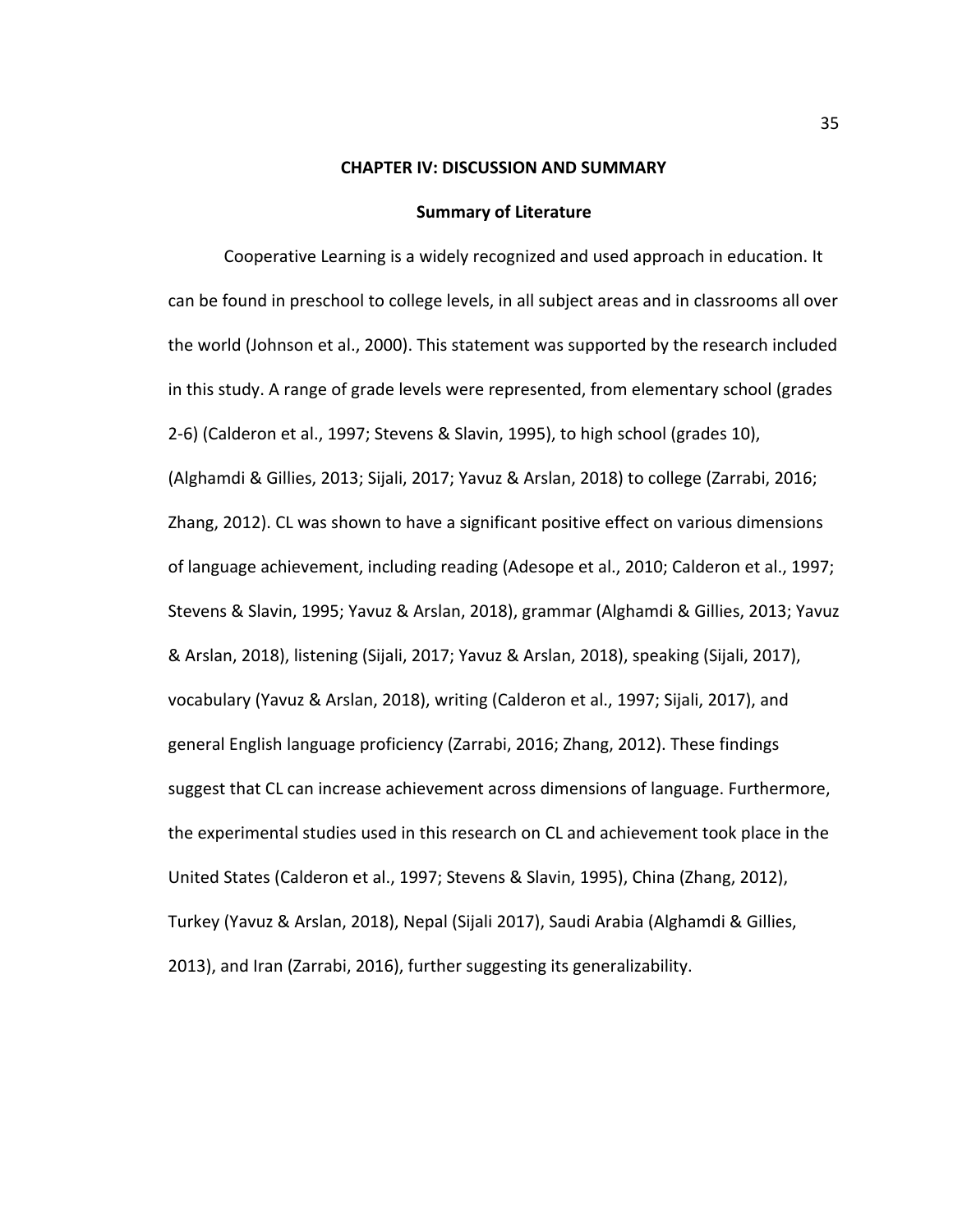#### **CHAPTER IV: DISCUSSION AND SUMMARY**

#### **Summary of Literature**

Cooperative Learning is a widely recognized and used approach in education. It can be found in preschool to college levels, in all subject areas and in classrooms all over the world (Johnson et al., 2000). This statement was supported by the research included in this study. A range of grade levels were represented, from elementary school (grades 2-6) (Calderon et al., 1997; Stevens & Slavin, 1995), to high school (grades 10), (Alghamdi & Gillies, 2013; Sijali, 2017; Yavuz & Arslan, 2018) to college (Zarrabi, 2016; Zhang, 2012). CL was shown to have a significant positive effect on various dimensions of language achievement, including reading (Adesope et al., 2010; Calderon et al., 1997; Stevens & Slavin, 1995; Yavuz & Arslan, 2018), grammar (Alghamdi & Gillies, 2013; Yavuz & Arslan, 2018), listening (Sijali, 2017; Yavuz & Arslan, 2018), speaking (Sijali, 2017), vocabulary (Yavuz & Arslan, 2018), writing (Calderon et al., 1997; Sijali, 2017), and general English language proficiency (Zarrabi, 2016; Zhang, 2012). These findings suggest that CL can increase achievement across dimensions of language. Furthermore, the experimental studies used in this research on CL and achievement took place in the United States (Calderon et al., 1997; Stevens & Slavin, 1995), China (Zhang, 2012), Turkey (Yavuz & Arslan, 2018), Nepal (Sijali 2017), Saudi Arabia (Alghamdi & Gillies, 2013), and Iran (Zarrabi, 2016), further suggesting its generalizability.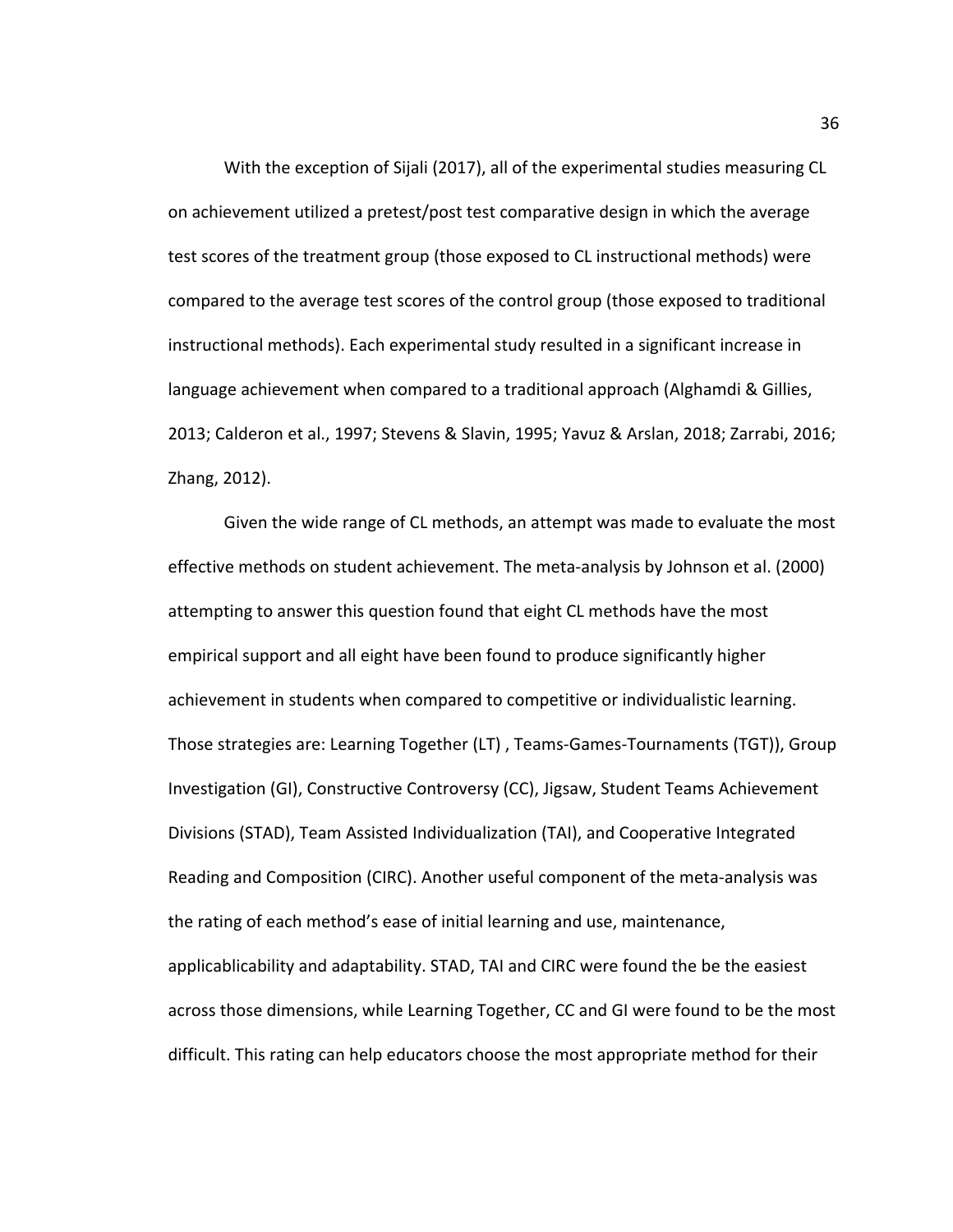With the exception of Sijali (2017), all of the experimental studies measuring CL on achievement utilized a pretest/post test comparative design in which the average test scores of the treatment group (those exposed to CL instructional methods) were compared to the average test scores of the control group (those exposed to traditional instructional methods). Each experimental study resulted in a significant increase in language achievement when compared to a traditional approach (Alghamdi & Gillies, 2013; Calderon et al., 1997; Stevens & Slavin, 1995; Yavuz & Arslan, 2018; Zarrabi, 2016; Zhang, 2012).

Given the wide range of CL methods, an attempt was made to evaluate the most effective methods on student achievement. The meta-analysis by Johnson et al. (2000) attempting to answer this question found that eight CL methods have the most empirical support and all eight have been found to produce significantly higher achievement in students when compared to competitive or individualistic learning. Those strategies are: Learning Together (LT) , Teams-Games-Tournaments (TGT)), Group Investigation (GI), Constructive Controversy (CC), Jigsaw, Student Teams Achievement Divisions (STAD), Team Assisted Individualization (TAI), and Cooperative Integrated Reading and Composition (CIRC). Another useful component of the meta-analysis was the rating of each method's ease of initial learning and use, maintenance, applicablicability and adaptability. STAD, TAI and CIRC were found the be the easiest across those dimensions, while Learning Together, CC and GI were found to be the most difficult. This rating can help educators choose the most appropriate method for their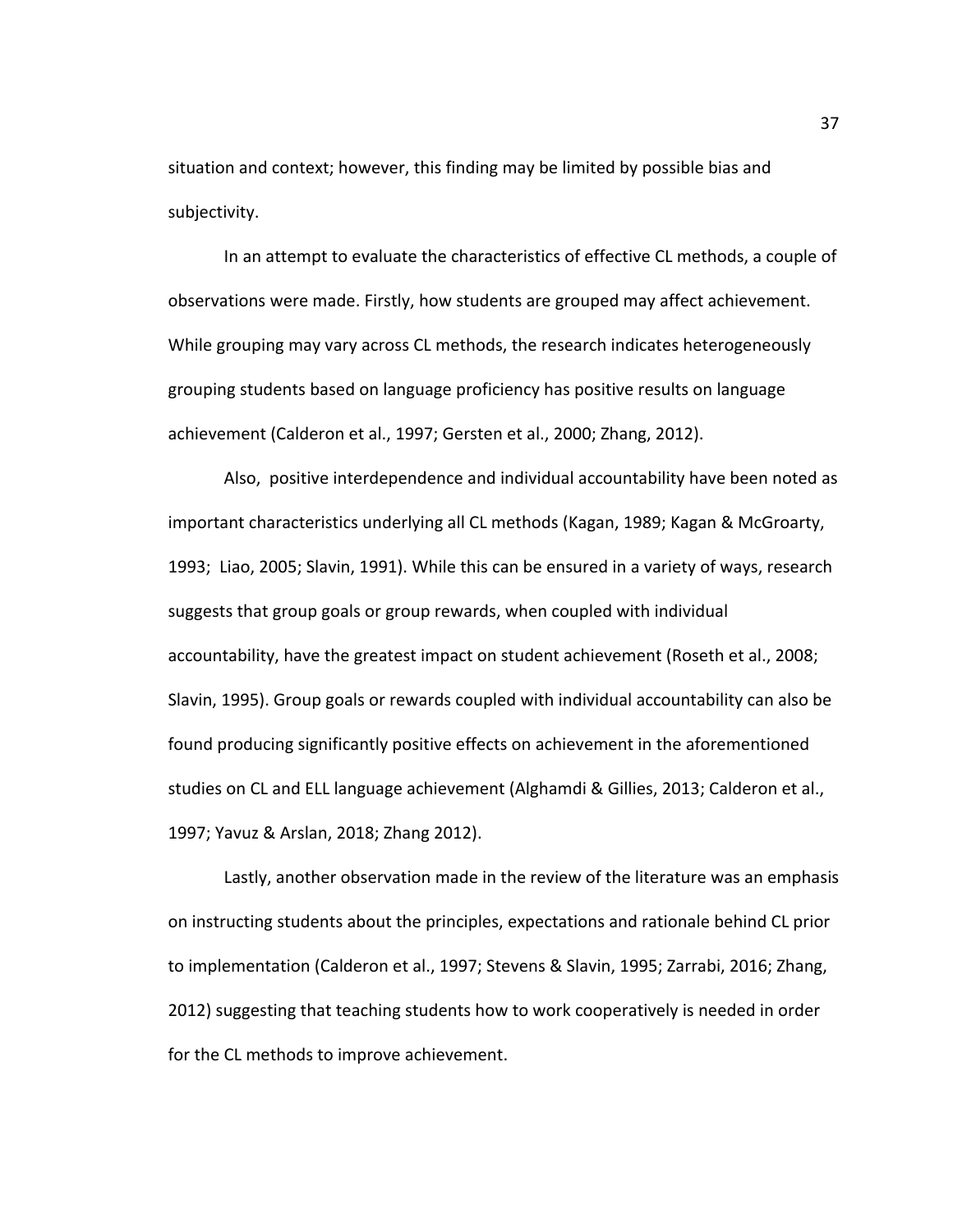situation and context; however, this finding may be limited by possible bias and subjectivity.

In an attempt to evaluate the characteristics of effective CL methods, a couple of observations were made. Firstly, how students are grouped may affect achievement. While grouping may vary across CL methods, the research indicates heterogeneously grouping students based on language proficiency has positive results on language achievement (Calderon et al., 1997; Gersten et al., 2000; Zhang, 2012).

Also, positive interdependence and individual accountability have been noted as important characteristics underlying all CL methods (Kagan, 1989; Kagan & McGroarty, 1993; Liao, 2005; Slavin, 1991). While this can be ensured in a variety of ways, research suggests that group goals or group rewards, when coupled with individual accountability, have the greatest impact on student achievement (Roseth et al., 2008; Slavin, 1995). Group goals or rewards coupled with individual accountability can also be found producing significantly positive effects on achievement in the aforementioned studies on CL and ELL language achievement (Alghamdi & Gillies, 2013; Calderon et al., 1997; Yavuz & Arslan, 2018; Zhang 2012).

Lastly, another observation made in the review of the literature was an emphasis on instructing students about the principles, expectations and rationale behind CL prior to implementation (Calderon et al., 1997; Stevens & Slavin, 1995; Zarrabi, 2016; Zhang, 2012) suggesting that teaching students how to work cooperatively is needed in order for the CL methods to improve achievement.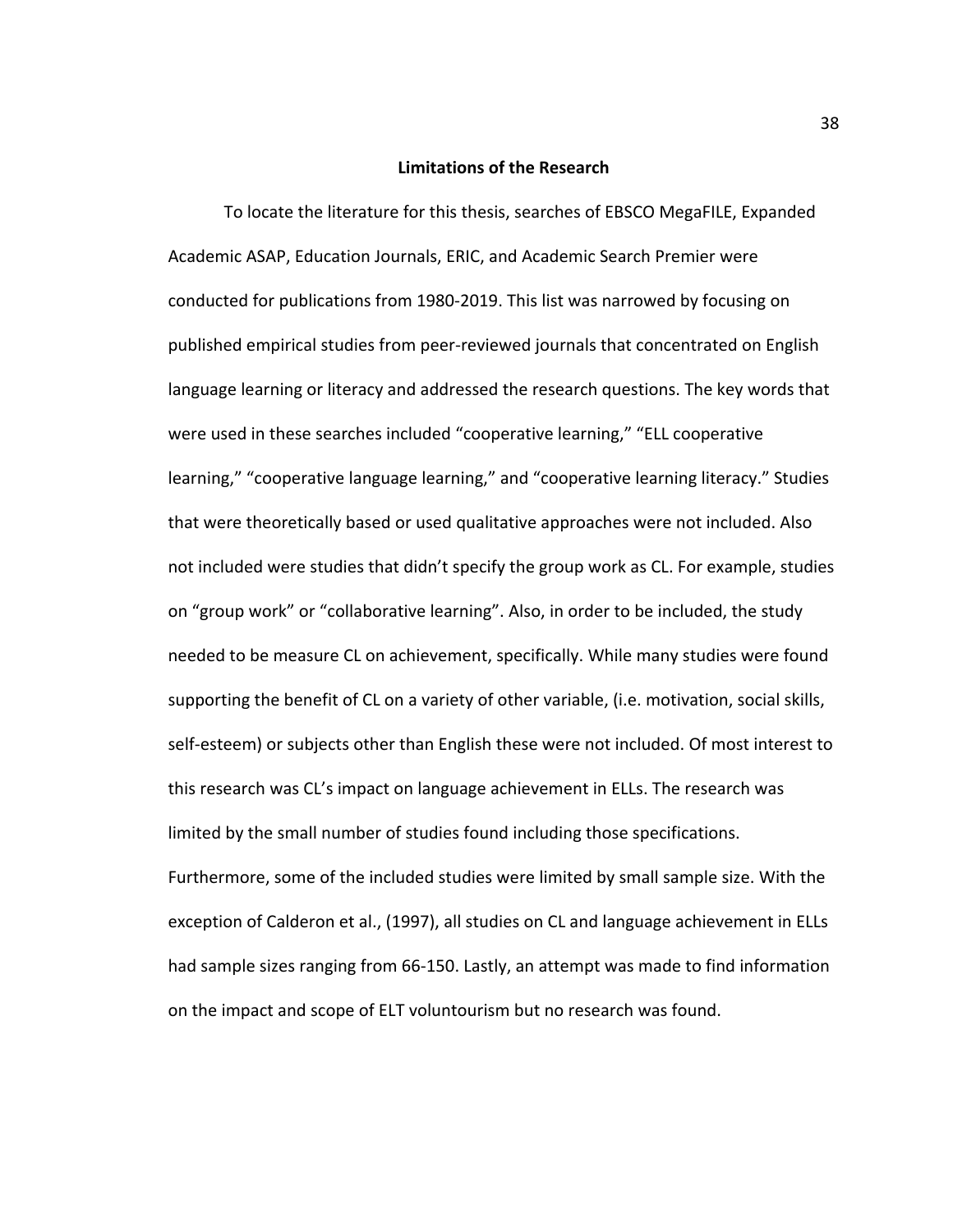## **Limitations of the Research**

To locate the literature for this thesis, searches of EBSCO MegaFILE, Expanded Academic ASAP, Education Journals, ERIC, and Academic Search Premier were conducted for publications from 1980-2019. This list was narrowed by focusing on published empirical studies from peer-reviewed journals that concentrated on English language learning or literacy and addressed the research questions. The key words that were used in these searches included "cooperative learning," "ELL cooperative learning," "cooperative language learning," and "cooperative learning literacy." Studies that were theoretically based or used qualitative approaches were not included. Also not included were studies that didn't specify the group work as CL. For example, studies on "group work" or "collaborative learning". Also, in order to be included, the study needed to be measure CL on achievement, specifically. While many studies were found supporting the benefit of CL on a variety of other variable, (i.e. motivation, social skills, self-esteem) or subjects other than English these were not included. Of most interest to this research was CL's impact on language achievement in ELLs. The research was limited by the small number of studies found including those specifications. Furthermore, some of the included studies were limited by small sample size. With the exception of Calderon et al., (1997), all studies on CL and language achievement in ELLs had sample sizes ranging from 66-150. Lastly, an attempt was made to find information on the impact and scope of ELT voluntourism but no research was found.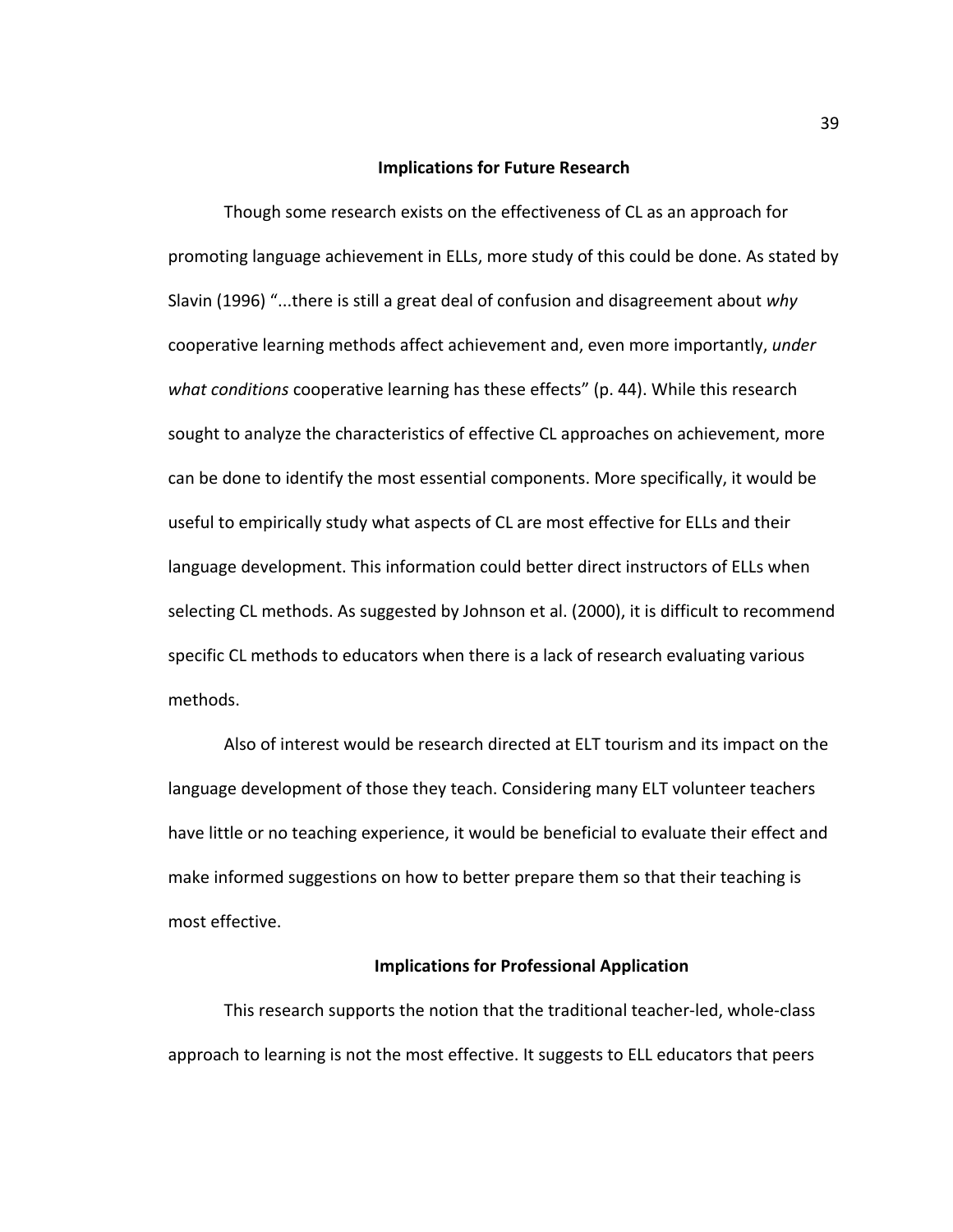#### **Implications for Future Research**

Though some research exists on the effectiveness of CL as an approach for promoting language achievement in ELLs, more study of this could be done. As stated by Slavin (1996) "...there is still a great deal of confusion and disagreement about *why* cooperative learning methods affect achievement and, even more importantly, *under what conditions* cooperative learning has these effects" (p. 44). While this research sought to analyze the characteristics of effective CL approaches on achievement, more can be done to identify the most essential components. More specifically, it would be useful to empirically study what aspects of CL are most effective for ELLs and their language development. This information could better direct instructors of ELLs when selecting CL methods. As suggested by Johnson et al. (2000), it is difficult to recommend specific CL methods to educators when there is a lack of research evaluating various methods.

Also of interest would be research directed at ELT tourism and its impact on the language development of those they teach. Considering many ELT volunteer teachers have little or no teaching experience, it would be beneficial to evaluate their effect and make informed suggestions on how to better prepare them so that their teaching is most effective.

## **Implications for Professional Application**

This research supports the notion that the traditional teacher-led, whole-class approach to learning is not the most effective. It suggests to ELL educators that peers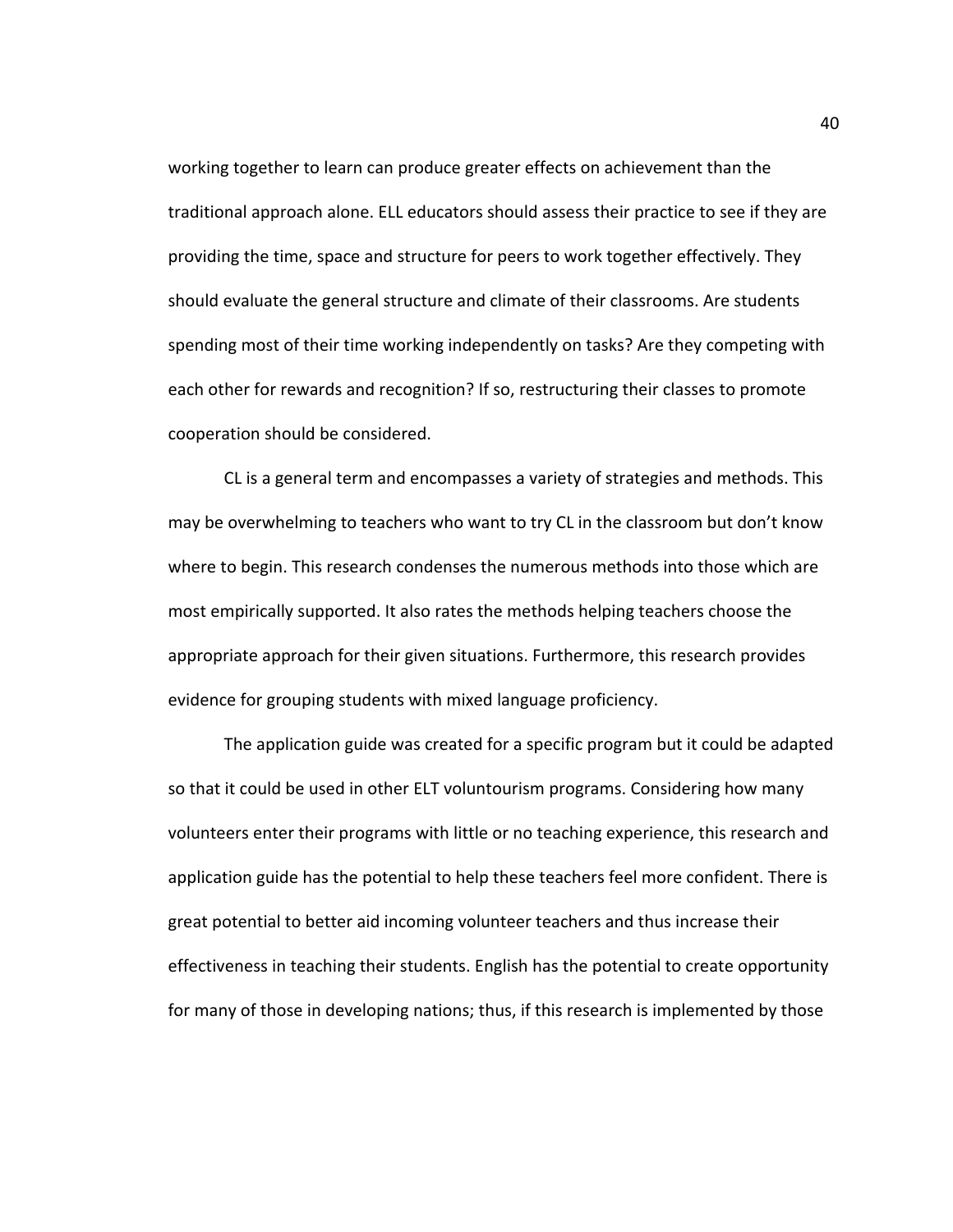working together to learn can produce greater effects on achievement than the traditional approach alone. ELL educators should assess their practice to see if they are providing the time, space and structure for peers to work together effectively. They should evaluate the general structure and climate of their classrooms. Are students spending most of their time working independently on tasks? Are they competing with each other for rewards and recognition? If so, restructuring their classes to promote cooperation should be considered.

CL is a general term and encompasses a variety of strategies and methods. This may be overwhelming to teachers who want to try CL in the classroom but don't know where to begin. This research condenses the numerous methods into those which are most empirically supported. It also rates the methods helping teachers choose the appropriate approach for their given situations. Furthermore, this research provides evidence for grouping students with mixed language proficiency.

The application guide was created for a specific program but it could be adapted so that it could be used in other ELT voluntourism programs. Considering how many volunteers enter their programs with little or no teaching experience, this research and application guide has the potential to help these teachers feel more confident. There is great potential to better aid incoming volunteer teachers and thus increase their effectiveness in teaching their students. English has the potential to create opportunity for many of those in developing nations; thus, if this research is implemented by those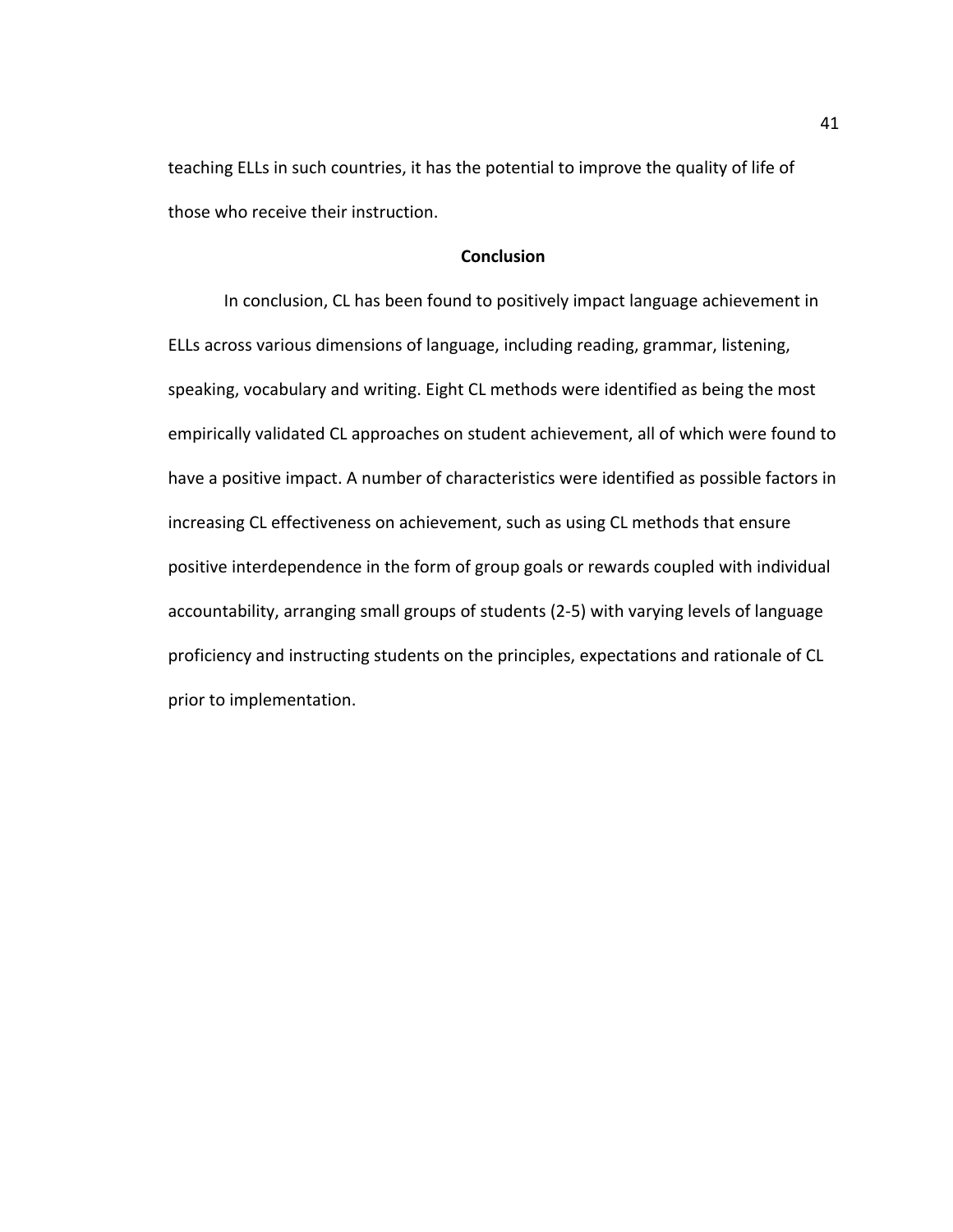teaching ELLs in such countries, it has the potential to improve the quality of life of those who receive their instruction.

## **Conclusion**

In conclusion, CL has been found to positively impact language achievement in ELLs across various dimensions of language, including reading, grammar, listening, speaking, vocabulary and writing. Eight CL methods were identified as being the most empirically validated CL approaches on student achievement, all of which were found to have a positive impact. A number of characteristics were identified as possible factors in increasing CL effectiveness on achievement, such as using CL methods that ensure positive interdependence in the form of group goals or rewards coupled with individual accountability, arranging small groups of students (2-5) with varying levels of language proficiency and instructing students on the principles, expectations and rationale of CL prior to implementation.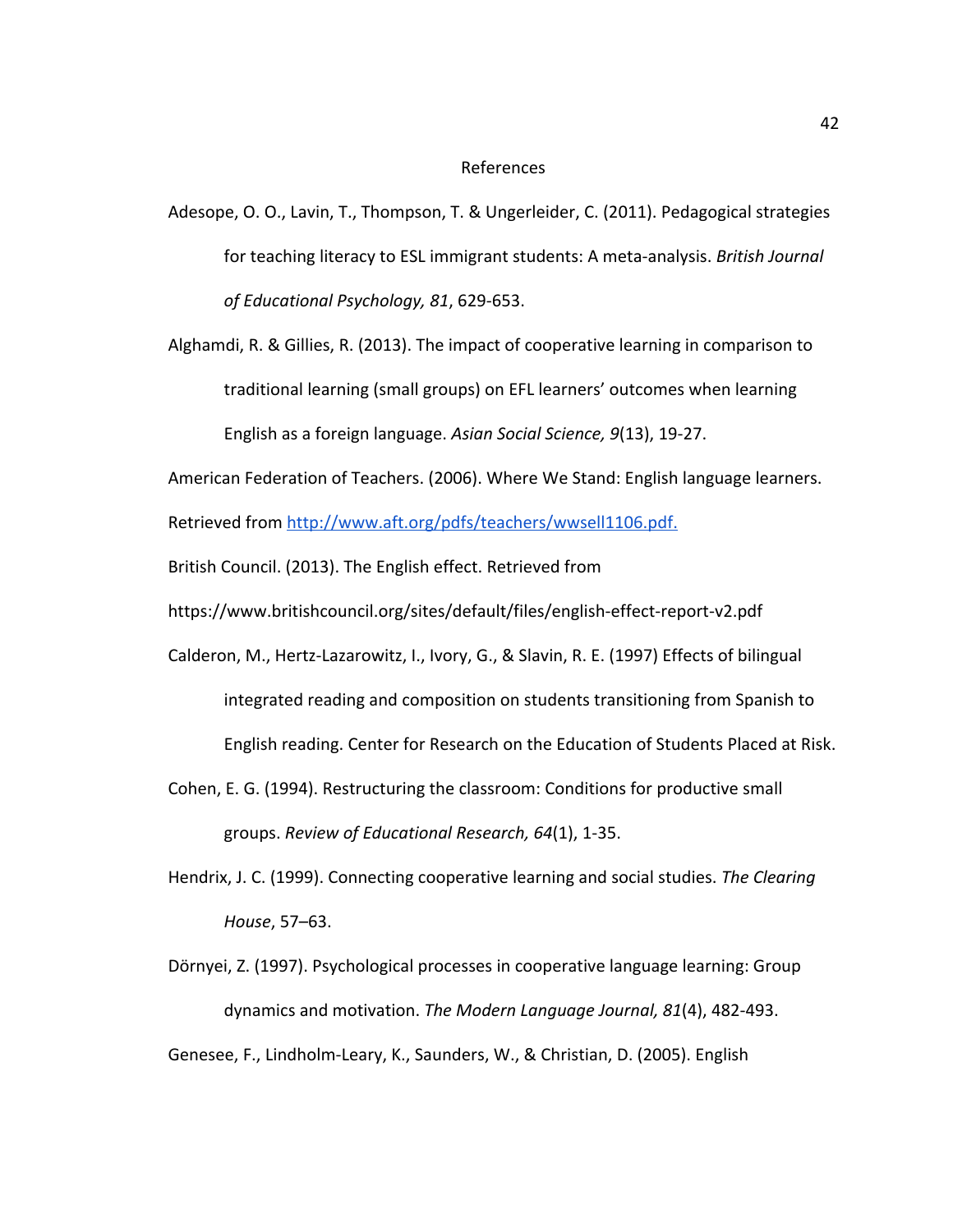#### References

- Adesope, O. O., Lavin, T., Thompson, T. & Ungerleider, C. (2011). Pedagogical strategies for teaching literacy to ESL immigrant students: A meta-analysis. *British Journal of Educational Psychology, 81*, 629-653.
- Alghamdi, R. & Gillies, R. (2013). The impact of cooperative learning in comparison to traditional learning (small groups) on EFL learners' outcomes when learning English as a foreign language. *Asian Social Science, 9*(13), 19-27.
- American Federation of Teachers. (2006). Where We Stand: English language learners.

Retrieved from [http://www.aft.org/pdfs/teachers/wwsell1106.pdf.](http://www.aft.org/pdfs/teachers/wwsell1106.pdf)

- British Council. (2013). The English effect. Retrieved from
- https://www.britishcouncil.org/sites/default/files/english-effect-report-v2.pdf
- Calderon, M., Hertz-Lazarowitz, I., Ivory, G., & Slavin, R. E. (1997) Effects of bilingual integrated reading and composition on students transitioning from Spanish to English reading. Center for Research on the Education of Students Placed at Risk.
- Cohen, E. G. (1994). Restructuring the classroom: Conditions for productive small groups. *Review of Educational Research, 64*(1), 1-35.
- Hendrix, J. C. (1999). Connecting cooperative learning and social studies. *The Clearing House*, 57–63.
- Dörnyei, Z. (1997). Psychological processes in cooperative language learning: Group dynamics and motivation. *The Modern Language Journal, 81*(4), 482-493.

Genesee, F., Lindholm-Leary, K., Saunders, W., & Christian, D. (2005). English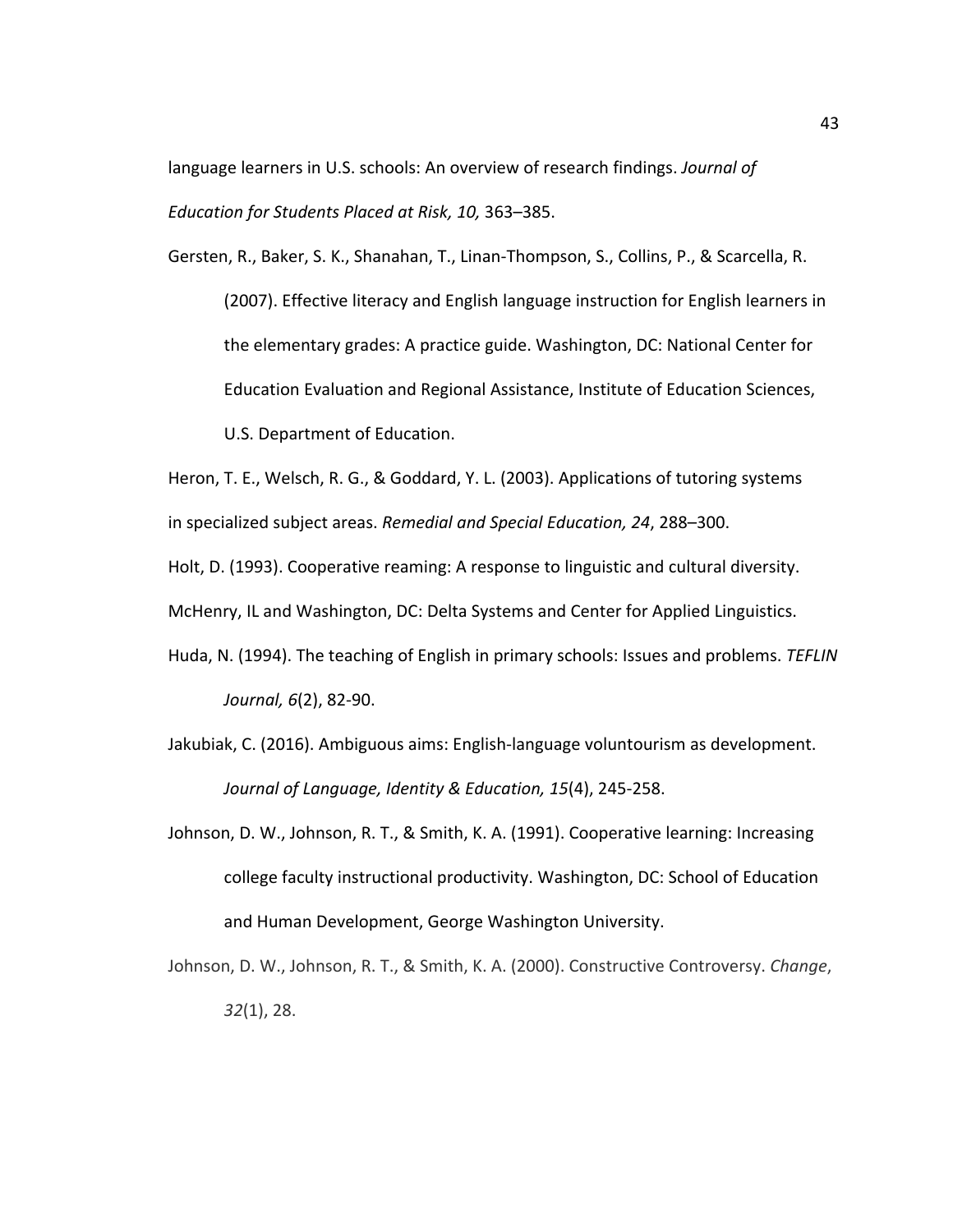language learners in U.S. schools: An overview of research findings. *Journal of Education for Students Placed at Risk, 10,* 363–385.

Gersten, R., Baker, S. K., Shanahan, T., Linan-Thompson, S., Collins, P., & Scarcella, R. (2007). Effective literacy and English language instruction for English learners in the elementary grades: A practice guide. Washington, DC: National Center for Education Evaluation and Regional Assistance, Institute of Education Sciences, U.S. Department of Education.

Heron, T. E., Welsch, R. G., & Goddard, Y. L. (2003). Applications of tutoring systems in specialized subject areas. *Remedial and Special Education, 24*, 288–300.

Holt, D. (1993). Cooperative reaming: A response to linguistic and cultural diversity.

McHenry, IL and Washington, DC: Delta Systems and Center for Applied Linguistics.

- Huda, N. (1994). The teaching of English in primary schools: Issues and problems. *TEFLIN Journal, 6*(2), 82-90.
- Jakubiak, C. (2016). Ambiguous aims: English-language voluntourism as development. *Journal of Language, Identity & Education, 15*(4), 245-258.
- Johnson, D. W., Johnson, R. T., & Smith, K. A. (1991). Cooperative learning: Increasing college faculty instructional productivity. Washington, DC: School of Education and Human Development, George Washington University.
- Johnson, D. W., Johnson, R. T., & Smith, K. A. (2000). Constructive Controversy. *Change*, *32*(1), 28.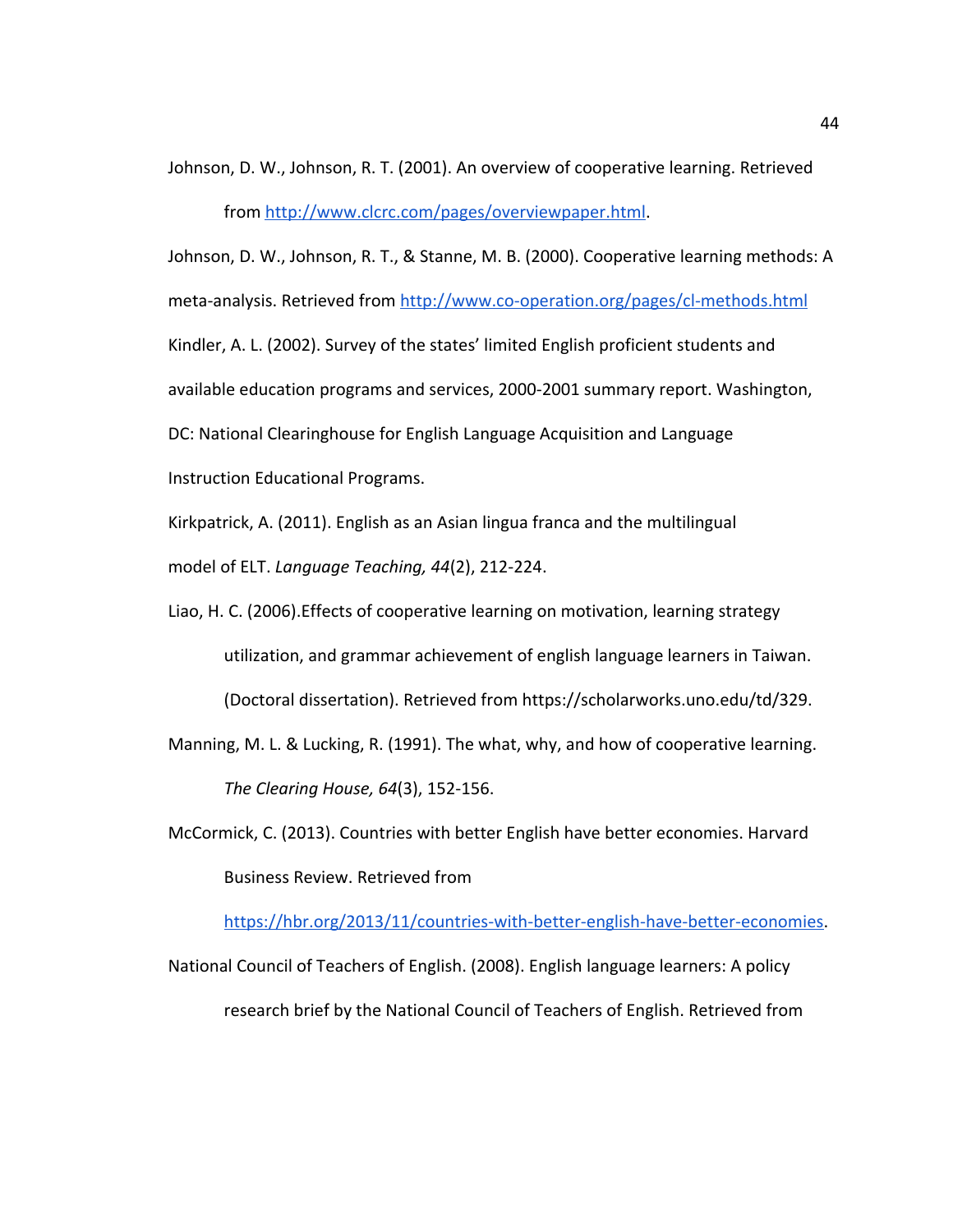Johnson, D. W., Johnson, R. T. (2001). An overview of cooperative learning. Retrieved

from<http://www.clcrc.com/pages/overviewpaper.html>.

Johnson, D. W., Johnson, R. T., & Stanne, M. B. (2000). Cooperative learning methods: A meta-analysis. Retrieved fro[m](http://www.co-operation.org/pages/cl-methods.html) <http://www.co-operation.org/pages/cl-methods.html> Kindler, A. L. (2002). Survey of the states' limited English proficient students and available education programs and services, 2000-2001 summary report. Washington, DC: National Clearinghouse for English Language Acquisition and Language Instruction Educational Programs.

Kirkpatrick, A. (2011). English as an Asian lingua franca and the multilingual

model of ELT. *Language Teaching, 44*(2), 212-224.

- Liao, H. C. (2006).Effects of cooperative learning on motivation, learning strategy utilization, and grammar achievement of english language learners in Taiwan. (Doctoral dissertation). Retrieved from https://scholarworks.uno.edu/td/329.
- Manning, M. L. & Lucking, R. (1991). The what, why, and how of cooperative learning. *The Clearing House, 64*(3), 152-156.
- McCormick, C. (2013). Countries with better English have better economies. Harvard Business Review. Retrieved from

[https://hbr.org/2013/11/countries-with-better-english-have-better-economies.](https://hbr.org/2013/11/countries-with-better-english-have-better-economies)

National Council of Teachers of English. (2008). English language learners: A policy research brief by the National Council of Teachers of English. Retrieved from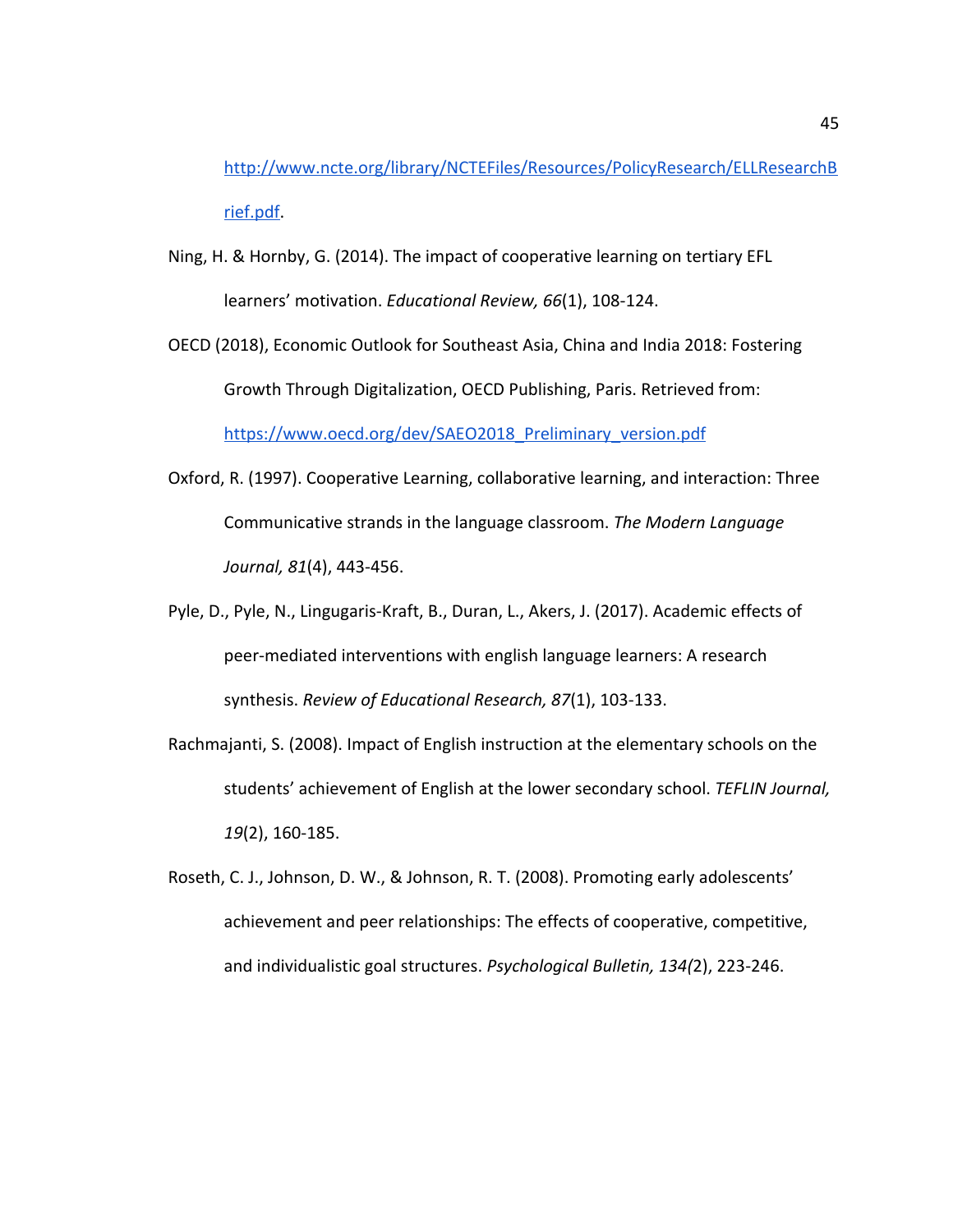[http://www.ncte.org/library/NCTEFiles/Resources/PolicyResearch/ELLResearchB](http://www.ncte.org/library/NCTEFiles/Resources/PolicyResearch/ELLResearchBrief.pdf) [rief.pdf.](http://www.ncte.org/library/NCTEFiles/Resources/PolicyResearch/ELLResearchBrief.pdf)

- Ning, H. & Hornby, G. (2014). The impact of cooperative learning on tertiary EFL learners' motivation. *Educational Review, 66*(1), 108-124.
- OECD (2018), Economic Outlook for Southeast Asia, China and India 2018: Fostering Growth Through Digitalization, OECD Publishing, Paris. Retrieved from: [https://www.oecd.org/dev/SAEO2018\\_Preliminary\\_version.pdf](https://www.oecd.org/dev/SAEO2018_Preliminary_version.pdf)
- Oxford, R. (1997). Cooperative Learning, collaborative learning, and interaction: Three Communicative strands in the language classroom. *The Modern Language Journal, 81*(4), 443-456.
- Pyle, D., Pyle, N., Lingugaris-Kraft, B., Duran, L., Akers, J. (2017). Academic effects of peer-mediated interventions with english language learners: A research synthesis. *Review of Educational Research, 87*(1), 103-133.
- Rachmajanti, S. (2008). Impact of English instruction at the elementary schools on the students' achievement of English at the lower secondary school. *TEFLIN Journal, 19*(2), 160-185.
- Roseth, C. J., Johnson, D. W., & Johnson, R. T. (2008). Promoting early adolescents' achievement and peer relationships: The effects of cooperative, competitive, and individualistic goal structures. *Psychological Bulletin, 134(*2), 223-246.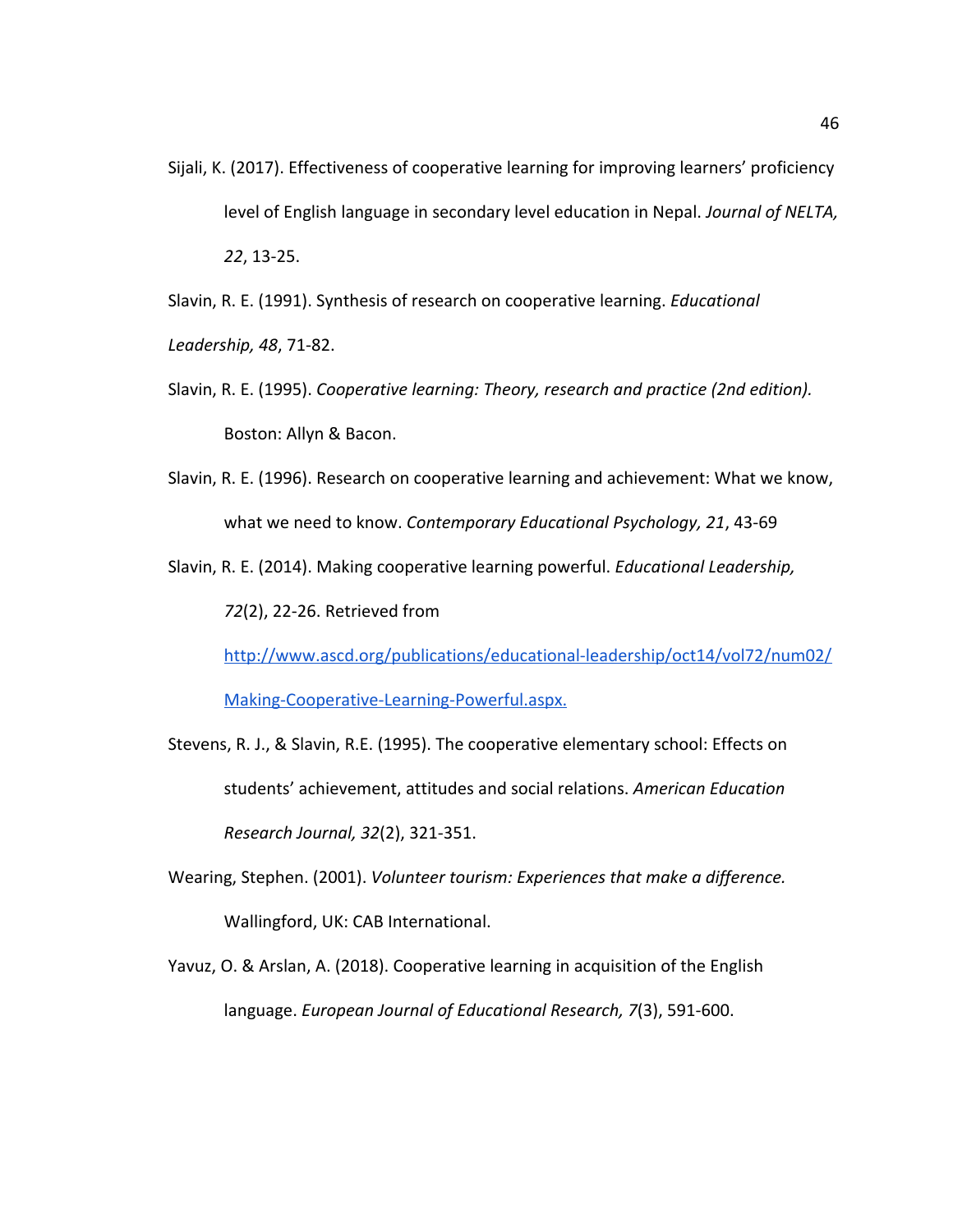Sijali, K. (2017). Effectiveness of cooperative learning for improving learners' proficiency level of English language in secondary level education in Nepal. *Journal of NELTA, 22*, 13-25.

Slavin, R. E. (1991). Synthesis of research on cooperative learning. *Educational*

*Leadership, 48*, 71-82.

- Slavin, R. E. (1995). *Cooperative learning: Theory, research and practice (2nd edition).* Boston: Allyn & Bacon.
- Slavin, R. E. (1996). Research on cooperative learning and achievement: What we know, what we need to know. *Contemporary Educational Psychology, 21*, 43-69
- Slavin, R. E. (2014). Making cooperative learning powerful. *Educational Leadership, 72*(2), 22-26. Retrieved from

[http://www.ascd.org/publications/educational-leadership/oct14/vol72/num02/](http://www.ascd.org/publications/educational-leadership/oct14/vol72/num02/Making-Cooperative-Learning-Powerful.aspx)

[Making-Cooperative-Learning-Powerful.aspx.](http://www.ascd.org/publications/educational-leadership/oct14/vol72/num02/Making-Cooperative-Learning-Powerful.aspx)

- Stevens, R. J., & Slavin, R.E. (1995). The cooperative elementary school: Effects on students' achievement, attitudes and social relations. *American Education Research Journal, 32*(2), 321-351.
- Wearing, Stephen. (2001). *Volunteer tourism: Experiences that make a difference.* Wallingford, UK: CAB International.
- Yavuz, O. & Arslan, A. (2018). Cooperative learning in acquisition of the English language. *European Journal of Educational Research, 7*(3), 591-600.